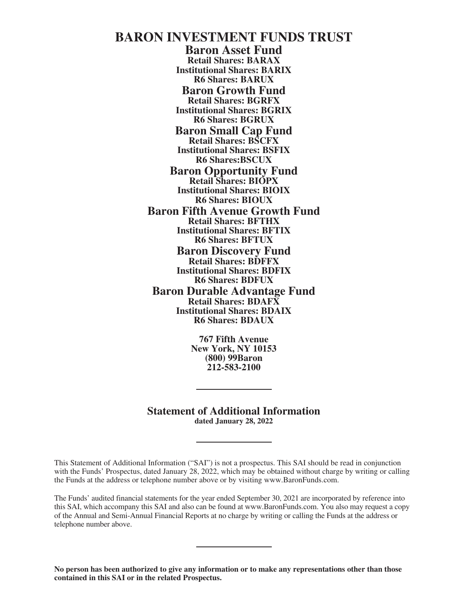# **BARON INVESTMENT FUNDS TRUST**

**Baron Asset Fund Retail Shares: BARAX Institutional Shares: BARIX R6 Shares: BARUX Baron Growth Fund Retail Shares: BGRFX Institutional Shares: BGRIX R6 Shares: BGRUX Baron Small Cap Fund Retail Shares: BSCFX Institutional Shares: BSFIX R6 Shares:BSCUX Baron Opportunity Fund Retail Shares: BIOPX Institutional Shares: BIOIX R6 Shares: BIOUX Baron Fifth Avenue Growth Fund Retail Shares: BFTHX Institutional Shares: BFTIX R6 Shares: BFTUX Baron Discovery Fund Retail Shares: BDFFX Institutional Shares: BDFIX R6 Shares: BDFUX Baron Durable Advantage Fund Retail Shares: BDAFX Institutional Shares: BDAIX R6 Shares: BDAUX**

> **767 Fifth Avenue New York, NY 10153 (800) 99Baron 212-583-2100**

**Statement of Additional Information dated January 28, 2022**

This Statement of Additional Information ("SAI") is not a prospectus. This SAI should be read in conjunction with the Funds' Prospectus, dated January 28, 2022, which may be obtained without charge by writing or calling the Funds at the address or telephone number above or by visiting www.BaronFunds.com.

The Funds' audited financial statements for the year ended September 30, 2021 are incorporated by reference into this SAI, which accompany this SAI and also can be found at www.BaronFunds.com. You also may request a copy of the Annual and Semi-Annual Financial Reports at no charge by writing or calling the Funds at the address or telephone number above.

**No person has been authorized to give any information or to make any representations other than those contained in this SAI or in the related Prospectus.**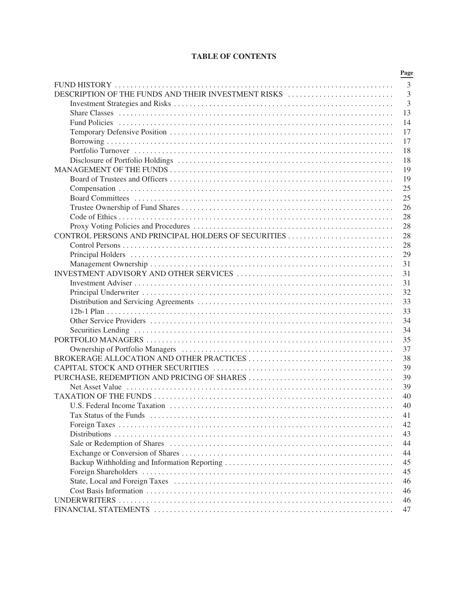# **TABLE OF CONTENTS**

|                                                     | Page           |
|-----------------------------------------------------|----------------|
|                                                     | 3              |
| DESCRIPTION OF THE FUNDS AND THEIR INVESTMENT RISKS | $\overline{3}$ |
|                                                     | 3              |
|                                                     | 13             |
|                                                     | 14             |
|                                                     | 17             |
|                                                     | 17             |
|                                                     | 18             |
|                                                     | 18             |
|                                                     | 19             |
|                                                     | 19             |
|                                                     | 25             |
|                                                     | 25             |
|                                                     | 26             |
|                                                     | 28             |
|                                                     | 28             |
|                                                     | 28             |
|                                                     | 28             |
|                                                     | 29             |
|                                                     | 31             |
|                                                     | 31             |
|                                                     | 31             |
|                                                     | 32             |
|                                                     | 33             |
|                                                     | 33             |
|                                                     | 34             |
|                                                     | 34             |
|                                                     | 35             |
|                                                     | 37             |
|                                                     | 38             |
|                                                     | 39             |
|                                                     | 39             |
|                                                     | 39             |
|                                                     | 40             |
|                                                     | 40             |
|                                                     | 41             |
|                                                     | 42             |
|                                                     | 43             |
|                                                     | 44             |
|                                                     | 44             |
|                                                     | 45             |
|                                                     | 45             |
|                                                     | 46             |
|                                                     | 46             |
|                                                     | 46             |
|                                                     | 47             |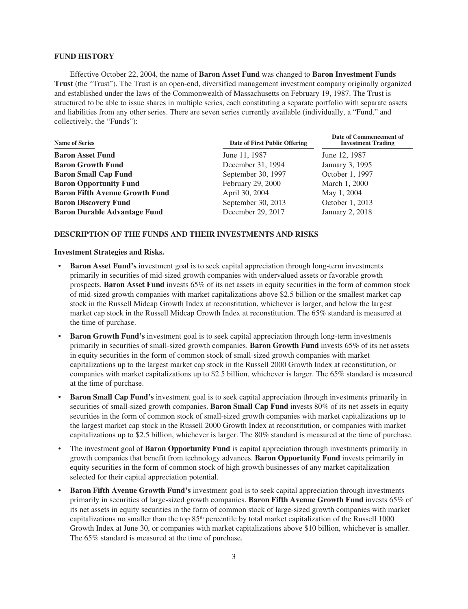# <span id="page-2-0"></span>**FUND HISTORY**

Effective October 22, 2004, the name of **Baron Asset Fund** was changed to **Baron Investment Funds Trust** (the "Trust"). The Trust is an open-end, diversified management investment company originally organized and established under the laws of the Commonwealth of Massachusetts on February 19, 1987. The Trust is structured to be able to issue shares in multiple series, each constituting a separate portfolio with separate assets and liabilities from any other series. There are seven series currently available (individually, a "Fund," and collectively, the "Funds"):

| <b>Name of Series</b>                 | Date of First Public Offering | Date of Commencement of<br><b>Investment Trading</b> |
|---------------------------------------|-------------------------------|------------------------------------------------------|
| <b>Baron Asset Fund</b>               | June 11, 1987                 | June 12, 1987                                        |
| <b>Baron Growth Fund</b>              | December 31, 1994             | January 3, 1995                                      |
| <b>Baron Small Cap Fund</b>           | September 30, 1997            | October 1, 1997                                      |
| <b>Baron Opportunity Fund</b>         | February 29, 2000             | March 1, 2000                                        |
| <b>Baron Fifth Avenue Growth Fund</b> | April 30, 2004                | May 1, 2004                                          |
| <b>Baron Discovery Fund</b>           | September 30, 2013            | October 1, 2013                                      |
| <b>Baron Durable Advantage Fund</b>   | December 29, 2017             | January 2, 2018                                      |

# <span id="page-2-1"></span>**DESCRIPTION OF THE FUNDS AND THEIR INVESTMENTS AND RISKS**

# <span id="page-2-2"></span>**Investment Strategies and Risks.**

- **Baron Asset Fund's** investment goal is to seek capital appreciation through long-term investments primarily in securities of mid-sized growth companies with undervalued assets or favorable growth prospects. **Baron Asset Fund** invests 65% of its net assets in equity securities in the form of common stock of mid-sized growth companies with market capitalizations above \$2.5 billion or the smallest market cap stock in the Russell Midcap Growth Index at reconstitution, whichever is larger, and below the largest market cap stock in the Russell Midcap Growth Index at reconstitution. The 65% standard is measured at the time of purchase.
- **Baron Growth Fund's** investment goal is to seek capital appreciation through long-term investments primarily in securities of small-sized growth companies. **Baron Growth Fund** invests 65% of its net assets in equity securities in the form of common stock of small-sized growth companies with market capitalizations up to the largest market cap stock in the Russell 2000 Growth Index at reconstitution, or companies with market capitalizations up to \$2.5 billion, whichever is larger. The 65% standard is measured at the time of purchase.
- **Baron Small Cap Fund's** investment goal is to seek capital appreciation through investments primarily in securities of small-sized growth companies. **Baron Small Cap Fund** invests 80% of its net assets in equity securities in the form of common stock of small-sized growth companies with market capitalizations up to the largest market cap stock in the Russell 2000 Growth Index at reconstitution, or companies with market capitalizations up to \$2.5 billion, whichever is larger. The 80% standard is measured at the time of purchase.
- The investment goal of **Baron Opportunity Fund** is capital appreciation through investments primarily in growth companies that benefit from technology advances. **Baron Opportunity Fund** invests primarily in equity securities in the form of common stock of high growth businesses of any market capitalization selected for their capital appreciation potential.
- **Baron Fifth Avenue Growth Fund's** investment goal is to seek capital appreciation through investments primarily in securities of large-sized growth companies. **Baron Fifth Avenue Growth Fund** invests 65% of its net assets in equity securities in the form of common stock of large-sized growth companies with market capitalizations no smaller than the top 85th percentile by total market capitalization of the Russell 1000 Growth Index at June 30, or companies with market capitalizations above \$10 billion, whichever is smaller. The 65% standard is measured at the time of purchase.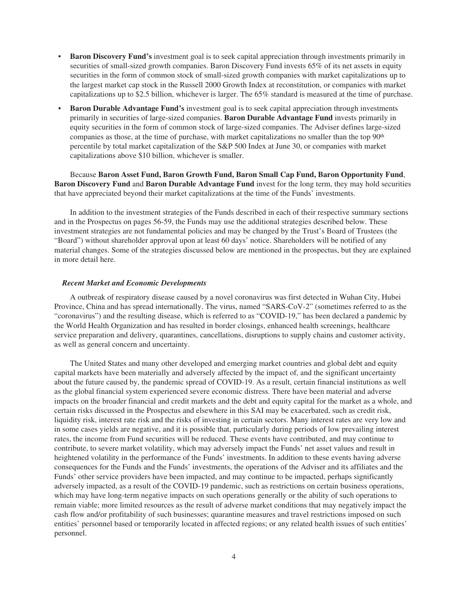- **Baron Discovery Fund's** investment goal is to seek capital appreciation through investments primarily in securities of small-sized growth companies. Baron Discovery Fund invests 65% of its net assets in equity securities in the form of common stock of small-sized growth companies with market capitalizations up to the largest market cap stock in the Russell 2000 Growth Index at reconstitution, or companies with market capitalizations up to \$2.5 billion, whichever is larger. The 65% standard is measured at the time of purchase.
- **Baron Durable Advantage Fund's** investment goal is to seek capital appreciation through investments primarily in securities of large-sized companies. **Baron Durable Advantage Fund** invests primarily in equity securities in the form of common stock of large-sized companies. The Adviser defines large-sized companies as those, at the time of purchase, with market capitalizations no smaller than the top 90<sup>th</sup> percentile by total market capitalization of the S&P 500 Index at June 30, or companies with market capitalizations above \$10 billion, whichever is smaller.

Because **Baron Asset Fund, Baron Growth Fund, Baron Small Cap Fund, Baron Opportunity Fund**, **Baron Discovery Fund** and **Baron Durable Advantage Fund** invest for the long term, they may hold securities that have appreciated beyond their market capitalizations at the time of the Funds' investments.

In addition to the investment strategies of the Funds described in each of their respective summary sections and in the Prospectus on pages 56-59, the Funds may use the additional strategies described below. These investment strategies are not fundamental policies and may be changed by the Trust's Board of Trustees (the "Board") without shareholder approval upon at least 60 days' notice. Shareholders will be notified of any material changes. Some of the strategies discussed below are mentioned in the prospectus, but they are explained in more detail here.

# *Recent Market and Economic Developments*

A outbreak of respiratory disease caused by a novel coronavirus was first detected in Wuhan City, Hubei Province, China and has spread internationally. The virus, named "SARS-CoV-2" (sometimes referred to as the "coronavirus") and the resulting disease, which is referred to as "COVID-19," has been declared a pandemic by the World Health Organization and has resulted in border closings, enhanced health screenings, healthcare service preparation and delivery, quarantines, cancellations, disruptions to supply chains and customer activity, as well as general concern and uncertainty.

The United States and many other developed and emerging market countries and global debt and equity capital markets have been materially and adversely affected by the impact of, and the significant uncertainty about the future caused by, the pandemic spread of COVID-19. As a result, certain financial institutions as well as the global financial system experienced severe economic distress. There have been material and adverse impacts on the broader financial and credit markets and the debt and equity capital for the market as a whole, and certain risks discussed in the Prospectus and elsewhere in this SAI may be exacerbated, such as credit risk, liquidity risk, interest rate risk and the risks of investing in certain sectors. Many interest rates are very low and in some cases yields are negative, and it is possible that, particularly during periods of low prevailing interest rates, the income from Fund securities will be reduced. These events have contributed, and may continue to contribute, to severe market volatility, which may adversely impact the Funds' net asset values and result in heightened volatility in the performance of the Funds' investments. In addition to these events having adverse consequences for the Funds and the Funds' investments, the operations of the Adviser and its affiliates and the Funds' other service providers have been impacted, and may continue to be impacted, perhaps significantly adversely impacted, as a result of the COVID-19 pandemic, such as restrictions on certain business operations, which may have long-term negative impacts on such operations generally or the ability of such operations to remain viable; more limited resources as the result of adverse market conditions that may negatively impact the cash flow and/or profitability of such businesses; quarantine measures and travel restrictions imposed on such entities' personnel based or temporarily located in affected regions; or any related health issues of such entities' personnel.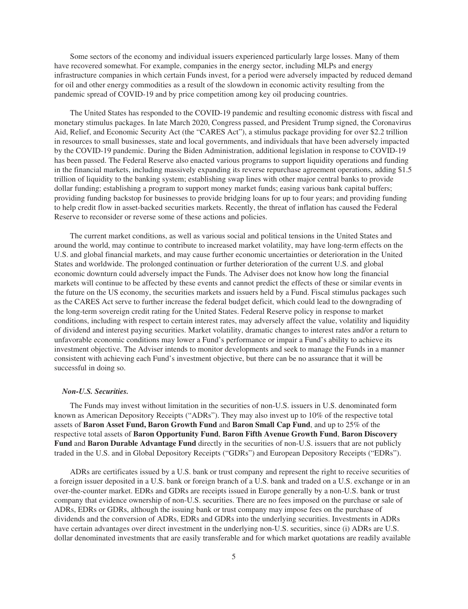Some sectors of the economy and individual issuers experienced particularly large losses. Many of them have recovered somewhat. For example, companies in the energy sector, including MLPs and energy infrastructure companies in which certain Funds invest, for a period were adversely impacted by reduced demand for oil and other energy commodities as a result of the slowdown in economic activity resulting from the pandemic spread of COVID-19 and by price competition among key oil producing countries.

The United States has responded to the COVID-19 pandemic and resulting economic distress with fiscal and monetary stimulus packages. In late March 2020, Congress passed, and President Trump signed, the Coronavirus Aid, Relief, and Economic Security Act (the "CARES Act"), a stimulus package providing for over \$2.2 trillion in resources to small businesses, state and local governments, and individuals that have been adversely impacted by the COVID-19 pandemic. During the Biden Administration, additional legislation in response to COVID-19 has been passed. The Federal Reserve also enacted various programs to support liquidity operations and funding in the financial markets, including massively expanding its reverse repurchase agreement operations, adding \$1.5 trillion of liquidity to the banking system; establishing swap lines with other major central banks to provide dollar funding; establishing a program to support money market funds; easing various bank capital buffers; providing funding backstop for businesses to provide bridging loans for up to four years; and providing funding to help credit flow in asset-backed securities markets. Recently, the threat of inflation has caused the Federal Reserve to reconsider or reverse some of these actions and policies.

The current market conditions, as well as various social and political tensions in the United States and around the world, may continue to contribute to increased market volatility, may have long-term effects on the U.S. and global financial markets, and may cause further economic uncertainties or deterioration in the United States and worldwide. The prolonged continuation or further deterioration of the current U.S. and global economic downturn could adversely impact the Funds. The Adviser does not know how long the financial markets will continue to be affected by these events and cannot predict the effects of these or similar events in the future on the US economy, the securities markets and issuers held by a Fund. Fiscal stimulus packages such as the CARES Act serve to further increase the federal budget deficit, which could lead to the downgrading of the long-term sovereign credit rating for the United States. Federal Reserve policy in response to market conditions, including with respect to certain interest rates, may adversely affect the value, volatility and liquidity of dividend and interest paying securities. Market volatility, dramatic changes to interest rates and/or a return to unfavorable economic conditions may lower a Fund's performance or impair a Fund's ability to achieve its investment objective. The Adviser intends to monitor developments and seek to manage the Funds in a manner consistent with achieving each Fund's investment objective, but there can be no assurance that it will be successful in doing so.

### *Non-U.S. Securities.*

The Funds may invest without limitation in the securities of non-U.S. issuers in U.S. denominated form known as American Depository Receipts ("ADRs"). They may also invest up to 10% of the respective total assets of **Baron Asset Fund, Baron Growth Fund** and **Baron Small Cap Fund**, and up to 25% of the respective total assets of **Baron Opportunity Fund**, **Baron Fifth Avenue Growth Fund**, **Baron Discovery Fund** and **Baron Durable Advantage Fund** directly in the securities of non-U.S. issuers that are not publicly traded in the U.S. and in Global Depository Receipts ("GDRs") and European Depository Receipts ("EDRs").

ADRs are certificates issued by a U.S. bank or trust company and represent the right to receive securities of a foreign issuer deposited in a U.S. bank or foreign branch of a U.S. bank and traded on a U.S. exchange or in an over-the-counter market. EDRs and GDRs are receipts issued in Europe generally by a non-U.S. bank or trust company that evidence ownership of non-U.S. securities. There are no fees imposed on the purchase or sale of ADRs, EDRs or GDRs, although the issuing bank or trust company may impose fees on the purchase of dividends and the conversion of ADRs, EDRs and GDRs into the underlying securities. Investments in ADRs have certain advantages over direct investment in the underlying non-U.S. securities, since (i) ADRs are U.S. dollar denominated investments that are easily transferable and for which market quotations are readily available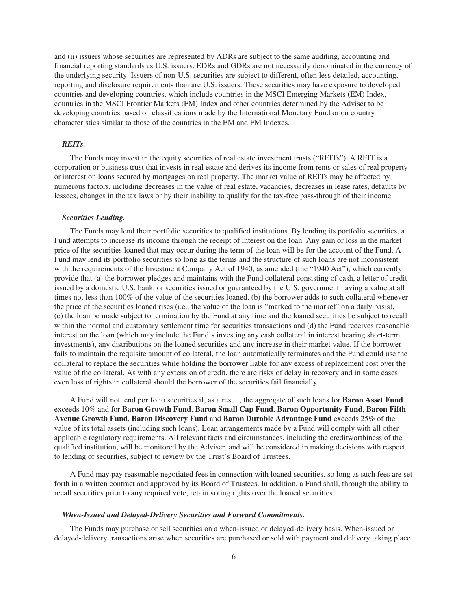and (ii) issuers whose securities are represented by ADRs are subject to the same auditing, accounting and financial reporting standards as U.S. issuers. EDRs and GDRs are not necessarily denominated in the currency of the underlying security. Issuers of non-U.S. securities are subject to different, often less detailed, accounting, reporting and disclosure requirements than are U.S. issuers. These securities may have exposure to developed countries and developing countries, which include countries in the MSCI Emerging Markets (EM) Index, countries in the MSCI Frontier Markets (FM) Index and other countries determined by the Adviser to be developing countries based on classifications made by the International Monetary Fund or on country characteristics similar to those of the countries in the EM and FM Indexes.

# *REITs.*

The Funds may invest in the equity securities of real estate investment trusts ("REITs"). A REIT is a corporation or business trust that invests in real estate and derives its income from rents or sales of real property or interest on loans secured by mortgages on real property. The market value of REITs may be affected by numerous factors, including decreases in the value of real estate, vacancies, decreases in lease rates, defaults by lessees, changes in the tax laws or by their inability to qualify for the tax-free pass-through of their income.

# *Securities Lending.*

The Funds may lend their portfolio securities to qualified institutions. By lending its portfolio securities, a Fund attempts to increase its income through the receipt of interest on the loan. Any gain or loss in the market price of the securities loaned that may occur during the term of the loan will be for the account of the Fund. A Fund may lend its portfolio securities so long as the terms and the structure of such loans are not inconsistent with the requirements of the Investment Company Act of 1940, as amended (the "1940 Act"), which currently provide that (a) the borrower pledges and maintains with the Fund collateral consisting of cash, a letter of credit issued by a domestic U.S. bank, or securities issued or guaranteed by the U.S. government having a value at all times not less than 100% of the value of the securities loaned, (b) the borrower adds to such collateral whenever the price of the securities loaned rises (i.e., the value of the loan is "marked to the market" on a daily basis), (c) the loan be made subject to termination by the Fund at any time and the loaned securities be subject to recall within the normal and customary settlement time for securities transactions and (d) the Fund receives reasonable interest on the loan (which may include the Fund's investing any cash collateral in interest bearing short-term investments), any distributions on the loaned securities and any increase in their market value. If the borrower fails to maintain the requisite amount of collateral, the loan automatically terminates and the Fund could use the collateral to replace the securities while holding the borrower liable for any excess of replacement cost over the value of the collateral. As with any extension of credit, there are risks of delay in recovery and in some cases even loss of rights in collateral should the borrower of the securities fail financially.

A Fund will not lend portfolio securities if, as a result, the aggregate of such loans for **Baron Asset Fund** exceeds 10% and for **Baron Growth Fund**, **Baron Small Cap Fund**, **Baron Opportunity Fund**, **Baron Fifth Avenue Growth Fund**, **Baron Discovery Fund** and **Baron Durable Advantage Fund** exceeds 25% of the value of its total assets (including such loans). Loan arrangements made by a Fund will comply with all other applicable regulatory requirements. All relevant facts and circumstances, including the creditworthiness of the qualified institution, will be monitored by the Adviser, and will be considered in making decisions with respect to lending of securities, subject to review by the Trust's Board of Trustees.

A Fund may pay reasonable negotiated fees in connection with loaned securities, so long as such fees are set forth in a written contract and approved by its Board of Trustees. In addition, a Fund shall, through the ability to recall securities prior to any required vote, retain voting rights over the loaned securities.

## *When-Issued and Delayed-Delivery Securities and Forward Commitments.*

The Funds may purchase or sell securities on a when-issued or delayed-delivery basis. When-issued or delayed-delivery transactions arise when securities are purchased or sold with payment and delivery taking place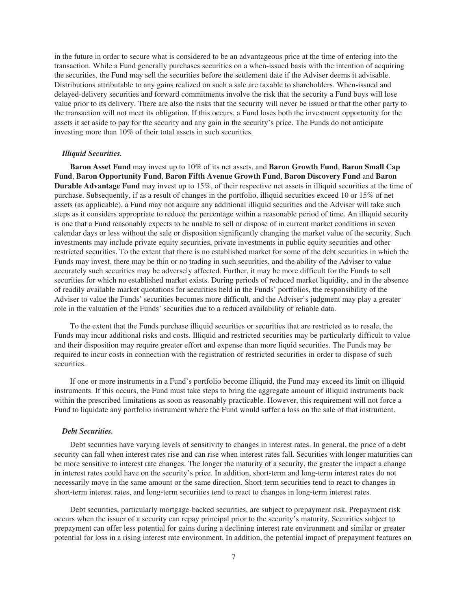in the future in order to secure what is considered to be an advantageous price at the time of entering into the transaction. While a Fund generally purchases securities on a when-issued basis with the intention of acquiring the securities, the Fund may sell the securities before the settlement date if the Adviser deems it advisable. Distributions attributable to any gains realized on such a sale are taxable to shareholders. When-issued and delayed-delivery securities and forward commitments involve the risk that the security a Fund buys will lose value prior to its delivery. There are also the risks that the security will never be issued or that the other party to the transaction will not meet its obligation. If this occurs, a Fund loses both the investment opportunity for the assets it set aside to pay for the security and any gain in the security's price. The Funds do not anticipate investing more than 10% of their total assets in such securities.

# *Illiquid Securities.*

**Baron Asset Fund** may invest up to 10% of its net assets, and **Baron Growth Fund**, **Baron Small Cap Fund**, **Baron Opportunity Fund**, **Baron Fifth Avenue Growth Fund**, **Baron Discovery Fund** and **Baron Durable Advantage Fund** may invest up to 15%, of their respective net assets in illiquid securities at the time of purchase. Subsequently, if as a result of changes in the portfolio, illiquid securities exceed 10 or 15% of net assets (as applicable), a Fund may not acquire any additional illiquid securities and the Adviser will take such steps as it considers appropriate to reduce the percentage within a reasonable period of time. An illiquid security is one that a Fund reasonably expects to be unable to sell or dispose of in current market conditions in seven calendar days or less without the sale or disposition significantly changing the market value of the security. Such investments may include private equity securities, private investments in public equity securities and other restricted securities. To the extent that there is no established market for some of the debt securities in which the Funds may invest, there may be thin or no trading in such securities, and the ability of the Adviser to value accurately such securities may be adversely affected. Further, it may be more difficult for the Funds to sell securities for which no established market exists. During periods of reduced market liquidity, and in the absence of readily available market quotations for securities held in the Funds' portfolios, the responsibility of the Adviser to value the Funds' securities becomes more difficult, and the Adviser's judgment may play a greater role in the valuation of the Funds' securities due to a reduced availability of reliable data.

To the extent that the Funds purchase illiquid securities or securities that are restricted as to resale, the Funds may incur additional risks and costs. Illiquid and restricted securities may be particularly difficult to value and their disposition may require greater effort and expense than more liquid securities. The Funds may be required to incur costs in connection with the registration of restricted securities in order to dispose of such securities.

If one or more instruments in a Fund's portfolio become illiquid, the Fund may exceed its limit on illiquid instruments. If this occurs, the Fund must take steps to bring the aggregate amount of illiquid instruments back within the prescribed limitations as soon as reasonably practicable. However, this requirement will not force a Fund to liquidate any portfolio instrument where the Fund would suffer a loss on the sale of that instrument.

# *Debt Securities.*

Debt securities have varying levels of sensitivity to changes in interest rates. In general, the price of a debt security can fall when interest rates rise and can rise when interest rates fall. Securities with longer maturities can be more sensitive to interest rate changes. The longer the maturity of a security, the greater the impact a change in interest rates could have on the security's price. In addition, short-term and long-term interest rates do not necessarily move in the same amount or the same direction. Short-term securities tend to react to changes in short-term interest rates, and long-term securities tend to react to changes in long-term interest rates.

Debt securities, particularly mortgage-backed securities, are subject to prepayment risk. Prepayment risk occurs when the issuer of a security can repay principal prior to the security's maturity. Securities subject to prepayment can offer less potential for gains during a declining interest rate environment and similar or greater potential for loss in a rising interest rate environment. In addition, the potential impact of prepayment features on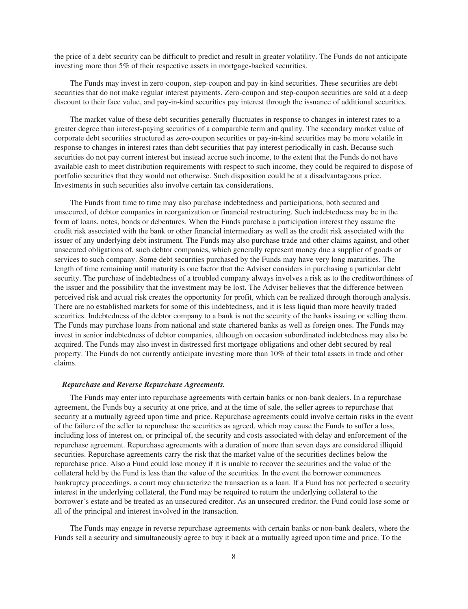the price of a debt security can be difficult to predict and result in greater volatility. The Funds do not anticipate investing more than 5% of their respective assets in mortgage-backed securities.

The Funds may invest in zero-coupon, step-coupon and pay-in-kind securities. These securities are debt securities that do not make regular interest payments. Zero-coupon and step-coupon securities are sold at a deep discount to their face value, and pay-in-kind securities pay interest through the issuance of additional securities.

The market value of these debt securities generally fluctuates in response to changes in interest rates to a greater degree than interest-paying securities of a comparable term and quality. The secondary market value of corporate debt securities structured as zero-coupon securities or pay-in-kind securities may be more volatile in response to changes in interest rates than debt securities that pay interest periodically in cash. Because such securities do not pay current interest but instead accrue such income, to the extent that the Funds do not have available cash to meet distribution requirements with respect to such income, they could be required to dispose of portfolio securities that they would not otherwise. Such disposition could be at a disadvantageous price. Investments in such securities also involve certain tax considerations.

The Funds from time to time may also purchase indebtedness and participations, both secured and unsecured, of debtor companies in reorganization or financial restructuring. Such indebtedness may be in the form of loans, notes, bonds or debentures. When the Funds purchase a participation interest they assume the credit risk associated with the bank or other financial intermediary as well as the credit risk associated with the issuer of any underlying debt instrument. The Funds may also purchase trade and other claims against, and other unsecured obligations of, such debtor companies, which generally represent money due a supplier of goods or services to such company. Some debt securities purchased by the Funds may have very long maturities. The length of time remaining until maturity is one factor that the Adviser considers in purchasing a particular debt security. The purchase of indebtedness of a troubled company always involves a risk as to the creditworthiness of the issuer and the possibility that the investment may be lost. The Adviser believes that the difference between perceived risk and actual risk creates the opportunity for profit, which can be realized through thorough analysis. There are no established markets for some of this indebtedness, and it is less liquid than more heavily traded securities. Indebtedness of the debtor company to a bank is not the security of the banks issuing or selling them. The Funds may purchase loans from national and state chartered banks as well as foreign ones. The Funds may invest in senior indebtedness of debtor companies, although on occasion subordinated indebtedness may also be acquired. The Funds may also invest in distressed first mortgage obligations and other debt secured by real property. The Funds do not currently anticipate investing more than 10% of their total assets in trade and other claims.

# *Repurchase and Reverse Repurchase Agreements.*

The Funds may enter into repurchase agreements with certain banks or non-bank dealers. In a repurchase agreement, the Funds buy a security at one price, and at the time of sale, the seller agrees to repurchase that security at a mutually agreed upon time and price. Repurchase agreements could involve certain risks in the event of the failure of the seller to repurchase the securities as agreed, which may cause the Funds to suffer a loss, including loss of interest on, or principal of, the security and costs associated with delay and enforcement of the repurchase agreement. Repurchase agreements with a duration of more than seven days are considered illiquid securities. Repurchase agreements carry the risk that the market value of the securities declines below the repurchase price. Also a Fund could lose money if it is unable to recover the securities and the value of the collateral held by the Fund is less than the value of the securities. In the event the borrower commences bankruptcy proceedings, a court may characterize the transaction as a loan. If a Fund has not perfected a security interest in the underlying collateral, the Fund may be required to return the underlying collateral to the borrower's estate and be treated as an unsecured creditor. As an unsecured creditor, the Fund could lose some or all of the principal and interest involved in the transaction.

The Funds may engage in reverse repurchase agreements with certain banks or non-bank dealers, where the Funds sell a security and simultaneously agree to buy it back at a mutually agreed upon time and price. To the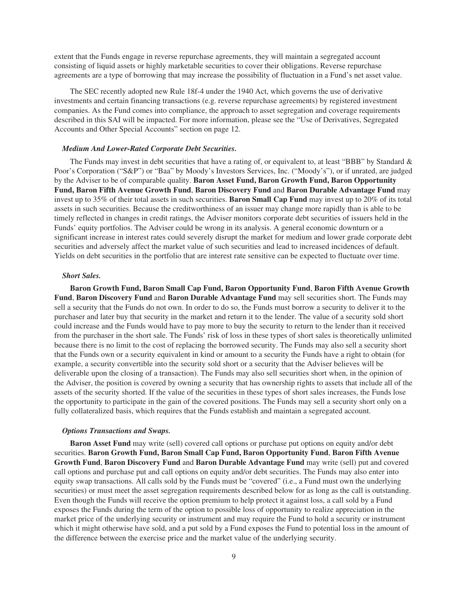extent that the Funds engage in reverse repurchase agreements, they will maintain a segregated account consisting of liquid assets or highly marketable securities to cover their obligations. Reverse repurchase agreements are a type of borrowing that may increase the possibility of fluctuation in a Fund's net asset value.

The SEC recently adopted new Rule 18f-4 under the 1940 Act, which governs the use of derivative investments and certain financing transactions (e.g. reverse repurchase agreements) by registered investment companies. As the Fund comes into compliance, the approach to asset segregation and coverage requirements described in this SAI will be impacted. For more information, please see the "Use of Derivatives, Segregated Accounts and Other Special Accounts" section on page 12.

#### *Medium And Lower-Rated Corporate Debt Securities.*

The Funds may invest in debt securities that have a rating of, or equivalent to, at least "BBB" by Standard & Poor's Corporation ("S&P") or "Baa" by Moody's Investors Services, Inc. ("Moody's"), or if unrated, are judged by the Adviser to be of comparable quality. **Baron Asset Fund, Baron Growth Fund, Baron Opportunity Fund, Baron Fifth Avenue Growth Fund**, **Baron Discovery Fund** and **Baron Durable Advantage Fund** may invest up to 35% of their total assets in such securities. **Baron Small Cap Fund** may invest up to 20% of its total assets in such securities. Because the creditworthiness of an issuer may change more rapidly than is able to be timely reflected in changes in credit ratings, the Adviser monitors corporate debt securities of issuers held in the Funds' equity portfolios. The Adviser could be wrong in its analysis. A general economic downturn or a significant increase in interest rates could severely disrupt the market for medium and lower grade corporate debt securities and adversely affect the market value of such securities and lead to increased incidences of default. Yields on debt securities in the portfolio that are interest rate sensitive can be expected to fluctuate over time.

# *Short Sales.*

**Baron Growth Fund, Baron Small Cap Fund, Baron Opportunity Fund**, **Baron Fifth Avenue Growth Fund**, **Baron Discovery Fund** and **Baron Durable Advantage Fund** may sell securities short. The Funds may sell a security that the Funds do not own. In order to do so, the Funds must borrow a security to deliver it to the purchaser and later buy that security in the market and return it to the lender. The value of a security sold short could increase and the Funds would have to pay more to buy the security to return to the lender than it received from the purchaser in the short sale. The Funds' risk of loss in these types of short sales is theoretically unlimited because there is no limit to the cost of replacing the borrowed security. The Funds may also sell a security short that the Funds own or a security equivalent in kind or amount to a security the Funds have a right to obtain (for example, a security convertible into the security sold short or a security that the Adviser believes will be deliverable upon the closing of a transaction). The Funds may also sell securities short when, in the opinion of the Adviser, the position is covered by owning a security that has ownership rights to assets that include all of the assets of the security shorted. If the value of the securities in these types of short sales increases, the Funds lose the opportunity to participate in the gain of the covered positions. The Funds may sell a security short only on a fully collateralized basis, which requires that the Funds establish and maintain a segregated account.

#### *Options Transactions and Swaps.*

**Baron Asset Fund** may write (sell) covered call options or purchase put options on equity and/or debt securities. **Baron Growth Fund, Baron Small Cap Fund, Baron Opportunity Fund**, **Baron Fifth Avenue Growth Fund**, **Baron Discovery Fund** and **Baron Durable Advantage Fund** may write (sell) put and covered call options and purchase put and call options on equity and/or debt securities. The Funds may also enter into equity swap transactions. All calls sold by the Funds must be "covered" (i.e., a Fund must own the underlying securities) or must meet the asset segregation requirements described below for as long as the call is outstanding. Even though the Funds will receive the option premium to help protect it against loss, a call sold by a Fund exposes the Funds during the term of the option to possible loss of opportunity to realize appreciation in the market price of the underlying security or instrument and may require the Fund to hold a security or instrument which it might otherwise have sold, and a put sold by a Fund exposes the Fund to potential loss in the amount of the difference between the exercise price and the market value of the underlying security.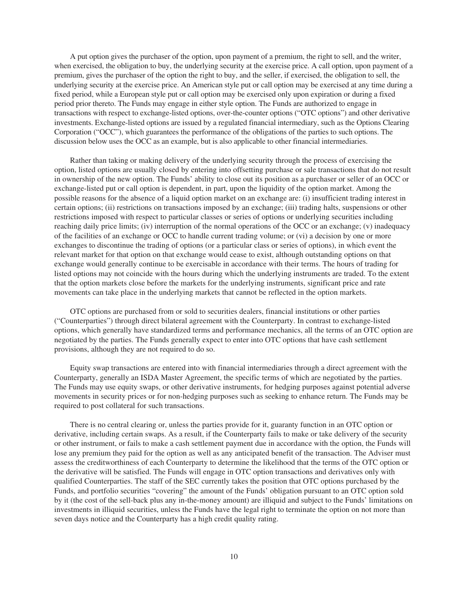A put option gives the purchaser of the option, upon payment of a premium, the right to sell, and the writer, when exercised, the obligation to buy, the underlying security at the exercise price. A call option, upon payment of a premium, gives the purchaser of the option the right to buy, and the seller, if exercised, the obligation to sell, the underlying security at the exercise price. An American style put or call option may be exercised at any time during a fixed period, while a European style put or call option may be exercised only upon expiration or during a fixed period prior thereto. The Funds may engage in either style option. The Funds are authorized to engage in transactions with respect to exchange-listed options, over-the-counter options ("OTC options") and other derivative investments. Exchange-listed options are issued by a regulated financial intermediary, such as the Options Clearing Corporation ("OCC"), which guarantees the performance of the obligations of the parties to such options. The discussion below uses the OCC as an example, but is also applicable to other financial intermediaries.

Rather than taking or making delivery of the underlying security through the process of exercising the option, listed options are usually closed by entering into offsetting purchase or sale transactions that do not result in ownership of the new option. The Funds' ability to close out its position as a purchaser or seller of an OCC or exchange-listed put or call option is dependent, in part, upon the liquidity of the option market. Among the possible reasons for the absence of a liquid option market on an exchange are: (i) insufficient trading interest in certain options; (ii) restrictions on transactions imposed by an exchange; (iii) trading halts, suspensions or other restrictions imposed with respect to particular classes or series of options or underlying securities including reaching daily price limits; (iv) interruption of the normal operations of the OCC or an exchange; (v) inadequacy of the facilities of an exchange or OCC to handle current trading volume; or (vi) a decision by one or more exchanges to discontinue the trading of options (or a particular class or series of options), in which event the relevant market for that option on that exchange would cease to exist, although outstanding options on that exchange would generally continue to be exercisable in accordance with their terms. The hours of trading for listed options may not coincide with the hours during which the underlying instruments are traded. To the extent that the option markets close before the markets for the underlying instruments, significant price and rate movements can take place in the underlying markets that cannot be reflected in the option markets.

OTC options are purchased from or sold to securities dealers, financial institutions or other parties ("Counterparties") through direct bilateral agreement with the Counterparty. In contrast to exchange-listed options, which generally have standardized terms and performance mechanics, all the terms of an OTC option are negotiated by the parties. The Funds generally expect to enter into OTC options that have cash settlement provisions, although they are not required to do so.

Equity swap transactions are entered into with financial intermediaries through a direct agreement with the Counterparty, generally an ISDA Master Agreement, the specific terms of which are negotiated by the parties. The Funds may use equity swaps, or other derivative instruments, for hedging purposes against potential adverse movements in security prices or for non-hedging purposes such as seeking to enhance return. The Funds may be required to post collateral for such transactions.

There is no central clearing or, unless the parties provide for it, guaranty function in an OTC option or derivative, including certain swaps. As a result, if the Counterparty fails to make or take delivery of the security or other instrument, or fails to make a cash settlement payment due in accordance with the option, the Funds will lose any premium they paid for the option as well as any anticipated benefit of the transaction. The Adviser must assess the creditworthiness of each Counterparty to determine the likelihood that the terms of the OTC option or the derivative will be satisfied. The Funds will engage in OTC option transactions and derivatives only with qualified Counterparties. The staff of the SEC currently takes the position that OTC options purchased by the Funds, and portfolio securities "covering" the amount of the Funds' obligation pursuant to an OTC option sold by it (the cost of the sell-back plus any in-the-money amount) are illiquid and subject to the Funds' limitations on investments in illiquid securities, unless the Funds have the legal right to terminate the option on not more than seven days notice and the Counterparty has a high credit quality rating.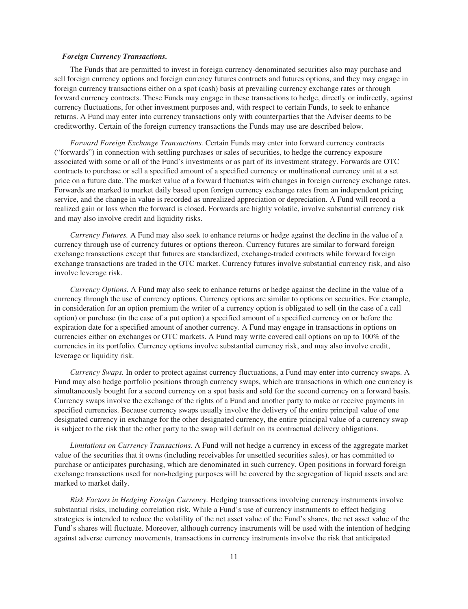#### *Foreign Currency Transactions.*

The Funds that are permitted to invest in foreign currency-denominated securities also may purchase and sell foreign currency options and foreign currency futures contracts and futures options, and they may engage in foreign currency transactions either on a spot (cash) basis at prevailing currency exchange rates or through forward currency contracts. These Funds may engage in these transactions to hedge, directly or indirectly, against currency fluctuations, for other investment purposes and, with respect to certain Funds, to seek to enhance returns. A Fund may enter into currency transactions only with counterparties that the Adviser deems to be creditworthy. Certain of the foreign currency transactions the Funds may use are described below.

*Forward Foreign Exchange Transactions.* Certain Funds may enter into forward currency contracts ("forwards") in connection with settling purchases or sales of securities, to hedge the currency exposure associated with some or all of the Fund's investments or as part of its investment strategy. Forwards are OTC contracts to purchase or sell a specified amount of a specified currency or multinational currency unit at a set price on a future date. The market value of a forward fluctuates with changes in foreign currency exchange rates. Forwards are marked to market daily based upon foreign currency exchange rates from an independent pricing service, and the change in value is recorded as unrealized appreciation or depreciation. A Fund will record a realized gain or loss when the forward is closed. Forwards are highly volatile, involve substantial currency risk and may also involve credit and liquidity risks.

*Currency Futures.* A Fund may also seek to enhance returns or hedge against the decline in the value of a currency through use of currency futures or options thereon. Currency futures are similar to forward foreign exchange transactions except that futures are standardized, exchange-traded contracts while forward foreign exchange transactions are traded in the OTC market. Currency futures involve substantial currency risk, and also involve leverage risk.

*Currency Options.* A Fund may also seek to enhance returns or hedge against the decline in the value of a currency through the use of currency options. Currency options are similar to options on securities. For example, in consideration for an option premium the writer of a currency option is obligated to sell (in the case of a call option) or purchase (in the case of a put option) a specified amount of a specified currency on or before the expiration date for a specified amount of another currency. A Fund may engage in transactions in options on currencies either on exchanges or OTC markets. A Fund may write covered call options on up to 100% of the currencies in its portfolio. Currency options involve substantial currency risk, and may also involve credit, leverage or liquidity risk.

*Currency Swaps.* In order to protect against currency fluctuations, a Fund may enter into currency swaps. A Fund may also hedge portfolio positions through currency swaps, which are transactions in which one currency is simultaneously bought for a second currency on a spot basis and sold for the second currency on a forward basis. Currency swaps involve the exchange of the rights of a Fund and another party to make or receive payments in specified currencies. Because currency swaps usually involve the delivery of the entire principal value of one designated currency in exchange for the other designated currency, the entire principal value of a currency swap is subject to the risk that the other party to the swap will default on its contractual delivery obligations.

*Limitations on Currency Transactions.* A Fund will not hedge a currency in excess of the aggregate market value of the securities that it owns (including receivables for unsettled securities sales), or has committed to purchase or anticipates purchasing, which are denominated in such currency. Open positions in forward foreign exchange transactions used for non-hedging purposes will be covered by the segregation of liquid assets and are marked to market daily.

*Risk Factors in Hedging Foreign Currency.* Hedging transactions involving currency instruments involve substantial risks, including correlation risk. While a Fund's use of currency instruments to effect hedging strategies is intended to reduce the volatility of the net asset value of the Fund's shares, the net asset value of the Fund's shares will fluctuate. Moreover, although currency instruments will be used with the intention of hedging against adverse currency movements, transactions in currency instruments involve the risk that anticipated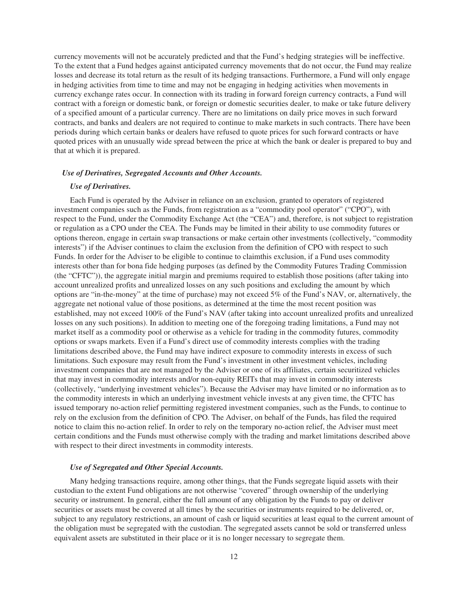currency movements will not be accurately predicted and that the Fund's hedging strategies will be ineffective. To the extent that a Fund hedges against anticipated currency movements that do not occur, the Fund may realize losses and decrease its total return as the result of its hedging transactions. Furthermore, a Fund will only engage in hedging activities from time to time and may not be engaging in hedging activities when movements in currency exchange rates occur. In connection with its trading in forward foreign currency contracts, a Fund will contract with a foreign or domestic bank, or foreign or domestic securities dealer, to make or take future delivery of a specified amount of a particular currency. There are no limitations on daily price moves in such forward contracts, and banks and dealers are not required to continue to make markets in such contracts. There have been periods during which certain banks or dealers have refused to quote prices for such forward contracts or have quoted prices with an unusually wide spread between the price at which the bank or dealer is prepared to buy and that at which it is prepared.

#### *Use of Derivatives, Segregated Accounts and Other Accounts.*

## *Use of Derivatives.*

Each Fund is operated by the Adviser in reliance on an exclusion, granted to operators of registered investment companies such as the Funds, from registration as a "commodity pool operator" ("CPO"), with respect to the Fund, under the Commodity Exchange Act (the "CEA") and, therefore, is not subject to registration or regulation as a CPO under the CEA. The Funds may be limited in their ability to use commodity futures or options thereon, engage in certain swap transactions or make certain other investments (collectively, "commodity interests") if the Adviser continues to claim the exclusion from the definition of CPO with respect to such Funds. In order for the Adviser to be eligible to continue to claimthis exclusion, if a Fund uses commodity interests other than for bona fide hedging purposes (as defined by the Commodity Futures Trading Commission (the "CFTC")), the aggregate initial margin and premiums required to establish those positions (after taking into account unrealized profits and unrealized losses on any such positions and excluding the amount by which options are "in-the-money" at the time of purchase) may not exceed 5% of the Fund's NAV, or, alternatively, the aggregate net notional value of those positions, as determined at the time the most recent position was established, may not exceed 100% of the Fund's NAV (after taking into account unrealized profits and unrealized losses on any such positions). In addition to meeting one of the foregoing trading limitations, a Fund may not market itself as a commodity pool or otherwise as a vehicle for trading in the commodity futures, commodity options or swaps markets. Even if a Fund's direct use of commodity interests complies with the trading limitations described above, the Fund may have indirect exposure to commodity interests in excess of such limitations. Such exposure may result from the Fund's investment in other investment vehicles, including investment companies that are not managed by the Adviser or one of its affiliates, certain securitized vehicles that may invest in commodity interests and/or non-equity REITs that may invest in commodity interests (collectively, "underlying investment vehicles"). Because the Adviser may have limited or no information as to the commodity interests in which an underlying investment vehicle invests at any given time, the CFTC has issued temporary no-action relief permitting registered investment companies, such as the Funds, to continue to rely on the exclusion from the definition of CPO. The Adviser, on behalf of the Funds, has filed the required notice to claim this no-action relief. In order to rely on the temporary no-action relief, the Adviser must meet certain conditions and the Funds must otherwise comply with the trading and market limitations described above with respect to their direct investments in commodity interests.

# *Use of Segregated and Other Special Accounts.*

Many hedging transactions require, among other things, that the Funds segregate liquid assets with their custodian to the extent Fund obligations are not otherwise "covered" through ownership of the underlying security or instrument. In general, either the full amount of any obligation by the Funds to pay or deliver securities or assets must be covered at all times by the securities or instruments required to be delivered, or, subject to any regulatory restrictions, an amount of cash or liquid securities at least equal to the current amount of the obligation must be segregated with the custodian. The segregated assets cannot be sold or transferred unless equivalent assets are substituted in their place or it is no longer necessary to segregate them.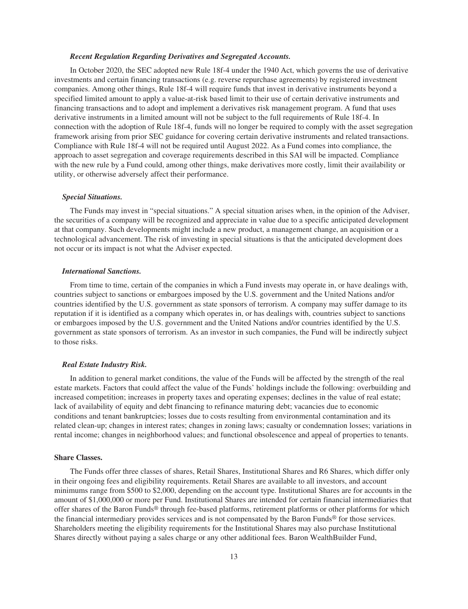#### *Recent Regulation Regarding Derivatives and Segregated Accounts.*

In October 2020, the SEC adopted new Rule 18f-4 under the 1940 Act, which governs the use of derivative investments and certain financing transactions (e.g. reverse repurchase agreements) by registered investment companies. Among other things, Rule 18f-4 will require funds that invest in derivative instruments beyond a specified limited amount to apply a value-at-risk based limit to their use of certain derivative instruments and financing transactions and to adopt and implement a derivatives risk management program. A fund that uses derivative instruments in a limited amount will not be subject to the full requirements of Rule 18f-4. In connection with the adoption of Rule 18f-4, funds will no longer be required to comply with the asset segregation framework arising from prior SEC guidance for covering certain derivative instruments and related transactions. Compliance with Rule 18f-4 will not be required until August 2022. As a Fund comes into compliance, the approach to asset segregation and coverage requirements described in this SAI will be impacted. Compliance with the new rule by a Fund could, among other things, make derivatives more costly, limit their availability or utility, or otherwise adversely affect their performance.

### *Special Situations.*

The Funds may invest in "special situations." A special situation arises when, in the opinion of the Adviser, the securities of a company will be recognized and appreciate in value due to a specific anticipated development at that company. Such developments might include a new product, a management change, an acquisition or a technological advancement. The risk of investing in special situations is that the anticipated development does not occur or its impact is not what the Adviser expected.

# *International Sanctions.*

From time to time, certain of the companies in which a Fund invests may operate in, or have dealings with, countries subject to sanctions or embargoes imposed by the U.S. government and the United Nations and/or countries identified by the U.S. government as state sponsors of terrorism. A company may suffer damage to its reputation if it is identified as a company which operates in, or has dealings with, countries subject to sanctions or embargoes imposed by the U.S. government and the United Nations and/or countries identified by the U.S. government as state sponsors of terrorism. As an investor in such companies, the Fund will be indirectly subject to those risks.

#### *Real Estate Industry Risk.*

In addition to general market conditions, the value of the Funds will be affected by the strength of the real estate markets. Factors that could affect the value of the Funds' holdings include the following: overbuilding and increased competition; increases in property taxes and operating expenses; declines in the value of real estate; lack of availability of equity and debt financing to refinance maturing debt; vacancies due to economic conditions and tenant bankruptcies; losses due to costs resulting from environmental contamination and its related clean-up; changes in interest rates; changes in zoning laws; casualty or condemnation losses; variations in rental income; changes in neighborhood values; and functional obsolescence and appeal of properties to tenants.

# <span id="page-12-0"></span>**Share Classes.**

The Funds offer three classes of shares, Retail Shares, Institutional Shares and R6 Shares, which differ only in their ongoing fees and eligibility requirements. Retail Shares are available to all investors, and account minimums range from \$500 to \$2,000, depending on the account type. Institutional Shares are for accounts in the amount of \$1,000,000 or more per Fund. Institutional Shares are intended for certain financial intermediaries that offer shares of the Baron Funds® through fee-based platforms, retirement platforms or other platforms for which the financial intermediary provides services and is not compensated by the Baron Funds® for those services. Shareholders meeting the eligibility requirements for the Institutional Shares may also purchase Institutional Shares directly without paying a sales charge or any other additional fees. Baron WealthBuilder Fund,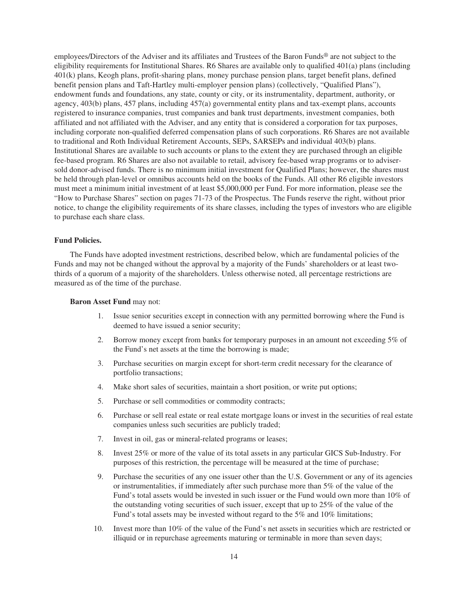employees/Directors of the Adviser and its affiliates and Trustees of the Baron Funds® are not subject to the eligibility requirements for Institutional Shares. R6 Shares are available only to qualified 401(a) plans (including 401(k) plans, Keogh plans, profit-sharing plans, money purchase pension plans, target benefit plans, defined benefit pension plans and Taft-Hartley multi-employer pension plans) (collectively, "Qualified Plans"), endowment funds and foundations, any state, county or city, or its instrumentality, department, authority, or agency, 403(b) plans, 457 plans, including 457(a) governmental entity plans and tax-exempt plans, accounts registered to insurance companies, trust companies and bank trust departments, investment companies, both affiliated and not affiliated with the Adviser, and any entity that is considered a corporation for tax purposes, including corporate non-qualified deferred compensation plans of such corporations. R6 Shares are not available to traditional and Roth Individual Retirement Accounts, SEPs, SARSEPs and individual 403(b) plans. Institutional Shares are available to such accounts or plans to the extent they are purchased through an eligible fee-based program. R6 Shares are also not available to retail, advisory fee-based wrap programs or to advisersold donor-advised funds. There is no minimum initial investment for Qualified Plans; however, the shares must be held through plan-level or omnibus accounts held on the books of the Funds. All other R6 eligible investors must meet a minimum initial investment of at least \$5,000,000 per Fund. For more information, please see the "How to Purchase Shares" section on pages 71-73 of the Prospectus. The Funds reserve the right, without prior notice, to change the eligibility requirements of its share classes, including the types of investors who are eligible to purchase each share class.

# <span id="page-13-0"></span>**Fund Policies.**

The Funds have adopted investment restrictions, described below, which are fundamental policies of the Funds and may not be changed without the approval by a majority of the Funds' shareholders or at least twothirds of a quorum of a majority of the shareholders. Unless otherwise noted, all percentage restrictions are measured as of the time of the purchase.

# **Baron Asset Fund** may not:

- 1. Issue senior securities except in connection with any permitted borrowing where the Fund is deemed to have issued a senior security;
- 2. Borrow money except from banks for temporary purposes in an amount not exceeding 5% of the Fund's net assets at the time the borrowing is made;
- 3. Purchase securities on margin except for short-term credit necessary for the clearance of portfolio transactions;
- 4. Make short sales of securities, maintain a short position, or write put options;
- 5. Purchase or sell commodities or commodity contracts;
- 6. Purchase or sell real estate or real estate mortgage loans or invest in the securities of real estate companies unless such securities are publicly traded;
- 7. Invest in oil, gas or mineral-related programs or leases;
- 8. Invest 25% or more of the value of its total assets in any particular GICS Sub-Industry. For purposes of this restriction, the percentage will be measured at the time of purchase;
- 9. Purchase the securities of any one issuer other than the U.S. Government or any of its agencies or instrumentalities, if immediately after such purchase more than 5% of the value of the Fund's total assets would be invested in such issuer or the Fund would own more than 10% of the outstanding voting securities of such issuer, except that up to 25% of the value of the Fund's total assets may be invested without regard to the 5% and 10% limitations;
- 10. Invest more than 10% of the value of the Fund's net assets in securities which are restricted or illiquid or in repurchase agreements maturing or terminable in more than seven days;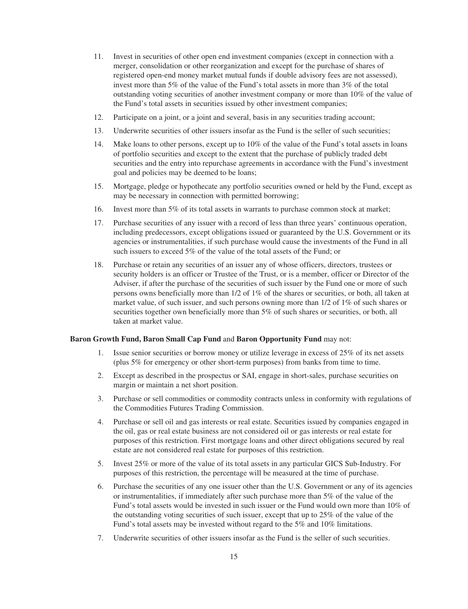- 11. Invest in securities of other open end investment companies (except in connection with a merger, consolidation or other reorganization and except for the purchase of shares of registered open-end money market mutual funds if double advisory fees are not assessed), invest more than 5% of the value of the Fund's total assets in more than 3% of the total outstanding voting securities of another investment company or more than 10% of the value of the Fund's total assets in securities issued by other investment companies;
- 12. Participate on a joint, or a joint and several, basis in any securities trading account;
- 13. Underwrite securities of other issuers insofar as the Fund is the seller of such securities;
- 14. Make loans to other persons, except up to 10% of the value of the Fund's total assets in loans of portfolio securities and except to the extent that the purchase of publicly traded debt securities and the entry into repurchase agreements in accordance with the Fund's investment goal and policies may be deemed to be loans;
- 15. Mortgage, pledge or hypothecate any portfolio securities owned or held by the Fund, except as may be necessary in connection with permitted borrowing;
- 16. Invest more than 5% of its total assets in warrants to purchase common stock at market;
- 17. Purchase securities of any issuer with a record of less than three years' continuous operation, including predecessors, except obligations issued or guaranteed by the U.S. Government or its agencies or instrumentalities, if such purchase would cause the investments of the Fund in all such issuers to exceed 5% of the value of the total assets of the Fund; or
- 18. Purchase or retain any securities of an issuer any of whose officers, directors, trustees or security holders is an officer or Trustee of the Trust, or is a member, officer or Director of the Adviser, if after the purchase of the securities of such issuer by the Fund one or more of such persons owns beneficially more than 1/2 of 1% of the shares or securities, or both, all taken at market value, of such issuer, and such persons owning more than 1/2 of 1% of such shares or securities together own beneficially more than 5% of such shares or securities, or both, all taken at market value.

# **Baron Growth Fund, Baron Small Cap Fund** and **Baron Opportunity Fund** may not:

- 1. Issue senior securities or borrow money or utilize leverage in excess of 25% of its net assets (plus 5% for emergency or other short-term purposes) from banks from time to time.
- 2. Except as described in the prospectus or SAI, engage in short-sales, purchase securities on margin or maintain a net short position.
- 3. Purchase or sell commodities or commodity contracts unless in conformity with regulations of the Commodities Futures Trading Commission.
- 4. Purchase or sell oil and gas interests or real estate. Securities issued by companies engaged in the oil, gas or real estate business are not considered oil or gas interests or real estate for purposes of this restriction. First mortgage loans and other direct obligations secured by real estate are not considered real estate for purposes of this restriction.
- 5. Invest 25% or more of the value of its total assets in any particular GICS Sub-Industry. For purposes of this restriction, the percentage will be measured at the time of purchase.
- 6. Purchase the securities of any one issuer other than the U.S. Government or any of its agencies or instrumentalities, if immediately after such purchase more than 5% of the value of the Fund's total assets would be invested in such issuer or the Fund would own more than 10% of the outstanding voting securities of such issuer, except that up to 25% of the value of the Fund's total assets may be invested without regard to the 5% and 10% limitations.
- 7. Underwrite securities of other issuers insofar as the Fund is the seller of such securities.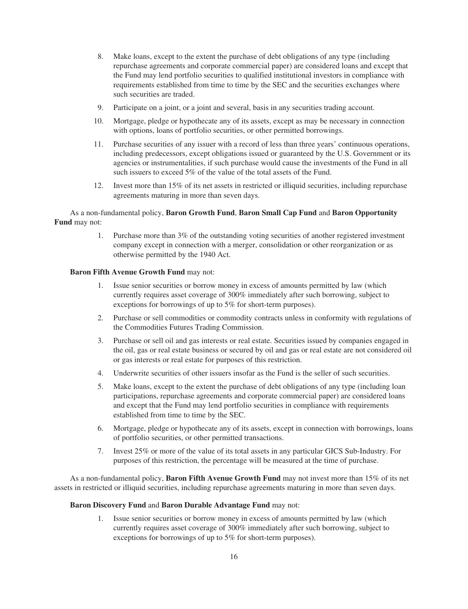- 8. Make loans, except to the extent the purchase of debt obligations of any type (including repurchase agreements and corporate commercial paper) are considered loans and except that the Fund may lend portfolio securities to qualified institutional investors in compliance with requirements established from time to time by the SEC and the securities exchanges where such securities are traded.
- 9. Participate on a joint, or a joint and several, basis in any securities trading account.
- 10. Mortgage, pledge or hypothecate any of its assets, except as may be necessary in connection with options, loans of portfolio securities, or other permitted borrowings.
- 11. Purchase securities of any issuer with a record of less than three years' continuous operations, including predecessors, except obligations issued or guaranteed by the U.S. Government or its agencies or instrumentalities, if such purchase would cause the investments of the Fund in all such issuers to exceed 5% of the value of the total assets of the Fund.
- 12. Invest more than 15% of its net assets in restricted or illiquid securities, including repurchase agreements maturing in more than seven days.

# As a non-fundamental policy, **Baron Growth Fund**, **Baron Small Cap Fund** and **Baron Opportunity Fund** may not:

1. Purchase more than 3% of the outstanding voting securities of another registered investment company except in connection with a merger, consolidation or other reorganization or as otherwise permitted by the 1940 Act.

# **Baron Fifth Avenue Growth Fund** may not:

- 1. Issue senior securities or borrow money in excess of amounts permitted by law (which currently requires asset coverage of 300% immediately after such borrowing, subject to exceptions for borrowings of up to 5% for short-term purposes).
- 2. Purchase or sell commodities or commodity contracts unless in conformity with regulations of the Commodities Futures Trading Commission.
- 3. Purchase or sell oil and gas interests or real estate. Securities issued by companies engaged in the oil, gas or real estate business or secured by oil and gas or real estate are not considered oil or gas interests or real estate for purposes of this restriction.
- 4. Underwrite securities of other issuers insofar as the Fund is the seller of such securities.
- 5. Make loans, except to the extent the purchase of debt obligations of any type (including loan participations, repurchase agreements and corporate commercial paper) are considered loans and except that the Fund may lend portfolio securities in compliance with requirements established from time to time by the SEC.
- 6. Mortgage, pledge or hypothecate any of its assets, except in connection with borrowings, loans of portfolio securities, or other permitted transactions.
- 7. Invest 25% or more of the value of its total assets in any particular GICS Sub-Industry. For purposes of this restriction, the percentage will be measured at the time of purchase.

As a non-fundamental policy, **Baron Fifth Avenue Growth Fund** may not invest more than 15% of its net assets in restricted or illiquid securities, including repurchase agreements maturing in more than seven days.

### **Baron Discovery Fund** and **Baron Durable Advantage Fund** may not:

1. Issue senior securities or borrow money in excess of amounts permitted by law (which currently requires asset coverage of 300% immediately after such borrowing, subject to exceptions for borrowings of up to 5% for short-term purposes).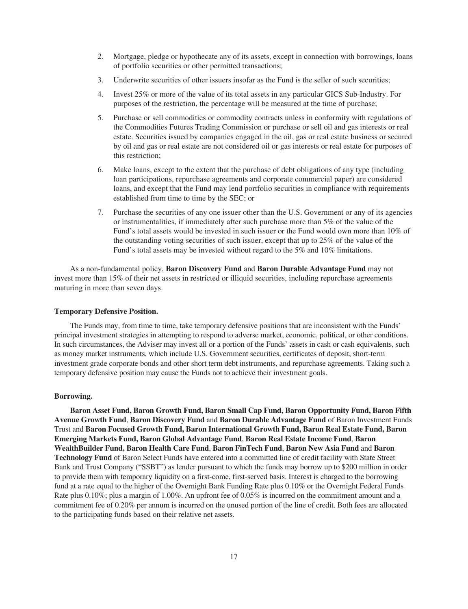- 2. Mortgage, pledge or hypothecate any of its assets, except in connection with borrowings, loans of portfolio securities or other permitted transactions;
- 3. Underwrite securities of other issuers insofar as the Fund is the seller of such securities;
- 4. Invest 25% or more of the value of its total assets in any particular GICS Sub-Industry. For purposes of the restriction, the percentage will be measured at the time of purchase;
- 5. Purchase or sell commodities or commodity contracts unless in conformity with regulations of the Commodities Futures Trading Commission or purchase or sell oil and gas interests or real estate. Securities issued by companies engaged in the oil, gas or real estate business or secured by oil and gas or real estate are not considered oil or gas interests or real estate for purposes of this restriction;
- 6. Make loans, except to the extent that the purchase of debt obligations of any type (including loan participations, repurchase agreements and corporate commercial paper) are considered loans, and except that the Fund may lend portfolio securities in compliance with requirements established from time to time by the SEC; or
- 7. Purchase the securities of any one issuer other than the U.S. Government or any of its agencies or instrumentalities, if immediately after such purchase more than 5% of the value of the Fund's total assets would be invested in such issuer or the Fund would own more than 10% of the outstanding voting securities of such issuer, except that up to 25% of the value of the Fund's total assets may be invested without regard to the 5% and 10% limitations.

As a non-fundamental policy, **Baron Discovery Fund** and **Baron Durable Advantage Fund** may not invest more than 15% of their net assets in restricted or illiquid securities, including repurchase agreements maturing in more than seven days.

### <span id="page-16-0"></span>**Temporary Defensive Position.**

The Funds may, from time to time, take temporary defensive positions that are inconsistent with the Funds' principal investment strategies in attempting to respond to adverse market, economic, political, or other conditions. In such circumstances, the Adviser may invest all or a portion of the Funds' assets in cash or cash equivalents, such as money market instruments, which include U.S. Government securities, certificates of deposit, short-term investment grade corporate bonds and other short term debt instruments, and repurchase agreements. Taking such a temporary defensive position may cause the Funds not to achieve their investment goals.

## <span id="page-16-1"></span>**Borrowing.**

**Baron Asset Fund, Baron Growth Fund, Baron Small Cap Fund, Baron Opportunity Fund, Baron Fifth Avenue Growth Fund**, **Baron Discovery Fund** and **Baron Durable Advantage Fund** of Baron Investment Funds Trust and **Baron Focused Growth Fund, Baron International Growth Fund, Baron Real Estate Fund, Baron Emerging Markets Fund, Baron Global Advantage Fund**, **Baron Real Estate Income Fund**, **Baron WealthBuilder Fund, Baron Health Care Fund**, **Baron FinTech Fund**, **Baron New Asia Fund** and **Baron Technology Fund** of Baron Select Funds have entered into a committed line of credit facility with State Street Bank and Trust Company ("SSBT") as lender pursuant to which the funds may borrow up to \$200 million in order to provide them with temporary liquidity on a first-come, first-served basis. Interest is charged to the borrowing fund at a rate equal to the higher of the Overnight Bank Funding Rate plus 0.10% or the Overnight Federal Funds Rate plus 0.10%; plus a margin of 1.00%. An upfront fee of 0.05% is incurred on the commitment amount and a commitment fee of 0.20% per annum is incurred on the unused portion of the line of credit. Both fees are allocated to the participating funds based on their relative net assets.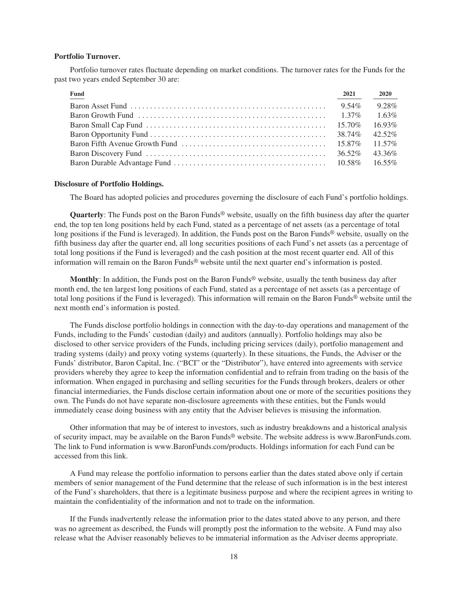## <span id="page-17-0"></span>**Portfolio Turnover.**

Portfolio turnover rates fluctuate depending on market conditions. The turnover rates for the Funds for the past two years ended September 30 are:

| Fund                                                                                                          | 2021     | <b>2020</b> |
|---------------------------------------------------------------------------------------------------------------|----------|-------------|
| Baron Asset Fund $\ldots \ldots \ldots \ldots \ldots \ldots \ldots \ldots \ldots \ldots \ldots \ldots \ldots$ | $9.54\%$ | 9.28%       |
|                                                                                                               |          | $1.63\%$    |
|                                                                                                               |          | $16.93\%$   |
|                                                                                                               |          | 42.52%      |
|                                                                                                               |          | $11.57\%$   |
|                                                                                                               |          | 43.36%      |
|                                                                                                               |          | 16.55%      |

#### <span id="page-17-1"></span>**Disclosure of Portfolio Holdings.**

The Board has adopted policies and procedures governing the disclosure of each Fund's portfolio holdings.

**Quarterly**: The Funds post on the Baron Funds® website, usually on the fifth business day after the quarter end, the top ten long positions held by each Fund, stated as a percentage of net assets (as a percentage of total long positions if the Fund is leveraged). In addition, the Funds post on the Baron Funds<sup>®</sup> website, usually on the fifth business day after the quarter end, all long securities positions of each Fund's net assets (as a percentage of total long positions if the Fund is leveraged) and the cash position at the most recent quarter end. All of this information will remain on the Baron Funds® website until the next quarter end's information is posted.

**Monthly**: In addition, the Funds post on the Baron Funds® website, usually the tenth business day after month end, the ten largest long positions of each Fund, stated as a percentage of net assets (as a percentage of total long positions if the Fund is leveraged). This information will remain on the Baron Funds® website until the next month end's information is posted.

The Funds disclose portfolio holdings in connection with the day-to-day operations and management of the Funds, including to the Funds' custodian (daily) and auditors (annually). Portfolio holdings may also be disclosed to other service providers of the Funds, including pricing services (daily), portfolio management and trading systems (daily) and proxy voting systems (quarterly). In these situations, the Funds, the Adviser or the Funds' distributor, Baron Capital, Inc. ("BCI" or the "Distributor"), have entered into agreements with service providers whereby they agree to keep the information confidential and to refrain from trading on the basis of the information. When engaged in purchasing and selling securities for the Funds through brokers, dealers or other financial intermediaries, the Funds disclose certain information about one or more of the securities positions they own. The Funds do not have separate non-disclosure agreements with these entities, but the Funds would immediately cease doing business with any entity that the Adviser believes is misusing the information.

Other information that may be of interest to investors, such as industry breakdowns and a historical analysis of security impact, may be available on the Baron Funds® website. The website address is www.BaronFunds.com. The link to Fund information is www.BaronFunds.com/products. Holdings information for each Fund can be accessed from this link.

A Fund may release the portfolio information to persons earlier than the dates stated above only if certain members of senior management of the Fund determine that the release of such information is in the best interest of the Fund's shareholders, that there is a legitimate business purpose and where the recipient agrees in writing to maintain the confidentiality of the information and not to trade on the information.

If the Funds inadvertently release the information prior to the dates stated above to any person, and there was no agreement as described, the Funds will promptly post the information to the website. A Fund may also release what the Adviser reasonably believes to be immaterial information as the Adviser deems appropriate.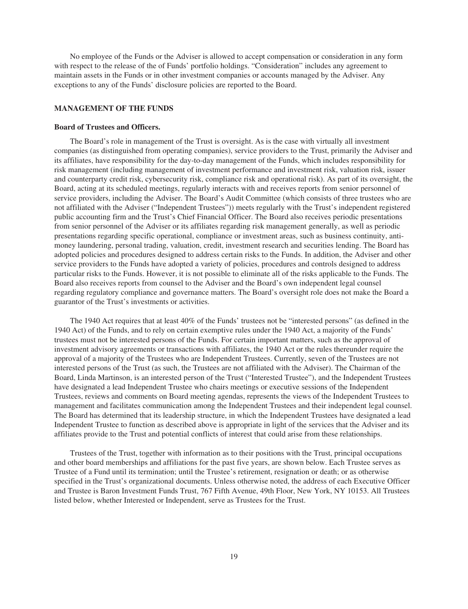No employee of the Funds or the Adviser is allowed to accept compensation or consideration in any form with respect to the release of the of Funds' portfolio holdings. "Consideration" includes any agreement to maintain assets in the Funds or in other investment companies or accounts managed by the Adviser. Any exceptions to any of the Funds' disclosure policies are reported to the Board.

# <span id="page-18-0"></span>**MANAGEMENT OF THE FUNDS**

#### <span id="page-18-1"></span>**Board of Trustees and Officers.**

The Board's role in management of the Trust is oversight. As is the case with virtually all investment companies (as distinguished from operating companies), service providers to the Trust, primarily the Adviser and its affiliates, have responsibility for the day-to-day management of the Funds, which includes responsibility for risk management (including management of investment performance and investment risk, valuation risk, issuer and counterparty credit risk, cybersecurity risk, compliance risk and operational risk). As part of its oversight, the Board, acting at its scheduled meetings, regularly interacts with and receives reports from senior personnel of service providers, including the Adviser. The Board's Audit Committee (which consists of three trustees who are not affiliated with the Adviser ("Independent Trustees")) meets regularly with the Trust's independent registered public accounting firm and the Trust's Chief Financial Officer. The Board also receives periodic presentations from senior personnel of the Adviser or its affiliates regarding risk management generally, as well as periodic presentations regarding specific operational, compliance or investment areas, such as business continuity, antimoney laundering, personal trading, valuation, credit, investment research and securities lending. The Board has adopted policies and procedures designed to address certain risks to the Funds. In addition, the Adviser and other service providers to the Funds have adopted a variety of policies, procedures and controls designed to address particular risks to the Funds. However, it is not possible to eliminate all of the risks applicable to the Funds. The Board also receives reports from counsel to the Adviser and the Board's own independent legal counsel regarding regulatory compliance and governance matters. The Board's oversight role does not make the Board a guarantor of the Trust's investments or activities.

The 1940 Act requires that at least 40% of the Funds' trustees not be "interested persons" (as defined in the 1940 Act) of the Funds, and to rely on certain exemptive rules under the 1940 Act, a majority of the Funds' trustees must not be interested persons of the Funds. For certain important matters, such as the approval of investment advisory agreements or transactions with affiliates, the 1940 Act or the rules thereunder require the approval of a majority of the Trustees who are Independent Trustees. Currently, seven of the Trustees are not interested persons of the Trust (as such, the Trustees are not affiliated with the Adviser). The Chairman of the Board, Linda Martinson, is an interested person of the Trust ("Interested Trustee"), and the Independent Trustees have designated a lead Independent Trustee who chairs meetings or executive sessions of the Independent Trustees, reviews and comments on Board meeting agendas, represents the views of the Independent Trustees to management and facilitates communication among the Independent Trustees and their independent legal counsel. The Board has determined that its leadership structure, in which the Independent Trustees have designated a lead Independent Trustee to function as described above is appropriate in light of the services that the Adviser and its affiliates provide to the Trust and potential conflicts of interest that could arise from these relationships.

Trustees of the Trust, together with information as to their positions with the Trust, principal occupations and other board memberships and affiliations for the past five years, are shown below. Each Trustee serves as Trustee of a Fund until its termination; until the Trustee's retirement, resignation or death; or as otherwise specified in the Trust's organizational documents. Unless otherwise noted, the address of each Executive Officer and Trustee is Baron Investment Funds Trust, 767 Fifth Avenue, 49th Floor, New York, NY 10153. All Trustees listed below, whether Interested or Independent, serve as Trustees for the Trust.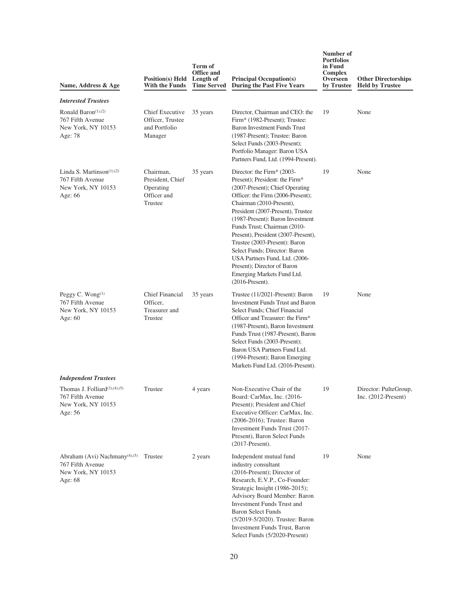| Name, Address & Age                                                                                    | Position(s) Held Length of<br>With the Funds                         | Term of<br><b>Office and</b><br><b>Time Served</b> | <b>Principal Occupation(s)</b><br><b>During the Past Five Years</b>                                                                                                                                                                                                                                                                                                                                                                                                                                     | Number of<br><b>Portfolios</b><br>in Fund<br>Complex<br>Overseen<br>by Trustee | <b>Other Directorships</b><br><b>Held by Trustee</b> |
|--------------------------------------------------------------------------------------------------------|----------------------------------------------------------------------|----------------------------------------------------|---------------------------------------------------------------------------------------------------------------------------------------------------------------------------------------------------------------------------------------------------------------------------------------------------------------------------------------------------------------------------------------------------------------------------------------------------------------------------------------------------------|--------------------------------------------------------------------------------|------------------------------------------------------|
| <b>Interested Trustees</b>                                                                             |                                                                      |                                                    |                                                                                                                                                                                                                                                                                                                                                                                                                                                                                                         |                                                                                |                                                      |
| Ronald Baron <sup>(1),(2)</sup><br>767 Fifth Avenue<br>New York, NY 10153<br>Age: 78                   | Chief Executive<br>Officer, Trustee<br>and Portfolio<br>Manager      | 35 years                                           | Director, Chairman and CEO: the<br>Firm* (1982-Present); Trustee:<br><b>Baron Investment Funds Trust</b><br>(1987-Present); Trustee: Baron<br>Select Funds (2003-Present);<br>Portfolio Manager: Baron USA<br>Partners Fund, Ltd. (1994-Present).                                                                                                                                                                                                                                                       | 19                                                                             | None                                                 |
| Linda S. Martinson $(1),(2)$<br>767 Fifth Avenue<br>New York, NY 10153<br>Age: 66                      | Chairman,<br>President, Chief<br>Operating<br>Officer and<br>Trustee | 35 years                                           | Director: the Firm* (2003-<br>Present); President: the Firm*<br>(2007-Present); Chief Operating<br>Officer: the Firm (2006-Present);<br>Chairman (2010-Present),<br>President (2007-Present), Trustee<br>(1987-Present): Baron Investment<br>Funds Trust; Chairman (2010-<br>Present), President (2007-Present),<br>Trustee (2003-Present): Baron<br>Select Funds; Director: Baron<br>USA Partners Fund, Ltd. (2006-<br>Present); Director of Baron<br>Emerging Markets Fund Ltd.<br>$(2016$ -Present). | 19                                                                             | None                                                 |
| Peggy C. Wong <sup>(1)</sup><br>767 Fifth Avenue<br>New York, NY 10153<br>Age: $60$                    | <b>Chief Financial</b><br>Officer,<br>Treasurer and<br>Trustee       | 35 years                                           | Trustee (11/2021-Present): Baron<br><b>Investment Funds Trust and Baron</b><br>Select Funds; Chief Financial<br>Officer and Treasurer: the Firm*<br>(1987-Present), Baron Investment<br>Funds Trust (1987-Present), Baron<br>Select Funds (2003-Present);<br>Baron USA Partners Fund Ltd.<br>(1994-Present); Baron Emerging<br>Markets Fund Ltd. (2016-Present).                                                                                                                                        | 19                                                                             | None                                                 |
| <b>Independent Trustees</b>                                                                            |                                                                      |                                                    |                                                                                                                                                                                                                                                                                                                                                                                                                                                                                                         |                                                                                |                                                      |
| Thomas J. Folliard <sup>(3),(4),(5)</sup><br>767 Fifth Avenue<br>New York, NY 10153<br>Age: $56$       | Trustee                                                              | 4 years                                            | Non-Executive Chair of the<br>Board: CarMax, Inc. (2016-<br>Present); President and Chief<br>Executive Officer: CarMax, Inc.<br>(2006-2016); Trustee: Baron<br>Investment Funds Trust (2017-<br>Present), Baron Select Funds<br>$(2017-Present).$                                                                                                                                                                                                                                                       | 19                                                                             | Director: PulteGroup,<br>Inc. $(2012$ -Present)      |
| Abraham (Avi) Nachmany <sup>(4),(5)</sup> Trustee<br>767 Fifth Avenue<br>New York, NY 10153<br>Age: 68 |                                                                      | 2 years                                            | Independent mutual fund<br>industry consultant<br>$(2016-Present)$ ; Director of<br>Research, E.V.P., Co-Founder:<br>Strategic Insight (1986-2015);<br>Advisory Board Member: Baron<br>Investment Funds Trust and<br><b>Baron Select Funds</b><br>(5/2019-5/2020). Trustee: Baron<br><b>Investment Funds Trust, Baron</b><br>Select Funds (5/2020-Present)                                                                                                                                              | 19                                                                             | None                                                 |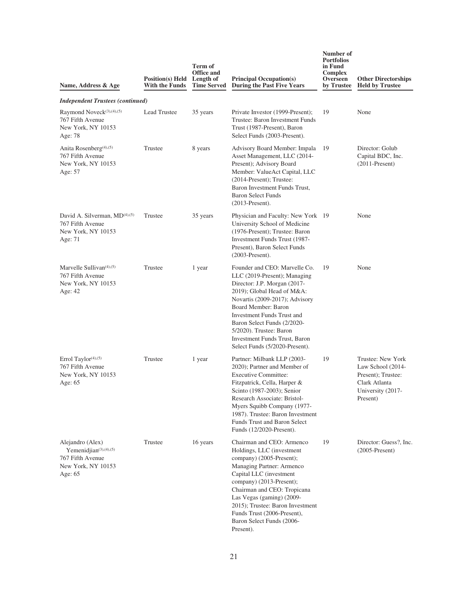| Name, Address & Age                                                                             | <b>Position(s)</b> Held<br>With the Funds | Term of<br><b>Office and</b><br>Length of<br><b>Time Served</b> | <b>Principal Occupation(s)</b><br><b>During the Past Five Years</b>                                                                                                                                                                                                                                                                                    | Number of<br><b>Portfolios</b><br>in Fund<br>Complex<br>Overseen<br>by Trustee | <b>Other Directorships</b><br><b>Held by Trustee</b>                                                           |
|-------------------------------------------------------------------------------------------------|-------------------------------------------|-----------------------------------------------------------------|--------------------------------------------------------------------------------------------------------------------------------------------------------------------------------------------------------------------------------------------------------------------------------------------------------------------------------------------------------|--------------------------------------------------------------------------------|----------------------------------------------------------------------------------------------------------------|
| <b>Independent Trustees (continued)</b>                                                         |                                           |                                                                 |                                                                                                                                                                                                                                                                                                                                                        |                                                                                |                                                                                                                |
| Raymond Noveck <sup>(3),(4),(5)</sup><br>767 Fifth Avenue<br>New York, NY 10153<br>Age: 78      | <b>Lead Trustee</b>                       | 35 years                                                        | Private Investor (1999-Present);<br>Trustee: Baron Investment Funds<br>Trust (1987-Present), Baron<br>Select Funds (2003-Present).                                                                                                                                                                                                                     | 19                                                                             | None                                                                                                           |
| Anita Rosenberg <sup>(4),(5)</sup><br>767 Fifth Avenue<br>New York, NY 10153<br>Age: 57         | Trustee                                   | 8 years                                                         | Advisory Board Member: Impala<br>Asset Management, LLC (2014-<br>Present); Advisory Board<br>Member: ValueAct Capital, LLC<br>$(2014-Present);$ Trustee:<br>Baron Investment Funds Trust,<br><b>Baron Select Funds</b><br>$(2013-Present).$                                                                                                            | 19                                                                             | Director: Golub<br>Capital BDC, Inc.<br>$(2011-Present)$                                                       |
| David A. Silverman, MD <sup>(4),(5)</sup><br>767 Fifth Avenue<br>New York, NY 10153<br>Age: 71  | Trustee                                   | 35 years                                                        | Physician and Faculty: New York 19<br>University School of Medicine<br>(1976-Present); Trustee: Baron<br>Investment Funds Trust (1987-<br>Present), Baron Select Funds<br>$(2003-Present)$ .                                                                                                                                                           |                                                                                | None                                                                                                           |
| Marvelle Sullivan $(4)$ , $(5)$<br>767 Fifth Avenue<br>New York, NY 10153<br>Age: 42            | Trustee                                   | 1 year                                                          | Founder and CEO: Marvelle Co.<br>LLC (2019-Present); Managing<br>Director: J.P. Morgan (2017-<br>2019); Global Head of M&A:<br>Novartis (2009-2017); Advisory<br>Board Member: Baron<br>Investment Funds Trust and<br>Baron Select Funds (2/2020-<br>5/2020). Trustee: Baron<br><b>Investment Funds Trust, Baron</b><br>Select Funds (5/2020-Present). | 19                                                                             | None                                                                                                           |
| Errol Taylor(4),(5)<br>767 Fifth Avenue<br>New York, NY 10153<br>Age: 65                        | Trustee                                   | 1 year                                                          | Partner: Milbank LLP (2003-<br>2020); Partner and Member of<br><b>Executive Committee:</b><br>Fitzpatrick, Cella, Harper &<br>Scinto (1987-2003); Senior<br>Research Associate: Bristol-<br>Myers Squibb Company (1977-<br>1987). Trustee: Baron Investment<br>Funds Trust and Baron Select<br>Funds (12/2020-Present).                                | 19                                                                             | Trustee: New York<br>Law School (2014-<br>Present); Trustee:<br>Clark Atlanta<br>University (2017-<br>Present) |
| Alejandro (Alex)<br>Yemenidjian(3),(4),(5)<br>767 Fifth Avenue<br>New York, NY 10153<br>Age: 65 | Trustee                                   | 16 years                                                        | Chairman and CEO: Armenco<br>Holdings, LLC (investment<br>company) (2005-Present);<br>Managing Partner: Armenco<br>Capital LLC (investment<br>company) (2013-Present);<br>Chairman and CEO: Tropicana<br>Las Vegas (gaming) (2009-<br>2015); Trustee: Baron Investment<br>Funds Trust (2006-Present),<br>Baron Select Funds (2006-<br>Present).        | 19                                                                             | Director: Guess?, Inc.<br>$(2005-Present)$                                                                     |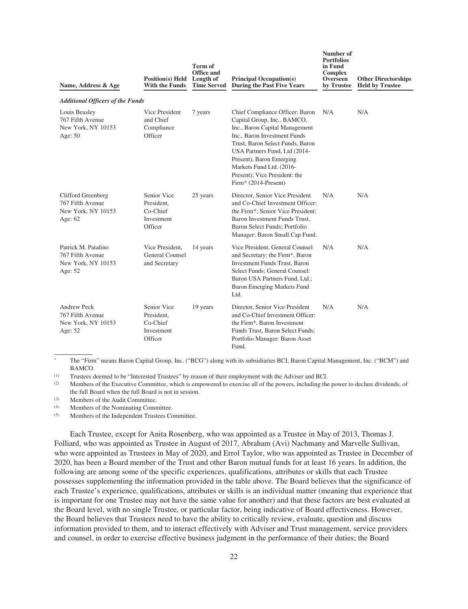| Name, Address & Age                                                       | <b>Position(s)</b> Held<br><b>With the Funds</b>               | <b>Term of</b><br>Office and<br>Length of<br><b>Time Served</b> | <b>Principal Occupation(s)</b><br><b>During the Past Five Years</b>                                                                                                                                                                                                                                                    | Number of<br><b>Portfolios</b><br>in Fund<br><b>Complex</b><br>Overseen<br>by Trustee | <b>Other Directorships</b><br><b>Held by Trustee</b> |
|---------------------------------------------------------------------------|----------------------------------------------------------------|-----------------------------------------------------------------|------------------------------------------------------------------------------------------------------------------------------------------------------------------------------------------------------------------------------------------------------------------------------------------------------------------------|---------------------------------------------------------------------------------------|------------------------------------------------------|
| <b>Additional Officers of the Funds</b>                                   |                                                                |                                                                 |                                                                                                                                                                                                                                                                                                                        |                                                                                       |                                                      |
| Louis Beasley<br>767 Fifth Avenue<br>New York, NY 10153<br>Age: 50        | Vice President<br>and Chief<br>Compliance<br>Officer           | 7 years                                                         | Chief Compliance Officer: Baron<br>Capital Group, Inc., BAMCO,<br>Inc., Baron Capital Management<br>Inc., Baron Investment Funds<br>Trust, Baron Select Funds, Baron<br>USA Partners Fund, Ltd (2014-<br>Present), Baron Emerging<br>Markets Fund Ltd. (2016-<br>Present); Vice President: the<br>Firm* (2014-Present) | N/A                                                                                   | N/A                                                  |
| Clifford Greenberg<br>767 Fifth Avenue<br>New York, NY 10153<br>Age: $62$ | Senior Vice<br>President,<br>Co-Chief<br>Investment<br>Officer | 25 years                                                        | Director, Senior Vice President<br>and Co-Chief Investment Officer:<br>the Firm*; Senior Vice President:<br>Baron Investment Funds Trust,<br>Baron Select Funds; Portfolio<br>Manager: Baron Small Cap Fund.                                                                                                           | N/A                                                                                   | N/A                                                  |
| Patrick M. Patalino<br>767 Fifth Avenue<br>New York, NY 10153<br>Age: 52  | Vice President,<br>General Counsel<br>and Secretary            | 14 years                                                        | Vice President, General Counsel<br>and Secretary: the Firm*, Baron<br><b>Investment Funds Trust, Baron</b><br>Select Funds; General Counsel:<br>Baron USA Partners Fund, Ltd.;<br>Baron Emerging Markets Fund<br>Ltd.                                                                                                  | N/A                                                                                   | N/A                                                  |
| Andrew Peck<br>767 Fifth Avenue<br>New York, NY 10153<br>Age: 52          | Senior Vice<br>President,<br>Co-Chief<br>Investment<br>Officer | 19 years                                                        | Director, Senior Vice President<br>and Co-Chief Investment Officer:<br>the Firm*, Baron Investment<br>Funds Trust, Baron Select Funds;<br>Portfolio Manager: Baron Asset<br>Fund.                                                                                                                                      | N/A                                                                                   | N/A                                                  |

\* The "Firm" means Baron Capital Group, Inc. ("BCG") along with its subsidiaries BCI, Baron Capital Management, Inc. ("BCM") and BAMCO.

(1) Trustees deemed to be "Interested Trustees" by reason of their employment with the Adviser and BCI.

(2) Members of the Executive Committee, which is empowered to exercise all of the powers, including the power to declare dividends, of the full Board when the full Board is not in session.

(3) Members of the Audit Committee.

(4) Members of the Nominating Committee.

(5) Members of the Independent Trustees Committee.

Each Trustee, except for Anita Rosenberg, who was appointed as a Trustee in May of 2013, Thomas J. Folliard, who was appointed as Trustee in August of 2017, Abraham (Avi) Nachmany and Marvelle Sullivan, who were appointed as Trustees in May of 2020, and Errol Taylor, who was appointed as Trustee in December of 2020, has been a Board member of the Trust and other Baron mutual funds for at least 16 years. In addition, the following are among some of the specific experiences, qualifications, attributes or skills that each Trustee possesses supplementing the information provided in the table above. The Board believes that the significance of each Trustee's experience, qualifications, attributes or skills is an individual matter (meaning that experience that is important for one Trustee may not have the same value for another) and that these factors are best evaluated at the Board level, with no single Trustee, or particular factor, being indicative of Board effectiveness. However, the Board believes that Trustees need to have the ability to critically review, evaluate, question and discuss information provided to them, and to interact effectively with Adviser and Trust management, service providers and counsel, in order to exercise effective business judgment in the performance of their duties; the Board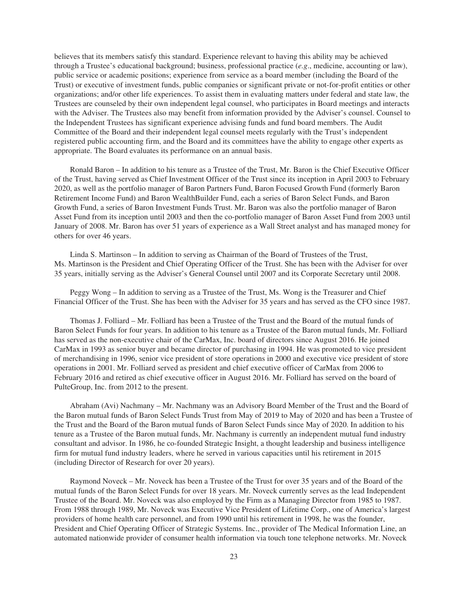believes that its members satisfy this standard. Experience relevant to having this ability may be achieved through a Trustee's educational background; business, professional practice (*e.g*., medicine, accounting or law), public service or academic positions; experience from service as a board member (including the Board of the Trust) or executive of investment funds, public companies or significant private or not-for-profit entities or other organizations; and/or other life experiences. To assist them in evaluating matters under federal and state law, the Trustees are counseled by their own independent legal counsel, who participates in Board meetings and interacts with the Adviser. The Trustees also may benefit from information provided by the Adviser's counsel. Counsel to the Independent Trustees has significant experience advising funds and fund board members. The Audit Committee of the Board and their independent legal counsel meets regularly with the Trust's independent registered public accounting firm, and the Board and its committees have the ability to engage other experts as appropriate. The Board evaluates its performance on an annual basis.

Ronald Baron – In addition to his tenure as a Trustee of the Trust, Mr. Baron is the Chief Executive Officer of the Trust, having served as Chief Investment Officer of the Trust since its inception in April 2003 to February 2020, as well as the portfolio manager of Baron Partners Fund, Baron Focused Growth Fund (formerly Baron Retirement Income Fund) and Baron WealthBuilder Fund, each a series of Baron Select Funds, and Baron Growth Fund, a series of Baron Investment Funds Trust. Mr. Baron was also the portfolio manager of Baron Asset Fund from its inception until 2003 and then the co-portfolio manager of Baron Asset Fund from 2003 until January of 2008. Mr. Baron has over 51 years of experience as a Wall Street analyst and has managed money for others for over 46 years.

Linda S. Martinson – In addition to serving as Chairman of the Board of Trustees of the Trust, Ms. Martinson is the President and Chief Operating Officer of the Trust. She has been with the Adviser for over 35 years, initially serving as the Adviser's General Counsel until 2007 and its Corporate Secretary until 2008.

Peggy Wong – In addition to serving as a Trustee of the Trust, Ms. Wong is the Treasurer and Chief Financial Officer of the Trust. She has been with the Adviser for 35 years and has served as the CFO since 1987.

Thomas J. Folliard – Mr. Folliard has been a Trustee of the Trust and the Board of the mutual funds of Baron Select Funds for four years. In addition to his tenure as a Trustee of the Baron mutual funds, Mr. Folliard has served as the non-executive chair of the CarMax, Inc. board of directors since August 2016. He joined CarMax in 1993 as senior buyer and became director of purchasing in 1994. He was promoted to vice president of merchandising in 1996, senior vice president of store operations in 2000 and executive vice president of store operations in 2001. Mr. Folliard served as president and chief executive officer of CarMax from 2006 to February 2016 and retired as chief executive officer in August 2016. Mr. Folliard has served on the board of PulteGroup, Inc. from 2012 to the present.

Abraham (Avi) Nachmany – Mr. Nachmany was an Advisory Board Member of the Trust and the Board of the Baron mutual funds of Baron Select Funds Trust from May of 2019 to May of 2020 and has been a Trustee of the Trust and the Board of the Baron mutual funds of Baron Select Funds since May of 2020. In addition to his tenure as a Trustee of the Baron mutual funds, Mr. Nachmany is currently an independent mutual fund industry consultant and advisor. In 1986, he co-founded Strategic Insight, a thought leadership and business intelligence firm for mutual fund industry leaders, where he served in various capacities until his retirement in 2015 (including Director of Research for over 20 years).

Raymond Noveck – Mr. Noveck has been a Trustee of the Trust for over 35 years and of the Board of the mutual funds of the Baron Select Funds for over 18 years. Mr. Noveck currently serves as the lead Independent Trustee of the Board. Mr. Noveck was also employed by the Firm as a Managing Director from 1985 to 1987. From 1988 through 1989, Mr. Noveck was Executive Vice President of Lifetime Corp., one of America's largest providers of home health care personnel, and from 1990 until his retirement in 1998, he was the founder, President and Chief Operating Officer of Strategic Systems. Inc., provider of The Medical Information Line, an automated nationwide provider of consumer health information via touch tone telephone networks. Mr. Noveck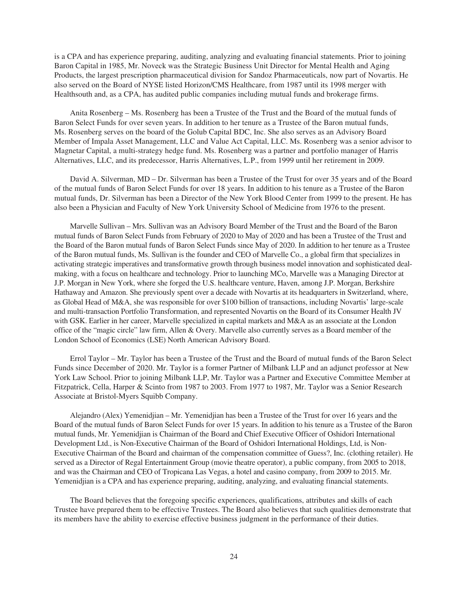is a CPA and has experience preparing, auditing, analyzing and evaluating financial statements. Prior to joining Baron Capital in 1985, Mr. Noveck was the Strategic Business Unit Director for Mental Health and Aging Products, the largest prescription pharmaceutical division for Sandoz Pharmaceuticals, now part of Novartis. He also served on the Board of NYSE listed Horizon/CMS Healthcare, from 1987 until its 1998 merger with Healthsouth and, as a CPA, has audited public companies including mutual funds and brokerage firms.

Anita Rosenberg – Ms. Rosenberg has been a Trustee of the Trust and the Board of the mutual funds of Baron Select Funds for over seven years. In addition to her tenure as a Trustee of the Baron mutual funds, Ms. Rosenberg serves on the board of the Golub Capital BDC, Inc. She also serves as an Advisory Board Member of Impala Asset Management, LLC and Value Act Capital, LLC. Ms. Rosenberg was a senior advisor to Magnetar Capital, a multi-strategy hedge fund. Ms. Rosenberg was a partner and portfolio manager of Harris Alternatives, LLC, and its predecessor, Harris Alternatives, L.P., from 1999 until her retirement in 2009.

David A. Silverman, MD – Dr. Silverman has been a Trustee of the Trust for over 35 years and of the Board of the mutual funds of Baron Select Funds for over 18 years. In addition to his tenure as a Trustee of the Baron mutual funds, Dr. Silverman has been a Director of the New York Blood Center from 1999 to the present. He has also been a Physician and Faculty of New York University School of Medicine from 1976 to the present.

Marvelle Sullivan – Mrs. Sullivan was an Advisory Board Member of the Trust and the Board of the Baron mutual funds of Baron Select Funds from February of 2020 to May of 2020 and has been a Trustee of the Trust and the Board of the Baron mutual funds of Baron Select Funds since May of 2020. In addition to her tenure as a Trustee of the Baron mutual funds, Ms. Sullivan is the founder and CEO of Marvelle Co., a global firm that specializes in activating strategic imperatives and transformative growth through business model innovation and sophisticated dealmaking, with a focus on healthcare and technology. Prior to launching MCo, Marvelle was a Managing Director at J.P. Morgan in New York, where she forged the U.S. healthcare venture, Haven, among J.P. Morgan, Berkshire Hathaway and Amazon. She previously spent over a decade with Novartis at its headquarters in Switzerland, where, as Global Head of M&A, she was responsible for over \$100 billion of transactions, including Novartis' large-scale and multi-transaction Portfolio Transformation, and represented Novartis on the Board of its Consumer Health JV with GSK. Earlier in her career, Marvelle specialized in capital markets and M&A as an associate at the London office of the "magic circle" law firm, Allen & Overy. Marvelle also currently serves as a Board member of the London School of Economics (LSE) North American Advisory Board.

Errol Taylor – Mr. Taylor has been a Trustee of the Trust and the Board of mutual funds of the Baron Select Funds since December of 2020. Mr. Taylor is a former Partner of Milbank LLP and an adjunct professor at New York Law School. Prior to joining Milbank LLP, Mr. Taylor was a Partner and Executive Committee Member at Fitzpatrick, Cella, Harper & Scinto from 1987 to 2003. From 1977 to 1987, Mr. Taylor was a Senior Research Associate at Bristol-Myers Squibb Company.

Alejandro (Alex) Yemenidjian – Mr. Yemenidjian has been a Trustee of the Trust for over 16 years and the Board of the mutual funds of Baron Select Funds for over 15 years. In addition to his tenure as a Trustee of the Baron mutual funds, Mr. Yemenidjian is Chairman of the Board and Chief Executive Officer of Oshidori International Development Ltd., is Non-Executive Chairman of the Board of Oshidori International Holdings, Ltd, is Non-Executive Chairman of the Board and chairman of the compensation committee of Guess?, Inc. (clothing retailer). He served as a Director of Regal Entertainment Group (movie theatre operator), a public company, from 2005 to 2018, and was the Chairman and CEO of Tropicana Las Vegas, a hotel and casino company, from 2009 to 2015. Mr. Yemenidjian is a CPA and has experience preparing, auditing, analyzing, and evaluating financial statements.

The Board believes that the foregoing specific experiences, qualifications, attributes and skills of each Trustee have prepared them to be effective Trustees. The Board also believes that such qualities demonstrate that its members have the ability to exercise effective business judgment in the performance of their duties.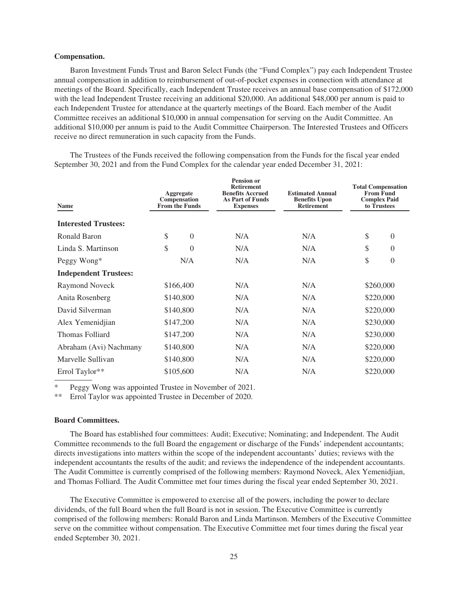# <span id="page-24-0"></span>**Compensation.**

Baron Investment Funds Trust and Baron Select Funds (the "Fund Complex") pay each Independent Trustee annual compensation in addition to reimbursement of out-of-pocket expenses in connection with attendance at meetings of the Board. Specifically, each Independent Trustee receives an annual base compensation of \$172,000 with the lead Independent Trustee receiving an additional \$20,000. An additional \$48,000 per annum is paid to each Independent Trustee for attendance at the quarterly meetings of the Board. Each member of the Audit Committee receives an additional \$10,000 in annual compensation for serving on the Audit Committee. An additional \$10,000 per annum is paid to the Audit Committee Chairperson. The Interested Trustees and Officers receive no direct remuneration in such capacity from the Funds.

The Trustees of the Funds received the following compensation from the Funds for the fiscal year ended September 30, 2021 and from the Fund Complex for the calendar year ended December 31, 2021:

| <b>Name</b>                  | Aggregate<br>Compensation<br><b>From the Funds</b> |                | <b>Pension or</b><br><b>Retirement</b><br><b>Benefits Accrued</b><br><b>As Part of Funds</b><br><b>Expenses</b> | <b>Estimated Annual</b><br><b>Benefits Upon</b><br><b>Retirement</b> | <b>Total Compensation</b><br><b>From Fund</b><br><b>Complex Paid</b><br>to Trustees |                |
|------------------------------|----------------------------------------------------|----------------|-----------------------------------------------------------------------------------------------------------------|----------------------------------------------------------------------|-------------------------------------------------------------------------------------|----------------|
| <b>Interested Trustees:</b>  |                                                    |                |                                                                                                                 |                                                                      |                                                                                     |                |
| Ronald Baron                 | \$                                                 | $\overline{0}$ | N/A                                                                                                             | N/A                                                                  | \$                                                                                  | $\overline{0}$ |
| Linda S. Martinson           | \$                                                 | $\theta$       | N/A                                                                                                             | N/A                                                                  | \$                                                                                  | $\theta$       |
| Peggy Wong*                  |                                                    | N/A            | N/A                                                                                                             | N/A                                                                  | \$                                                                                  | $\theta$       |
| <b>Independent Trustees:</b> |                                                    |                |                                                                                                                 |                                                                      |                                                                                     |                |
| Raymond Noveck               |                                                    | \$166,400      | N/A                                                                                                             | N/A                                                                  |                                                                                     | \$260,000      |
| Anita Rosenberg              |                                                    | \$140,800      | N/A                                                                                                             | N/A                                                                  |                                                                                     | \$220,000      |
| David Silverman              |                                                    | \$140,800      | N/A                                                                                                             | N/A                                                                  |                                                                                     | \$220,000      |
| Alex Yemenidjian             |                                                    | \$147,200      | N/A                                                                                                             | N/A                                                                  |                                                                                     | \$230,000      |
| Thomas Folliard              |                                                    | \$147,200      | N/A                                                                                                             | N/A                                                                  |                                                                                     | \$230,000      |
| Abraham (Avi) Nachmany       |                                                    | \$140,800      | N/A                                                                                                             | N/A                                                                  |                                                                                     | \$220,000      |
| Marvelle Sullivan            |                                                    | \$140,800      | N/A                                                                                                             | N/A                                                                  |                                                                                     | \$220,000      |
| Errol Taylor**               |                                                    | \$105,600      | N/A                                                                                                             | N/A                                                                  |                                                                                     | \$220,000      |

Peggy Wong was appointed Trustee in November of 2021.

\*\* Errol Taylor was appointed Trustee in December of 2020.

#### <span id="page-24-1"></span>**Board Committees.**

The Board has established four committees: Audit; Executive; Nominating; and Independent. The Audit Committee recommends to the full Board the engagement or discharge of the Funds' independent accountants; directs investigations into matters within the scope of the independent accountants' duties; reviews with the independent accountants the results of the audit; and reviews the independence of the independent accountants. The Audit Committee is currently comprised of the following members: Raymond Noveck, Alex Yemenidjian, and Thomas Folliard. The Audit Committee met four times during the fiscal year ended September 30, 2021.

The Executive Committee is empowered to exercise all of the powers, including the power to declare dividends, of the full Board when the full Board is not in session. The Executive Committee is currently comprised of the following members: Ronald Baron and Linda Martinson. Members of the Executive Committee serve on the committee without compensation. The Executive Committee met four times during the fiscal year ended September 30, 2021.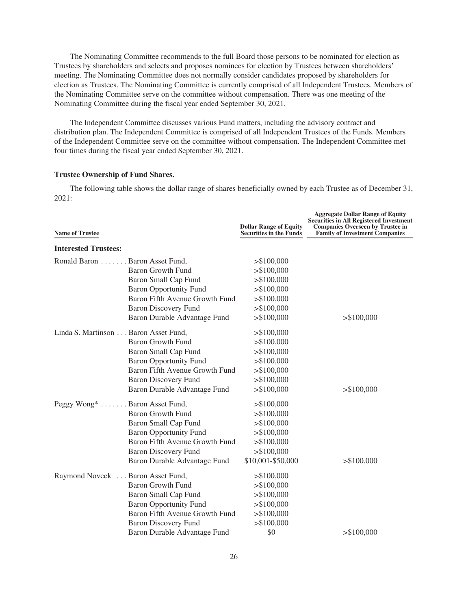The Nominating Committee recommends to the full Board those persons to be nominated for election as Trustees by shareholders and selects and proposes nominees for election by Trustees between shareholders' meeting. The Nominating Committee does not normally consider candidates proposed by shareholders for election as Trustees. The Nominating Committee is currently comprised of all Independent Trustees. Members of the Nominating Committee serve on the committee without compensation. There was one meeting of the Nominating Committee during the fiscal year ended September 30, 2021.

The Independent Committee discusses various Fund matters, including the advisory contract and distribution plan. The Independent Committee is comprised of all Independent Trustees of the Funds. Members of the Independent Committee serve on the committee without compensation. The Independent Committee met four times during the fiscal year ended September 30, 2021.

# <span id="page-25-0"></span>**Trustee Ownership of Fund Shares.**

The following table shows the dollar range of shares beneficially owned by each Trustee as of December 31, 2021:

| <b>Name of Trustee</b>               |                                | <b>Dollar Range of Equity</b><br><b>Securities in the Funds</b> | <b>Aggregate Dollar Range of Equity</b><br><b>Securities in All Registered Investment</b><br><b>Companies Overseen by Trustee in</b><br><b>Family of Investment Companies</b> |
|--------------------------------------|--------------------------------|-----------------------------------------------------------------|-------------------------------------------------------------------------------------------------------------------------------------------------------------------------------|
| <b>Interested Trustees:</b>          |                                |                                                                 |                                                                                                                                                                               |
| Ronald Baron Baron Asset Fund,       |                                | > \$100,000                                                     |                                                                                                                                                                               |
|                                      | <b>Baron Growth Fund</b>       | > \$100,000                                                     |                                                                                                                                                                               |
|                                      | Baron Small Cap Fund           | > \$100,000                                                     |                                                                                                                                                                               |
|                                      | <b>Baron Opportunity Fund</b>  | > \$100,000                                                     |                                                                                                                                                                               |
|                                      | Baron Fifth Avenue Growth Fund | > \$100,000                                                     |                                                                                                                                                                               |
|                                      | <b>Baron Discovery Fund</b>    | > \$100,000                                                     |                                                                                                                                                                               |
|                                      | Baron Durable Advantage Fund   | > \$100,000                                                     | > \$100,000                                                                                                                                                                   |
| Linda S. Martinson Baron Asset Fund, |                                | > \$100,000                                                     |                                                                                                                                                                               |
|                                      | Baron Growth Fund              | > \$100,000                                                     |                                                                                                                                                                               |
|                                      | Baron Small Cap Fund           | > \$100,000                                                     |                                                                                                                                                                               |
|                                      | <b>Baron Opportunity Fund</b>  | > \$100,000                                                     |                                                                                                                                                                               |
|                                      | Baron Fifth Avenue Growth Fund | > \$100,000                                                     |                                                                                                                                                                               |
|                                      | <b>Baron Discovery Fund</b>    | > \$100,000                                                     |                                                                                                                                                                               |
|                                      | Baron Durable Advantage Fund   | > \$100,000                                                     | > \$100,000                                                                                                                                                                   |
| Peggy Wong* Baron Asset Fund,        |                                | > \$100,000                                                     |                                                                                                                                                                               |
|                                      | <b>Baron Growth Fund</b>       | > \$100,000                                                     |                                                                                                                                                                               |
|                                      | <b>Baron Small Cap Fund</b>    | > \$100,000                                                     |                                                                                                                                                                               |
|                                      | <b>Baron Opportunity Fund</b>  | > \$100,000                                                     |                                                                                                                                                                               |
|                                      | Baron Fifth Avenue Growth Fund | > \$100,000                                                     |                                                                                                                                                                               |
|                                      | <b>Baron Discovery Fund</b>    | > \$100,000                                                     |                                                                                                                                                                               |
|                                      | Baron Durable Advantage Fund   | \$10,001-\$50,000                                               | > \$100,000                                                                                                                                                                   |
| Raymond Noveck  Baron Asset Fund,    |                                | > \$100,000                                                     |                                                                                                                                                                               |
|                                      | <b>Baron Growth Fund</b>       | > \$100,000                                                     |                                                                                                                                                                               |
|                                      | Baron Small Cap Fund           | > \$100,000                                                     |                                                                                                                                                                               |
|                                      | <b>Baron Opportunity Fund</b>  | > \$100,000                                                     |                                                                                                                                                                               |
|                                      | Baron Fifth Avenue Growth Fund | > \$100,000                                                     |                                                                                                                                                                               |
|                                      | <b>Baron Discovery Fund</b>    | > \$100,000                                                     |                                                                                                                                                                               |
|                                      | Baron Durable Advantage Fund   | \$0                                                             | > \$100,000                                                                                                                                                                   |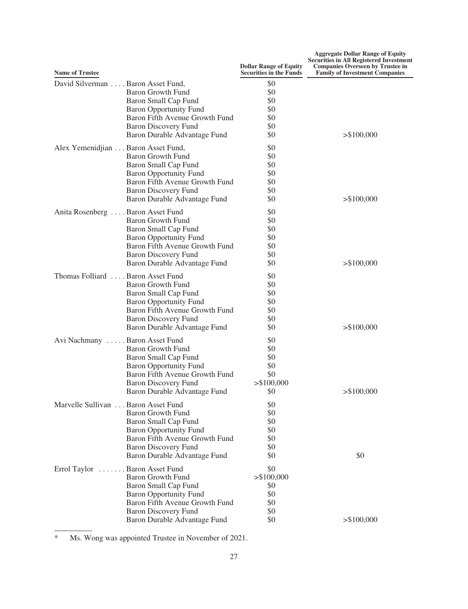| <b>Name of Trustee</b>                                                                                                                                                                                                          | <b>Dollar Range of Equity</b><br><b>Securities in the Funds</b> | <b>Aggregate Dollar Range of Equity</b><br><b>Securities in All Registered Investment</b><br><b>Companies Overseen by Trustee in</b><br><b>Family of Investment Companies</b> |
|---------------------------------------------------------------------------------------------------------------------------------------------------------------------------------------------------------------------------------|-----------------------------------------------------------------|-------------------------------------------------------------------------------------------------------------------------------------------------------------------------------|
| David Silverman Baron Asset Fund,<br><b>Baron Growth Fund</b><br><b>Baron Small Cap Fund</b><br><b>Baron Opportunity Fund</b><br>Baron Fifth Avenue Growth Fund<br><b>Baron Discovery Fund</b><br>Baron Durable Advantage Fund  | \$0<br>\$0<br>\$0<br>\$0<br>\$0<br>\$0<br>\$0                   | > \$100,000                                                                                                                                                                   |
| Alex Yemenidjian Baron Asset Fund,<br><b>Baron Growth Fund</b><br>Baron Small Cap Fund<br><b>Baron Opportunity Fund</b><br>Baron Fifth Avenue Growth Fund<br><b>Baron Discovery Fund</b><br>Baron Durable Advantage Fund        | \$0<br>\$0<br>\$0<br>\$0<br>\$0<br>\$0<br>\$0                   | > \$100,000                                                                                                                                                                   |
| Anita Rosenberg Baron Asset Fund<br><b>Baron Growth Fund</b><br><b>Baron Small Cap Fund</b><br><b>Baron Opportunity Fund</b><br>Baron Fifth Avenue Growth Fund<br><b>Baron Discovery Fund</b><br>Baron Durable Advantage Fund   | \$0<br>\$0<br>\$0<br>\$0<br>\$0<br>\$0<br>\$0                   | > \$100,000                                                                                                                                                                   |
| Thomas Folliard  Baron Asset Fund<br><b>Baron Growth Fund</b><br>Baron Small Cap Fund<br><b>Baron Opportunity Fund</b><br>Baron Fifth Avenue Growth Fund<br><b>Baron Discovery Fund</b><br>Baron Durable Advantage Fund         | \$0<br>\$0<br>\$0<br>\$0<br>\$0<br>\$0<br>\$0                   | > \$100,000                                                                                                                                                                   |
| Avi Nachmany Baron Asset Fund<br>Baron Growth Fund<br>Baron Small Cap Fund<br><b>Baron Opportunity Fund</b><br>Baron Fifth Avenue Growth Fund<br><b>Baron Discovery Fund</b><br>Baron Durable Advantage Fund                    | \$0<br>\$0<br>\$0<br>\$0<br>\$0<br>> \$100,000<br>\$0           | > \$100,000                                                                                                                                                                   |
| Marvelle Sullivan Baron Asset Fund<br><b>Baron Growth Fund</b><br><b>Baron Small Cap Fund</b><br><b>Baron Opportunity Fund</b><br>Baron Fifth Avenue Growth Fund<br><b>Baron Discovery Fund</b><br>Baron Durable Advantage Fund | \$0<br>\$0<br>\$0<br>\$0<br>\$0<br>\$0<br>\$0                   | \$0                                                                                                                                                                           |
| . Baron Asset Fund<br>Errol Taylor<br><b>Baron Growth Fund</b><br>Baron Small Cap Fund<br><b>Baron Opportunity Fund</b><br>Baron Fifth Avenue Growth Fund<br><b>Baron Discovery Fund</b><br>Baron Durable Advantage Fund        | \$0<br>> \$100,000<br>\$0<br>\$0<br>\$0<br>\$0<br>\$0           | > \$100,000                                                                                                                                                                   |

\* Ms. Wong was appointed Trustee in November of 2021.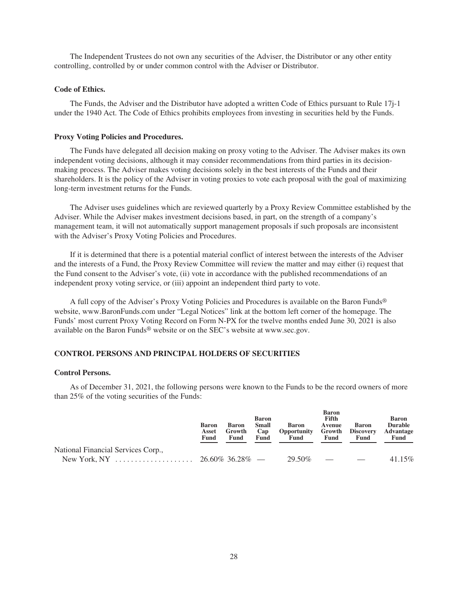The Independent Trustees do not own any securities of the Adviser, the Distributor or any other entity controlling, controlled by or under common control with the Adviser or Distributor.

#### <span id="page-27-0"></span>**Code of Ethics.**

The Funds, the Adviser and the Distributor have adopted a written Code of Ethics pursuant to Rule 17j-1 under the 1940 Act. The Code of Ethics prohibits employees from investing in securities held by the Funds.

#### <span id="page-27-1"></span>**Proxy Voting Policies and Procedures.**

The Funds have delegated all decision making on proxy voting to the Adviser. The Adviser makes its own independent voting decisions, although it may consider recommendations from third parties in its decisionmaking process. The Adviser makes voting decisions solely in the best interests of the Funds and their shareholders. It is the policy of the Adviser in voting proxies to vote each proposal with the goal of maximizing long-term investment returns for the Funds.

The Adviser uses guidelines which are reviewed quarterly by a Proxy Review Committee established by the Adviser. While the Adviser makes investment decisions based, in part, on the strength of a company's management team, it will not automatically support management proposals if such proposals are inconsistent with the Adviser's Proxy Voting Policies and Procedures.

If it is determined that there is a potential material conflict of interest between the interests of the Adviser and the interests of a Fund, the Proxy Review Committee will review the matter and may either (i) request that the Fund consent to the Adviser's vote, (ii) vote in accordance with the published recommendations of an independent proxy voting service, or (iii) appoint an independent third party to vote.

A full copy of the Adviser's Proxy Voting Policies and Procedures is available on the Baron Funds® website, www.BaronFunds.com under "Legal Notices" link at the bottom left corner of the homepage. The Funds' most current Proxy Voting Record on Form N-PX for the twelve months ended June 30, 2021 is also available on the Baron Funds® website or on the SEC's website at www.sec.gov.

# <span id="page-27-2"></span>**CONTROL PERSONS AND PRINCIPAL HOLDERS OF SECURITIES**

# <span id="page-27-3"></span>**Control Persons.**

As of December 31, 2021, the following persons were known to the Funds to be the record owners of more than 25% of the voting securities of the Funds:

|                                    | <b>Baron</b><br>Asset<br>Fund | <b>Baron</b><br>Growth<br>Fund | <b>Baron</b><br>Small<br>Cap<br>Fund | Baron<br>Opportunity<br>Fund | <b>Baron</b><br>Fifth<br>Avenue<br>Growth<br>Fund | Baron<br><b>Discovery</b><br>Fund | <b>Baron</b><br><b>Durable</b><br><b>Advantage</b><br>Fund |
|------------------------------------|-------------------------------|--------------------------------|--------------------------------------|------------------------------|---------------------------------------------------|-----------------------------------|------------------------------------------------------------|
| National Financial Services Corp., |                               |                                |                                      |                              |                                                   |                                   |                                                            |
|                                    |                               |                                |                                      | 29.50%                       | and the state of the state of the state of        |                                   | 41.15%                                                     |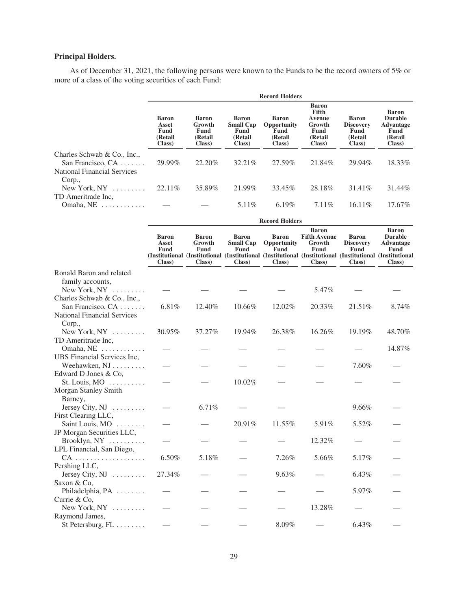# <span id="page-28-0"></span>**Principal Holders.**

As of December 31, 2021, the following persons were known to the Funds to be the record owners of 5% or more of a class of the voting securities of each Fund:

|                                                                                   | <b>Record Holders</b>                                     |                                                     |                                                         |                                                    |                                                                        |                                                                |                                                                           |  |
|-----------------------------------------------------------------------------------|-----------------------------------------------------------|-----------------------------------------------------|---------------------------------------------------------|----------------------------------------------------|------------------------------------------------------------------------|----------------------------------------------------------------|---------------------------------------------------------------------------|--|
|                                                                                   | <b>Baron</b><br>Asset<br><b>Fund</b><br>(Retail<br>Class) | <b>Baron</b><br>Growth<br>Fund<br>(Retail<br>Class) | Baron<br><b>Small Cap</b><br>Fund<br>(Retail)<br>Class) | Baron<br>Opportunity<br>Fund<br>(Retail)<br>Class) | <b>Baron</b><br>Fifth<br>Avenue<br>Growth<br>Fund<br>(Retail<br>Class) | <b>Baron</b><br><b>Discovery</b><br>Fund<br>(Retail)<br>Class) | <b>Baron</b><br><b>Durable</b><br>Advantage<br>Fund<br>(Retail)<br>Class) |  |
| Charles Schwab & Co., Inc.,<br>San Francisco, $CA$<br>National Financial Services | 29.99%                                                    | 22.20\%                                             | 32.21%                                                  | 27.59%                                             | 21.84%                                                                 | 29.94%                                                         | 18.33%                                                                    |  |
| Corp.,<br>New York, $NY$<br>TD Ameritrade Inc.                                    | $22.11\%$                                                 | 35.89%                                              | 21.99%                                                  | 33.45%                                             | 28.18%                                                                 | 31.41\%                                                        | 31.44%                                                                    |  |
| Omaha, NE                                                                         |                                                           |                                                     | 5.11\%                                                  | $6.19\%$                                           | $7.11\%$                                                               | $16.11\%$                                                      | $17.67\%$                                                                 |  |

|                                                                      |                                         |                                          |                                                    | <b>Record Holders</b>                  |                                                                                                                                                                             |                                                    |                                                                      |
|----------------------------------------------------------------------|-----------------------------------------|------------------------------------------|----------------------------------------------------|----------------------------------------|-----------------------------------------------------------------------------------------------------------------------------------------------------------------------------|----------------------------------------------------|----------------------------------------------------------------------|
|                                                                      | <b>Baron</b><br>Asset<br>Fund<br>Class) | <b>Baron</b><br>Growth<br>Fund<br>Class) | <b>Baron</b><br><b>Small Cap</b><br>Fund<br>Class) | Baron<br>Opportunity<br>Fund<br>Class) | <b>Baron</b><br><b>Fifth Avenue</b><br>Growth<br>Fund<br>(Institutional (Institutional (Institutional (Institutional (Institutional (Institutional (Institutional<br>Class) | <b>Baron</b><br><b>Discovery</b><br>Fund<br>Class) | <b>Baron</b><br><b>Durable</b><br><b>Advantage</b><br>Fund<br>Class) |
| Ronald Baron and related<br>family accounts,<br>New York, $NY$       |                                         |                                          |                                                    |                                        | 5.47%                                                                                                                                                                       |                                                    |                                                                      |
| Charles Schwab & Co., Inc.,                                          |                                         |                                          |                                                    |                                        |                                                                                                                                                                             |                                                    |                                                                      |
| San Francisco, CA<br><b>National Financial Services</b><br>Corp.,    | 6.81%                                   | 12.40%                                   | 10.66%                                             | 12.02%                                 | 20.33%                                                                                                                                                                      | 21.51%                                             | 8.74%                                                                |
| New York, $NY$                                                       | 30.95%                                  | 37.27%                                   | 19.94%                                             | 26.38%                                 | 16.26%                                                                                                                                                                      | 19.19%                                             | 48.70%                                                               |
| TD Ameritrade Inc.<br>Omaha, NE                                      |                                         |                                          |                                                    |                                        |                                                                                                                                                                             |                                                    | 14.87%                                                               |
| UBS Financial Services Inc,<br>Weehawken, NJ<br>Edward D Jones & Co. |                                         |                                          |                                                    |                                        |                                                                                                                                                                             | 7.60%                                              |                                                                      |
| St. Louis, $MO$<br>Morgan Stanley Smith                              |                                         |                                          | 10.02%                                             |                                        |                                                                                                                                                                             |                                                    |                                                                      |
| Barney,<br>Jersey City, $NJ$                                         |                                         | 6.71%                                    |                                                    |                                        |                                                                                                                                                                             | 9.66%                                              |                                                                      |
| First Clearing LLC,<br>Saint Louis, MO                               |                                         |                                          | 20.91%                                             | 11.55%                                 | 5.91%                                                                                                                                                                       | 5.52%                                              |                                                                      |
| JP Morgan Securities LLC,<br>Brooklyn, NY                            |                                         |                                          |                                                    |                                        | 12.32%                                                                                                                                                                      |                                                    |                                                                      |
| LPL Financial, San Diego,<br>$CA$                                    | 6.50%                                   | 5.18%                                    |                                                    | 7.26%                                  | 5.66%                                                                                                                                                                       | 5.17%                                              |                                                                      |
| Pershing LLC,<br>Jersey City, $NJ$                                   | 27.34%                                  |                                          |                                                    | 9.63%                                  |                                                                                                                                                                             | 6.43%                                              |                                                                      |
| Saxon & Co,<br>Philadelphia, PA                                      |                                         |                                          |                                                    |                                        |                                                                                                                                                                             | 5.97%                                              |                                                                      |
| Currie & Co,<br>New York, $NY$                                       |                                         |                                          |                                                    |                                        | 13.28%                                                                                                                                                                      |                                                    |                                                                      |
| Raymond James,<br>St Petersburg, $FL \ldots \ldots$                  |                                         |                                          |                                                    | 8.09%                                  |                                                                                                                                                                             | 6.43%                                              |                                                                      |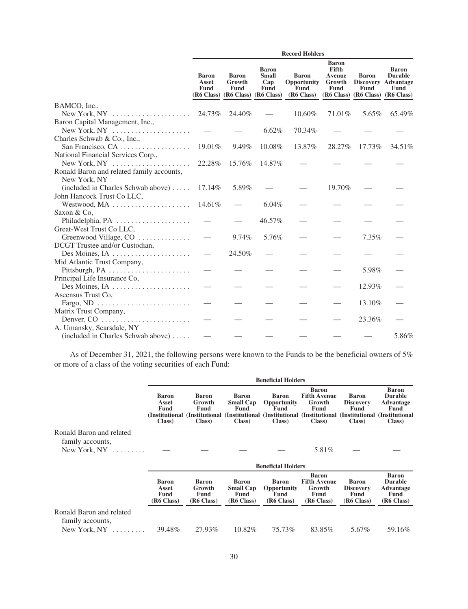|                                                           | <b>Record Holders</b>         |                                                                    |                                             |                                                               |                                                          |                      |                                                                                                          |
|-----------------------------------------------------------|-------------------------------|--------------------------------------------------------------------|---------------------------------------------|---------------------------------------------------------------|----------------------------------------------------------|----------------------|----------------------------------------------------------------------------------------------------------|
|                                                           | <b>Baron</b><br>Asset<br>Fund | <b>Baron</b><br>Growth<br>Fund<br>(R6 Class) (R6 Class) (R6 Class) | <b>Baron</b><br><b>Small</b><br>Cap<br>Fund | <b>Baron</b><br>Opportunity<br>Fund<br>(R <sub>6</sub> Class) | <b>Baron</b><br>Fifth<br><b>Avenue</b><br>Growth<br>Fund | <b>Baron</b><br>Fund | <b>Baron</b><br><b>Durable</b><br><b>Discovery Advantage</b><br>Fund<br>(R6 Class) (R6 Class) (R6 Class) |
| BAMCO, Inc.,                                              |                               |                                                                    |                                             |                                                               |                                                          |                      |                                                                                                          |
|                                                           | 24.73%                        | 24.40%                                                             |                                             | 10.60%                                                        | 71.01%                                                   | 5.65%                | 65.49%                                                                                                   |
| Baron Capital Management, Inc.,                           |                               |                                                                    |                                             |                                                               |                                                          |                      |                                                                                                          |
| New York, $NY$                                            |                               |                                                                    | 6.62%                                       | 70.34%                                                        |                                                          |                      |                                                                                                          |
| Charles Schwab & Co., Inc.,                               |                               |                                                                    |                                             |                                                               |                                                          |                      |                                                                                                          |
|                                                           | 19.01%                        | 9.49%                                                              | 10.08%                                      | 13.87%                                                        | 28.27%                                                   | 17.73%               | 34.51%                                                                                                   |
| National Financial Services Corp.,                        |                               |                                                                    |                                             |                                                               |                                                          |                      |                                                                                                          |
| New York, NY                                              | 22.28%                        | 15.76%                                                             | 14.87%                                      |                                                               |                                                          |                      |                                                                                                          |
| Ronald Baron and related family accounts,                 |                               |                                                                    |                                             |                                                               |                                                          |                      |                                                                                                          |
| New York, NY                                              |                               |                                                                    |                                             |                                                               |                                                          |                      |                                                                                                          |
| (included in Charles Schwab above)                        | 17.14%                        | 5.89%                                                              |                                             |                                                               | 19.70%                                                   |                      |                                                                                                          |
| John Hancock Trust Co LLC,                                |                               |                                                                    |                                             |                                                               |                                                          |                      |                                                                                                          |
| Westwood, MA                                              | 14.61%                        |                                                                    | $6.04\%$                                    |                                                               |                                                          |                      |                                                                                                          |
| Saxon & Co.                                               |                               |                                                                    |                                             |                                                               |                                                          |                      |                                                                                                          |
| Philadelphia, PA                                          |                               |                                                                    | 46.57%                                      |                                                               |                                                          |                      |                                                                                                          |
| Great-West Trust Co LLC,                                  |                               |                                                                    |                                             |                                                               |                                                          |                      |                                                                                                          |
| Greenwood Village, CO                                     |                               | 9.74%                                                              | 5.76%                                       |                                                               |                                                          | 7.35%                |                                                                                                          |
| DCGT Trustee and/or Custodian,                            |                               |                                                                    |                                             |                                                               |                                                          |                      |                                                                                                          |
|                                                           |                               | 24.50%                                                             |                                             |                                                               |                                                          |                      |                                                                                                          |
| Mid Atlantic Trust Company,                               |                               |                                                                    |                                             |                                                               |                                                          |                      |                                                                                                          |
| Pittsburgh, PA                                            |                               |                                                                    |                                             |                                                               |                                                          | 5.98%                |                                                                                                          |
| Principal Life Insurance Co,                              |                               |                                                                    |                                             |                                                               |                                                          |                      |                                                                                                          |
| Des Moines, IA                                            |                               |                                                                    |                                             |                                                               |                                                          | 12.93%               |                                                                                                          |
| Ascensus Trust Co.                                        |                               |                                                                    |                                             |                                                               |                                                          |                      |                                                                                                          |
| Fargo, ND $\dots\dots\dots\dots\dots\dots\dots\dots\dots$ |                               |                                                                    |                                             |                                                               |                                                          | 13.10%               |                                                                                                          |
| Matrix Trust Company,                                     |                               |                                                                    |                                             |                                                               |                                                          |                      |                                                                                                          |
|                                                           |                               |                                                                    |                                             |                                                               |                                                          | 23.36%               |                                                                                                          |
| A. Umansky, Scarsdale, NY                                 |                               |                                                                    |                                             |                                                               |                                                          |                      |                                                                                                          |
| (included in Charles Schwab above)                        |                               |                                                                    |                                             |                                                               |                                                          |                      | 5.86%                                                                                                    |

As of December 31, 2021, the following persons were known to the Funds to be the beneficial owners of 5% or more of a class of the voting securities of each Fund:

|                                                                |                                      |                                                   |                                                        | <b>Beneficial Holders</b>                                |                                                                                                                                                                              |                                                        |                                                                                      |
|----------------------------------------------------------------|--------------------------------------|---------------------------------------------------|--------------------------------------------------------|----------------------------------------------------------|------------------------------------------------------------------------------------------------------------------------------------------------------------------------------|--------------------------------------------------------|--------------------------------------------------------------------------------------|
|                                                                | Baron<br>Asset<br>Fund<br>Class)     | Baron<br>Growth<br><b>Fund</b><br>Class)          | <b>Baron</b><br><b>Small Cap</b><br>Fund<br>Class)     | <b>Baron</b><br><b>Opportunity</b><br>Fund<br>Class)     | <b>Baron</b><br><b>Fifth Avenue</b><br>Growth<br>Fund<br>(Institutional (Institutional (Institutional (Institutional (Institutional (Institutional (Institutional)<br>Class) | <b>Baron</b><br><b>Discovery</b><br>Fund<br>Class)     | <b>Baron</b><br><b>Durable</b><br><b>Advantage</b><br>Fund<br>Class)                 |
| Ronald Baron and related<br>family accounts,<br>New York, $NY$ |                                      |                                                   |                                                        |                                                          | 5.81%                                                                                                                                                                        |                                                        |                                                                                      |
|                                                                |                                      |                                                   |                                                        | <b>Beneficial Holders</b>                                |                                                                                                                                                                              |                                                        |                                                                                      |
|                                                                | Baron<br>Asset<br>Fund<br>(R6 Class) | Baron<br>Growth<br>Fund<br>(R <sub>6</sub> Class) | <b>Baron</b><br><b>Small Cap</b><br>Fund<br>(R6 Class) | <b>Baron</b><br><b>Opportunity</b><br>Fund<br>(R6 Class) | <b>Baron</b><br><b>Fifth Avenue</b><br>Growth<br>Fund<br>(R <sub>6</sub> Class)                                                                                              | <b>Baron</b><br><b>Discovery</b><br>Fund<br>(R6 Class) | <b>Baron</b><br><b>Durable</b><br><b>Advantage</b><br>Fund<br>(R <sub>6</sub> Class) |
| Ronald Baron and related<br>family accounts,                   |                                      |                                                   |                                                        |                                                          |                                                                                                                                                                              |                                                        |                                                                                      |
| New York, $NY$                                                 | 39.48%                               | 27.93%                                            | 10.82\%                                                | 75.73%                                                   | 83.85%                                                                                                                                                                       | 5.67%                                                  | 59.16%                                                                               |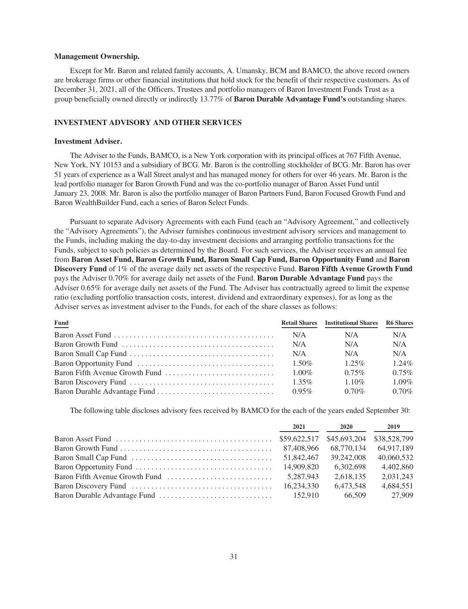#### <span id="page-30-0"></span>**Management Ownership.**

Except for Mr. Baron and related family accounts, A. Umansky, BCM and BAMCO, the above record owners are brokerage firms or other financial institutions that hold stock for the benefit of their respective customers. As of December 31, 2021, all of the Officers, Trustees and portfolio managers of Baron Investment Funds Trust as a group beneficially owned directly or indirectly 13.77% of **Baron Durable Advantage Fund's** outstanding shares.

# <span id="page-30-1"></span>**INVESTMENT ADVISORY AND OTHER SERVICES**

# <span id="page-30-2"></span>**Investment Adviser.**

The Adviser to the Funds, BAMCO, is a New York corporation with its principal offices at 767 Fifth Avenue, New York, NY 10153 and a subsidiary of BCG. Mr. Baron is the controlling stockholder of BCG. Mr. Baron has over 51 years of experience as a Wall Street analyst and has managed money for others for over 46 years. Mr. Baron is the lead portfolio manager for Baron Growth Fund and was the co-portfolio manager of Baron Asset Fund until January 23, 2008. Mr. Baron is also the portfolio manager of Baron Partners Fund, Baron Focused Growth Fund and Baron WealthBuilder Fund, each a series of Baron Select Funds.

Pursuant to separate Advisory Agreements with each Fund (each an "Advisory Agreement," and collectively the "Advisory Agreements"), the Adviser furnishes continuous investment advisory services and management to the Funds, including making the day-to-day investment decisions and arranging portfolio transactions for the Funds, subject to such policies as determined by the Board. For such services, the Adviser receives an annual fee from **Baron Asset Fund, Baron Growth Fund, Baron Small Cap Fund, Baron Opportunity Fund** and **Baron Discovery Fund** of 1% of the average daily net assets of the respective Fund. **Baron Fifth Avenue Growth Fund** pays the Adviser 0.70% for average daily net assets of the Fund. **Baron Durable Advantage Fund** pays the Adviser 0.65% for average daily net assets of the Fund. The Adviser has contractually agreed to limit the expense ratio (excluding portfolio transaction costs, interest, dividend and extraordinary expenses), for as long as the Adviser serves as investment adviser to the Funds, for each of the share classes as follows:

| <b>Fund</b>                                                                                      |          | <b>Retail Shares</b> Institutional Shares R6 Shares |          |
|--------------------------------------------------------------------------------------------------|----------|-----------------------------------------------------|----------|
|                                                                                                  | N/A      | N/A                                                 | N/A      |
| Baron Growth Fund $\ldots \ldots \ldots \ldots \ldots \ldots \ldots \ldots \ldots \ldots \ldots$ | N/A      | N/A                                                 | N/A      |
|                                                                                                  | N/A      | N/A                                                 | N/A      |
|                                                                                                  | $1.50\%$ | $1.25\%$                                            | $1.24\%$ |
|                                                                                                  | $1.00\%$ | $0.75\%$                                            | $0.75\%$ |
|                                                                                                  | $1.35\%$ | $1.10\%$                                            | $1.09\%$ |
|                                                                                                  |          | $0.70\%$                                            | $0.70\%$ |

The following table discloses advisory fees received by BAMCO for the each of the years ended September 30:

|                                                                                                         | 2021       | 2020         | 2019         |
|---------------------------------------------------------------------------------------------------------|------------|--------------|--------------|
| Baron Asset Fund $\dots \dots \dots \dots \dots \dots \dots \dots \dots \dots \dots \dots$ \$59.622.517 |            | \$45,693,204 | \$38,528,799 |
|                                                                                                         | 87.408.966 | 68,770,134   | 64,917,189   |
|                                                                                                         | 51.842.467 | 39,242,008   | 40.060.532   |
|                                                                                                         |            | 6.302.698    | 4,402,860    |
|                                                                                                         | 5.287.943  | 2.618.135    | 2.031.243    |
|                                                                                                         |            | 6.473.548    | 4.684.551    |
|                                                                                                         |            | 66.509       | 27,909       |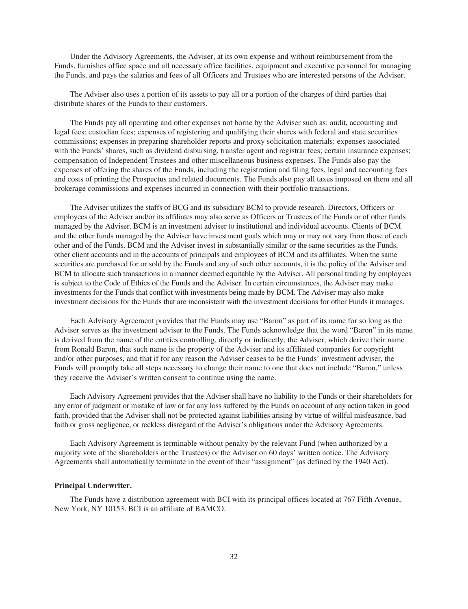Under the Advisory Agreements, the Adviser, at its own expense and without reimbursement from the Funds, furnishes office space and all necessary office facilities, equipment and executive personnel for managing the Funds, and pays the salaries and fees of all Officers and Trustees who are interested persons of the Adviser.

The Adviser also uses a portion of its assets to pay all or a portion of the charges of third parties that distribute shares of the Funds to their customers.

The Funds pay all operating and other expenses not borne by the Adviser such as: audit, accounting and legal fees; custodian fees; expenses of registering and qualifying their shares with federal and state securities commissions; expenses in preparing shareholder reports and proxy solicitation materials; expenses associated with the Funds' shares, such as dividend disbursing, transfer agent and registrar fees; certain insurance expenses; compensation of Independent Trustees and other miscellaneous business expenses. The Funds also pay the expenses of offering the shares of the Funds, including the registration and filing fees, legal and accounting fees and costs of printing the Prospectus and related documents. The Funds also pay all taxes imposed on them and all brokerage commissions and expenses incurred in connection with their portfolio transactions.

The Adviser utilizes the staffs of BCG and its subsidiary BCM to provide research. Directors, Officers or employees of the Adviser and/or its affiliates may also serve as Officers or Trustees of the Funds or of other funds managed by the Adviser. BCM is an investment adviser to institutional and individual accounts. Clients of BCM and the other funds managed by the Adviser have investment goals which may or may not vary from those of each other and of the Funds. BCM and the Adviser invest in substantially similar or the same securities as the Funds, other client accounts and in the accounts of principals and employees of BCM and its affiliates. When the same securities are purchased for or sold by the Funds and any of such other accounts, it is the policy of the Adviser and BCM to allocate such transactions in a manner deemed equitable by the Adviser. All personal trading by employees is subject to the Code of Ethics of the Funds and the Adviser. In certain circumstances, the Adviser may make investments for the Funds that conflict with investments being made by BCM. The Adviser may also make investment decisions for the Funds that are inconsistent with the investment decisions for other Funds it manages.

Each Advisory Agreement provides that the Funds may use "Baron" as part of its name for so long as the Adviser serves as the investment adviser to the Funds. The Funds acknowledge that the word "Baron" in its name is derived from the name of the entities controlling, directly or indirectly, the Adviser, which derive their name from Ronald Baron, that such name is the property of the Adviser and its affiliated companies for copyright and/or other purposes, and that if for any reason the Adviser ceases to be the Funds' investment adviser, the Funds will promptly take all steps necessary to change their name to one that does not include "Baron," unless they receive the Adviser's written consent to continue using the name.

Each Advisory Agreement provides that the Adviser shall have no liability to the Funds or their shareholders for any error of judgment or mistake of law or for any loss suffered by the Funds on account of any action taken in good faith, provided that the Adviser shall not be protected against liabilities arising by virtue of willful misfeasance, bad faith or gross negligence, or reckless disregard of the Adviser's obligations under the Advisory Agreements.

Each Advisory Agreement is terminable without penalty by the relevant Fund (when authorized by a majority vote of the shareholders or the Trustees) or the Adviser on 60 days' written notice. The Advisory Agreements shall automatically terminate in the event of their "assignment" (as defined by the 1940 Act).

# <span id="page-31-0"></span>**Principal Underwriter.**

The Funds have a distribution agreement with BCI with its principal offices located at 767 Fifth Avenue, New York, NY 10153. BCI is an affiliate of BAMCO.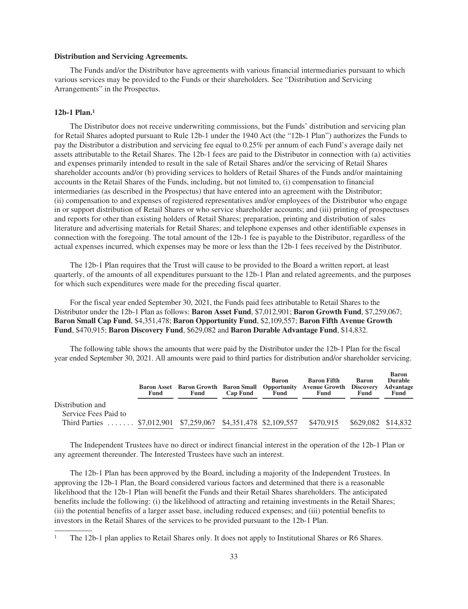#### <span id="page-32-0"></span>**Distribution and Servicing Agreements.**

The Funds and/or the Distributor have agreements with various financial intermediaries pursuant to which various services may be provided to the Funds or their shareholders. See "Distribution and Servicing Arrangements" in the Prospectus.

# <span id="page-32-1"></span>**12b-1 Plan.1**

The Distributor does not receive underwriting commissions, but the Funds' distribution and servicing plan for Retail Shares adopted pursuant to Rule 12b-1 under the 1940 Act (the "12b-1 Plan") authorizes the Funds to pay the Distributor a distribution and servicing fee equal to 0.25% per annum of each Fund's average daily net assets attributable to the Retail Shares. The 12b-1 fees are paid to the Distributor in connection with (a) activities and expenses primarily intended to result in the sale of Retail Shares and/or the servicing of Retail Shares shareholder accounts and/or (b) providing services to holders of Retail Shares of the Funds and/or maintaining accounts in the Retail Shares of the Funds, including, but not limited to, (i) compensation to financial intermediaries (as described in the Prospectus) that have entered into an agreement with the Distributor; (ii) compensation to and expenses of registered representatives and/or employees of the Distributor who engage in or support distribution of Retail Shares or who service shareholder accounts; and (iii) printing of prospectuses and reports for other than existing holders of Retail Shares; preparation, printing and distribution of sales literature and advertising materials for Retail Shares; and telephone expenses and other identifiable expenses in connection with the foregoing. The total amount of the 12b-1 fee is payable to the Distributor, regardless of the actual expenses incurred, which expenses may be more or less than the 12b-1 fees received by the Distributor.

The 12b-1 Plan requires that the Trust will cause to be provided to the Board a written report, at least quarterly, of the amounts of all expenditures pursuant to the 12b-1 Plan and related agreements, and the purposes for which such expenditures were made for the preceding fiscal quarter.

For the fiscal year ended September 30, 2021, the Funds paid fees attributable to Retail Shares to the Distributor under the 12b-1 Plan as follows: **Baron Asset Fund**, \$7,012,901; **Baron Growth Fund**, \$7,259,067; **Baron Small Cap Fund**, \$4,351,478; **Baron Opportunity Fund**, \$2,109,557; **Baron Fifth Avenue Growth Fund**, \$470,915; **Baron Discovery Fund**, \$629,082 and **Baron Durable Advantage Fund**, \$14,832.

The following table shows the amounts that were paid by the Distributor under the 12b-1 Plan for the fiscal year ended September 30, 2021. All amounts were paid to third parties for distribution and/or shareholder servicing.

|                                                                | Fund | Fund | <b>Cap Fund</b> | <b>Baron</b><br>Fund | <b>Baron Fifth</b><br><b>Baron Asset</b> Baron Growth Baron Small Opportunity Avenue Growth Discovery<br>Fund | <b>Baron</b><br>Fund | <b>Baron</b><br><b>Durable</b><br>Advantage<br>Fund |
|----------------------------------------------------------------|------|------|-----------------|----------------------|---------------------------------------------------------------------------------------------------------------|----------------------|-----------------------------------------------------|
| Distribution and                                               |      |      |                 |                      |                                                                                                               |                      |                                                     |
| Service Fees Paid to                                           |      |      |                 |                      |                                                                                                               |                      |                                                     |
| Third Parties  \$7,012,901 \$7,259,067 \$4,351,478 \$2,109,557 |      |      |                 |                      | \$470.915                                                                                                     | \$629,082 \$14,832   |                                                     |

The Independent Trustees have no direct or indirect financial interest in the operation of the 12b-1 Plan or any agreement thereunder. The Interested Trustees have such an interest.

The 12b-1 Plan has been approved by the Board, including a majority of the Independent Trustees. In approving the 12b-1 Plan, the Board considered various factors and determined that there is a reasonable likelihood that the 12b-1 Plan will benefit the Funds and their Retail Shares shareholders. The anticipated benefits include the following: (i) the likelihood of attracting and retaining investments in the Retail Shares; (ii) the potential benefits of a larger asset base, including reduced expenses; and (iii) potential benefits to investors in the Retail Shares of the services to be provided pursuant to the 12b-1 Plan.

<sup>&</sup>lt;sup>1</sup> The 12b-1 plan applies to Retail Shares only. It does not apply to Institutional Shares or R6 Shares.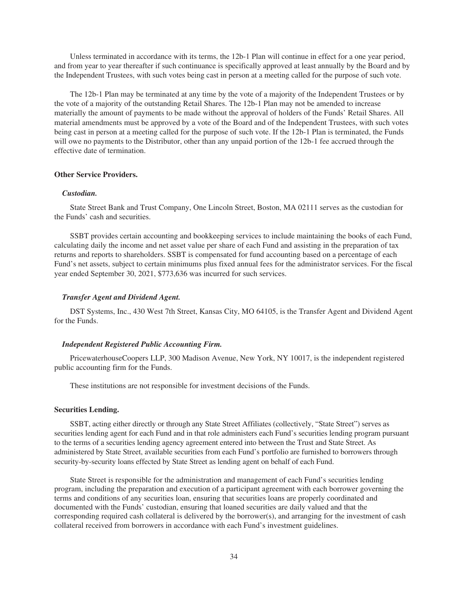Unless terminated in accordance with its terms, the 12b-1 Plan will continue in effect for a one year period, and from year to year thereafter if such continuance is specifically approved at least annually by the Board and by the Independent Trustees, with such votes being cast in person at a meeting called for the purpose of such vote.

The 12b-1 Plan may be terminated at any time by the vote of a majority of the Independent Trustees or by the vote of a majority of the outstanding Retail Shares. The 12b-1 Plan may not be amended to increase materially the amount of payments to be made without the approval of holders of the Funds' Retail Shares. All material amendments must be approved by a vote of the Board and of the Independent Trustees, with such votes being cast in person at a meeting called for the purpose of such vote. If the 12b-1 Plan is terminated, the Funds will owe no payments to the Distributor, other than any unpaid portion of the 12b-1 fee accrued through the effective date of termination.

# <span id="page-33-0"></span>**Other Service Providers.**

# *Custodian.*

State Street Bank and Trust Company, One Lincoln Street, Boston, MA 02111 serves as the custodian for the Funds' cash and securities.

SSBT provides certain accounting and bookkeeping services to include maintaining the books of each Fund, calculating daily the income and net asset value per share of each Fund and assisting in the preparation of tax returns and reports to shareholders. SSBT is compensated for fund accounting based on a percentage of each Fund's net assets, subject to certain minimums plus fixed annual fees for the administrator services. For the fiscal year ended September 30, 2021, \$773,636 was incurred for such services.

# *Transfer Agent and Dividend Agent.*

DST Systems, Inc., 430 West 7th Street, Kansas City, MO 64105, is the Transfer Agent and Dividend Agent for the Funds.

# *Independent Registered Public Accounting Firm.*

PricewaterhouseCoopers LLP, 300 Madison Avenue, New York, NY 10017, is the independent registered public accounting firm for the Funds.

These institutions are not responsible for investment decisions of the Funds.

# <span id="page-33-1"></span>**Securities Lending.**

SSBT, acting either directly or through any State Street Affiliates (collectively, "State Street") serves as securities lending agent for each Fund and in that role administers each Fund's securities lending program pursuant to the terms of a securities lending agency agreement entered into between the Trust and State Street. As administered by State Street, available securities from each Fund's portfolio are furnished to borrowers through security-by-security loans effected by State Street as lending agent on behalf of each Fund.

State Street is responsible for the administration and management of each Fund's securities lending program, including the preparation and execution of a participant agreement with each borrower governing the terms and conditions of any securities loan, ensuring that securities loans are properly coordinated and documented with the Funds' custodian, ensuring that loaned securities are daily valued and that the corresponding required cash collateral is delivered by the borrower(s), and arranging for the investment of cash collateral received from borrowers in accordance with each Fund's investment guidelines.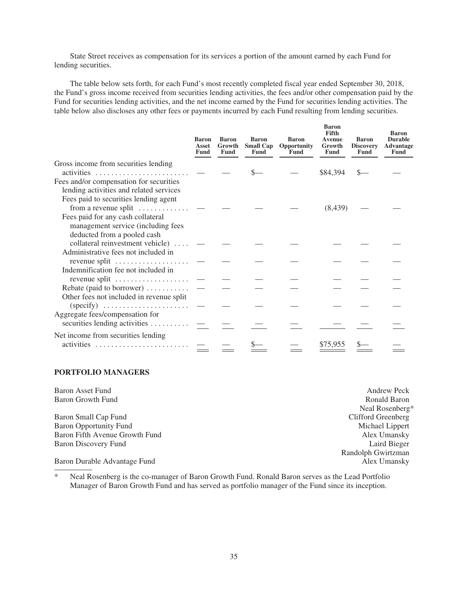State Street receives as compensation for its services a portion of the amount earned by each Fund for lending securities.

The table below sets forth, for each Fund's most recently completed fiscal year ended September 30, 2018, the Fund's gross income received from securities lending activities, the fees and/or other compensation paid by the Fund for securities lending activities, and the net income earned by the Fund for securities lending activities. The table below also discloses any other fees or payments incurred by each Fund resulting from lending securities.

|                                                                                                        | <b>Baron</b><br>Asset<br><b>Fund</b> | <b>Baron</b><br>Growth<br>Fund | <b>Baron</b><br><b>Small Cap</b><br>Fund | <b>Baron</b><br><b>Opportunity</b><br>Fund | <b>Baron</b><br>Fifth<br>Avenue<br>Growth<br>Fund | <b>Baron</b><br><b>Discovery</b><br>Fund | <b>Baron</b><br><b>Durable</b><br>Advantage<br>Fund |
|--------------------------------------------------------------------------------------------------------|--------------------------------------|--------------------------------|------------------------------------------|--------------------------------------------|---------------------------------------------------|------------------------------------------|-----------------------------------------------------|
| Gross income from securities lending<br>activities                                                     |                                      |                                |                                          |                                            | \$84,394                                          |                                          |                                                     |
| Fees and/or compensation for securities<br>lending activities and related services                     |                                      |                                |                                          |                                            |                                                   |                                          |                                                     |
| Fees paid to securities lending agent<br>from a revenue split $\dots \dots \dots$                      |                                      |                                |                                          |                                            | (8, 439)                                          |                                          |                                                     |
| Fees paid for any cash collateral<br>management service (including fees<br>deducted from a pooled cash |                                      |                                |                                          |                                            |                                                   |                                          |                                                     |
| collateral reinvestment vehicle)<br>Administrative fees not included in                                |                                      |                                |                                          |                                            |                                                   |                                          |                                                     |
| revenue split $\dots\dots\dots\dots\dots\dots$<br>Indemnification fee not included in                  |                                      |                                |                                          |                                            |                                                   |                                          |                                                     |
| revenue split $\dots\dots\dots\dots\dots\dots$                                                         |                                      |                                |                                          |                                            |                                                   |                                          |                                                     |
| Rebate (paid to borrower)<br>Other fees not included in revenue split                                  |                                      |                                |                                          |                                            |                                                   |                                          |                                                     |
|                                                                                                        |                                      |                                |                                          |                                            |                                                   |                                          |                                                     |
| Aggregate fees/compensation for<br>securities lending activities                                       |                                      |                                |                                          |                                            |                                                   |                                          |                                                     |
| Net income from securities lending                                                                     |                                      |                                |                                          |                                            |                                                   |                                          |                                                     |
| activities                                                                                             |                                      |                                |                                          |                                            | \$75,955                                          |                                          |                                                     |

# <span id="page-34-0"></span>**PORTFOLIO MANAGERS**

| <b>Baron Asset Fund</b>        | <b>Andrew Peck</b> |
|--------------------------------|--------------------|
| Baron Growth Fund              | Ronald Baron       |
|                                | Neal Rosenberg*    |
| Baron Small Cap Fund           | Clifford Greenberg |
| <b>Baron Opportunity Fund</b>  | Michael Lippert    |
| Baron Fifth Avenue Growth Fund | Alex Umansky       |
| Baron Discovery Fund           | Laird Bieger       |
|                                | Randolph Gwirtzman |
| Baron Durable Advantage Fund   | Alex Umansky       |

\* Neal Rosenberg is the co-manager of Baron Growth Fund. Ronald Baron serves as the Lead Portfolio Manager of Baron Growth Fund and has served as portfolio manager of the Fund since its inception.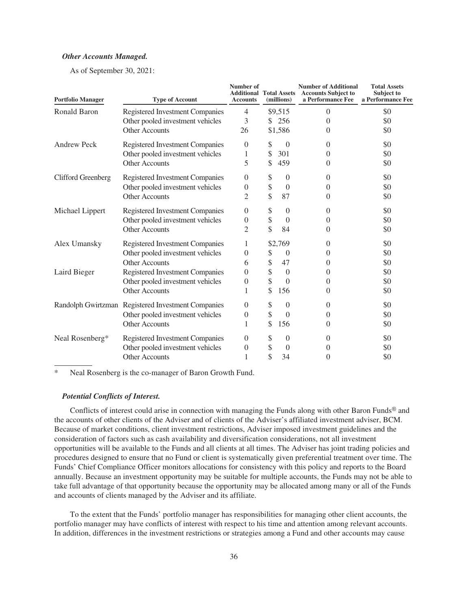# *Other Accounts Managed.*

As of September 30, 2021:

| <b>Portfolio Manager</b> | <b>Type of Account</b>                             | Number of<br><b>Additional Total Assets</b><br><b>Accounts</b> | (millions)     | <b>Number of Additional</b><br><b>Accounts Subject to</b><br>a Performance Fee | <b>Total Assets</b><br>Subject to<br>a Performance Fee |
|--------------------------|----------------------------------------------------|----------------------------------------------------------------|----------------|--------------------------------------------------------------------------------|--------------------------------------------------------|
| Ronald Baron             | <b>Registered Investment Companies</b>             | 4                                                              | \$9,515        | $\Omega$                                                                       | \$0                                                    |
|                          | Other pooled investment vehicles                   | 3                                                              | \$256          | $\theta$                                                                       | \$0                                                    |
|                          | Other Accounts                                     | 26                                                             | \$1,586        | 0                                                                              | \$0                                                    |
| <b>Andrew Peck</b>       | Registered Investment Companies                    | $\overline{0}$                                                 | \$<br>$\theta$ | $\theta$                                                                       | \$0                                                    |
|                          | Other pooled investment vehicles                   | 1                                                              | \$<br>301      | $\theta$                                                                       | \$0                                                    |
|                          | Other Accounts                                     | 5                                                              | \$<br>459      | $\Omega$                                                                       | \$0                                                    |
| Clifford Greenberg       | <b>Registered Investment Companies</b>             | $\theta$                                                       | \$<br>$\theta$ | $\Omega$                                                                       | \$0                                                    |
|                          | Other pooled investment vehicles                   | $\boldsymbol{0}$                                               | \$<br>$\theta$ | $\theta$                                                                       | \$0                                                    |
|                          | Other Accounts                                     | 2                                                              | \$<br>87       | $\Omega$                                                                       | \$0                                                    |
| Michael Lippert          | Registered Investment Companies                    | $\overline{0}$                                                 | \$<br>$\theta$ | $\Omega$                                                                       | \$0                                                    |
|                          | Other pooled investment vehicles                   | $\boldsymbol{0}$                                               | \$<br>$\theta$ | $\theta$                                                                       | \$0                                                    |
|                          | Other Accounts                                     | 2                                                              | \$<br>84       | $\Omega$                                                                       | \$0                                                    |
| Alex Umansky             | <b>Registered Investment Companies</b>             | 1                                                              | \$2,769        | $\theta$                                                                       | \$0                                                    |
|                          | Other pooled investment vehicles                   | $\theta$                                                       | \$<br>$\theta$ | $\theta$                                                                       | \$0                                                    |
|                          | Other Accounts                                     | 6                                                              | \$<br>47       | $\Omega$                                                                       | \$0                                                    |
| Laird Bieger             | Registered Investment Companies                    | $\overline{0}$                                                 | \$<br>$\theta$ | $\theta$                                                                       | \$0                                                    |
|                          | Other pooled investment vehicles                   | $\boldsymbol{0}$                                               | \$<br>$\Omega$ | $\theta$                                                                       | \$0                                                    |
|                          | Other Accounts                                     | 1                                                              | \$<br>156      | $\theta$                                                                       | \$0                                                    |
|                          | Randolph Gwirtzman Registered Investment Companies | $\theta$                                                       | \$<br>$\theta$ | $\theta$                                                                       | \$0                                                    |
|                          | Other pooled investment vehicles                   | $\theta$                                                       | \$<br>$\Omega$ | $\Omega$                                                                       | \$0                                                    |
|                          | Other Accounts                                     | 1                                                              | \$<br>156      | 0                                                                              | \$0                                                    |
| Neal Rosenberg*          | Registered Investment Companies                    | $\theta$                                                       | \$<br>$\theta$ | $\theta$                                                                       | \$0                                                    |
|                          | Other pooled investment vehicles                   | $\boldsymbol{0}$                                               | \$<br>$\theta$ | $\Omega$                                                                       | \$0                                                    |
|                          | Other Accounts                                     | 1                                                              | \$<br>34       | $\theta$                                                                       | \$0                                                    |

Neal Rosenberg is the co-manager of Baron Growth Fund.

# *Potential Conflicts of Interest.*

Conflicts of interest could arise in connection with managing the Funds along with other Baron Funds<sup>®</sup> and the accounts of other clients of the Adviser and of clients of the Adviser's affiliated investment adviser, BCM. Because of market conditions, client investment restrictions, Adviser imposed investment guidelines and the consideration of factors such as cash availability and diversification considerations, not all investment opportunities will be available to the Funds and all clients at all times. The Adviser has joint trading policies and procedures designed to ensure that no Fund or client is systematically given preferential treatment over time. The Funds' Chief Compliance Officer monitors allocations for consistency with this policy and reports to the Board annually. Because an investment opportunity may be suitable for multiple accounts, the Funds may not be able to take full advantage of that opportunity because the opportunity may be allocated among many or all of the Funds and accounts of clients managed by the Adviser and its affiliate.

To the extent that the Funds' portfolio manager has responsibilities for managing other client accounts, the portfolio manager may have conflicts of interest with respect to his time and attention among relevant accounts. In addition, differences in the investment restrictions or strategies among a Fund and other accounts may cause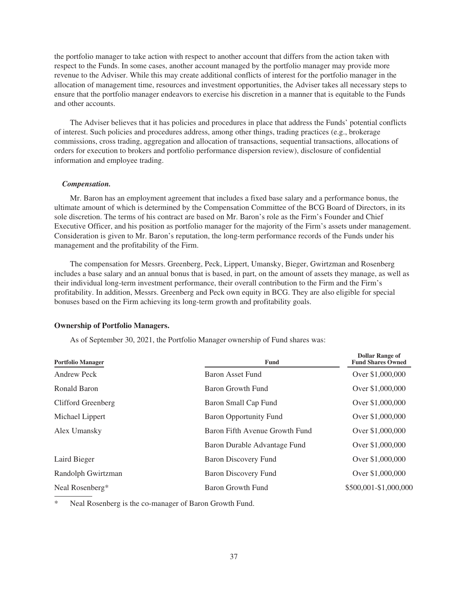the portfolio manager to take action with respect to another account that differs from the action taken with respect to the Funds. In some cases, another account managed by the portfolio manager may provide more revenue to the Adviser. While this may create additional conflicts of interest for the portfolio manager in the allocation of management time, resources and investment opportunities, the Adviser takes all necessary steps to ensure that the portfolio manager endeavors to exercise his discretion in a manner that is equitable to the Funds and other accounts.

The Adviser believes that it has policies and procedures in place that address the Funds' potential conflicts of interest. Such policies and procedures address, among other things, trading practices (e.g., brokerage commissions, cross trading, aggregation and allocation of transactions, sequential transactions, allocations of orders for execution to brokers and portfolio performance dispersion review), disclosure of confidential information and employee trading.

#### *Compensation.*

Mr. Baron has an employment agreement that includes a fixed base salary and a performance bonus, the ultimate amount of which is determined by the Compensation Committee of the BCG Board of Directors, in its sole discretion. The terms of his contract are based on Mr. Baron's role as the Firm's Founder and Chief Executive Officer, and his position as portfolio manager for the majority of the Firm's assets under management. Consideration is given to Mr. Baron's reputation, the long-term performance records of the Funds under his management and the profitability of the Firm.

The compensation for Messrs. Greenberg, Peck, Lippert, Umansky, Bieger, Gwirtzman and Rosenberg includes a base salary and an annual bonus that is based, in part, on the amount of assets they manage, as well as their individual long-term investment performance, their overall contribution to the Firm and the Firm's profitability. In addition, Messrs. Greenberg and Peck own equity in BCG. They are also eligible for special bonuses based on the Firm achieving its long-term growth and profitability goals.

## <span id="page-36-0"></span>**Ownership of Portfolio Managers.**

As of September 30, 2021, the Portfolio Manager ownership of Fund shares was:

| <b>Portfolio Manager</b> | Fund                           | <b>Dollar Range of</b><br><b>Fund Shares Owned</b> |
|--------------------------|--------------------------------|----------------------------------------------------|
| Andrew Peck              | <b>Baron Asset Fund</b>        | Over \$1,000,000                                   |
| Ronald Baron             | Baron Growth Fund              | Over \$1,000,000                                   |
| Clifford Greenberg       | Baron Small Cap Fund           | Over \$1,000,000                                   |
| Michael Lippert          | Baron Opportunity Fund         | Over \$1,000,000                                   |
| Alex Umansky             | Baron Fifth Avenue Growth Fund | Over \$1,000,000                                   |
|                          | Baron Durable Advantage Fund   | Over \$1,000,000                                   |
| Laird Bieger             | Baron Discovery Fund           | Over \$1,000,000                                   |
| Randolph Gwirtzman       | <b>Baron Discovery Fund</b>    | Over \$1,000,000                                   |
| Neal Rosenberg*          | Baron Growth Fund              | \$500,001-\$1,000,000                              |

Neal Rosenberg is the co-manager of Baron Growth Fund.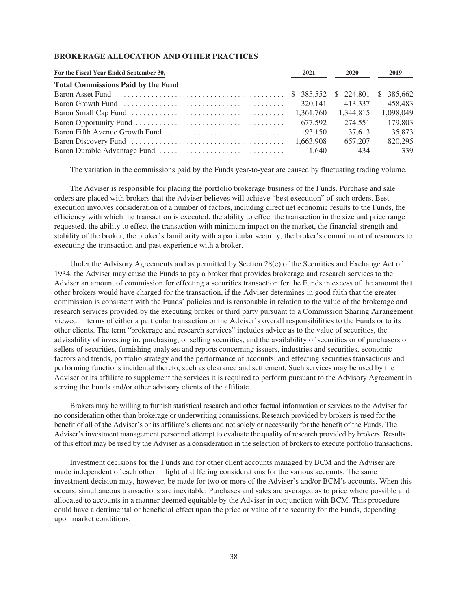# <span id="page-37-0"></span>**BROKERAGE ALLOCATION AND OTHER PRACTICES**

| For the Fiscal Year Ended September 30,   | 2021      | <b>2020</b> | 2019       |
|-------------------------------------------|-----------|-------------|------------|
| <b>Total Commissions Paid by the Fund</b> |           |             |            |
|                                           |           |             | \$ 385,662 |
|                                           | 320.141   | 413.337     | 458,483    |
|                                           | 1,361,760 | 1,344,815   | 1,098,049  |
|                                           | 677.592   | 274.551     | 179,803    |
|                                           | 193,150   | 37.613      | 35,873     |
|                                           | 1.663.908 | 657,207     | 820,295    |
|                                           | 1.640     | 434         | 339        |

The variation in the commissions paid by the Funds year-to-year are caused by fluctuating trading volume.

The Adviser is responsible for placing the portfolio brokerage business of the Funds. Purchase and sale orders are placed with brokers that the Adviser believes will achieve "best execution" of such orders. Best execution involves consideration of a number of factors, including direct net economic results to the Funds, the efficiency with which the transaction is executed, the ability to effect the transaction in the size and price range requested, the ability to effect the transaction with minimum impact on the market, the financial strength and stability of the broker, the broker's familiarity with a particular security, the broker's commitment of resources to executing the transaction and past experience with a broker.

Under the Advisory Agreements and as permitted by Section 28(e) of the Securities and Exchange Act of 1934, the Adviser may cause the Funds to pay a broker that provides brokerage and research services to the Adviser an amount of commission for effecting a securities transaction for the Funds in excess of the amount that other brokers would have charged for the transaction, if the Adviser determines in good faith that the greater commission is consistent with the Funds' policies and is reasonable in relation to the value of the brokerage and research services provided by the executing broker or third party pursuant to a Commission Sharing Arrangement viewed in terms of either a particular transaction or the Adviser's overall responsibilities to the Funds or to its other clients. The term "brokerage and research services" includes advice as to the value of securities, the advisability of investing in, purchasing, or selling securities, and the availability of securities or of purchasers or sellers of securities, furnishing analyses and reports concerning issuers, industries and securities, economic factors and trends, portfolio strategy and the performance of accounts; and effecting securities transactions and performing functions incidental thereto, such as clearance and settlement. Such services may be used by the Adviser or its affiliate to supplement the services it is required to perform pursuant to the Advisory Agreement in serving the Funds and/or other advisory clients of the affiliate.

Brokers may be willing to furnish statistical research and other factual information or services to the Adviser for no consideration other than brokerage or underwriting commissions. Research provided by brokers is used for the benefit of all of the Adviser's or its affiliate's clients and not solely or necessarily for the benefit of the Funds. The Adviser's investment management personnel attempt to evaluate the quality of research provided by brokers. Results of this effort may be used by the Adviser as a consideration in the selection of brokers to execute portfolio transactions.

Investment decisions for the Funds and for other client accounts managed by BCM and the Adviser are made independent of each other in light of differing considerations for the various accounts. The same investment decision may, however, be made for two or more of the Adviser's and/or BCM's accounts. When this occurs, simultaneous transactions are inevitable. Purchases and sales are averaged as to price where possible and allocated to accounts in a manner deemed equitable by the Adviser in conjunction with BCM. This procedure could have a detrimental or beneficial effect upon the price or value of the security for the Funds, depending upon market conditions.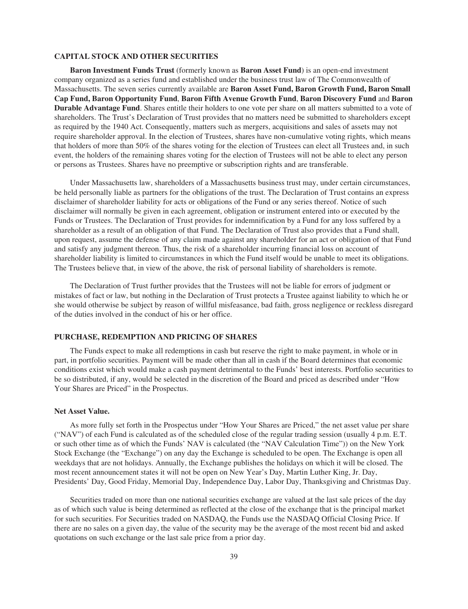# <span id="page-38-0"></span>**CAPITAL STOCK AND OTHER SECURITIES**

**Baron Investment Funds Trust** (formerly known as **Baron Asset Fund**) is an open-end investment company organized as a series fund and established under the business trust law of The Commonwealth of Massachusetts. The seven series currently available are **Baron Asset Fund, Baron Growth Fund, Baron Small Cap Fund, Baron Opportunity Fund**, **Baron Fifth Avenue Growth Fund**, **Baron Discovery Fund** and **Baron Durable Advantage Fund**. Shares entitle their holders to one vote per share on all matters submitted to a vote of shareholders. The Trust's Declaration of Trust provides that no matters need be submitted to shareholders except as required by the 1940 Act. Consequently, matters such as mergers, acquisitions and sales of assets may not require shareholder approval. In the election of Trustees, shares have non-cumulative voting rights, which means that holders of more than 50% of the shares voting for the election of Trustees can elect all Trustees and, in such event, the holders of the remaining shares voting for the election of Trustees will not be able to elect any person or persons as Trustees. Shares have no preemptive or subscription rights and are transferable.

Under Massachusetts law, shareholders of a Massachusetts business trust may, under certain circumstances, be held personally liable as partners for the obligations of the trust. The Declaration of Trust contains an express disclaimer of shareholder liability for acts or obligations of the Fund or any series thereof. Notice of such disclaimer will normally be given in each agreement, obligation or instrument entered into or executed by the Funds or Trustees. The Declaration of Trust provides for indemnification by a Fund for any loss suffered by a shareholder as a result of an obligation of that Fund. The Declaration of Trust also provides that a Fund shall, upon request, assume the defense of any claim made against any shareholder for an act or obligation of that Fund and satisfy any judgment thereon. Thus, the risk of a shareholder incurring financial loss on account of shareholder liability is limited to circumstances in which the Fund itself would be unable to meet its obligations. The Trustees believe that, in view of the above, the risk of personal liability of shareholders is remote.

The Declaration of Trust further provides that the Trustees will not be liable for errors of judgment or mistakes of fact or law, but nothing in the Declaration of Trust protects a Trustee against liability to which he or she would otherwise be subject by reason of willful misfeasance, bad faith, gross negligence or reckless disregard of the duties involved in the conduct of his or her office.

# <span id="page-38-1"></span>**PURCHASE, REDEMPTION AND PRICING OF SHARES**

The Funds expect to make all redemptions in cash but reserve the right to make payment, in whole or in part, in portfolio securities. Payment will be made other than all in cash if the Board determines that economic conditions exist which would make a cash payment detrimental to the Funds' best interests. Portfolio securities to be so distributed, if any, would be selected in the discretion of the Board and priced as described under "How Your Shares are Priced" in the Prospectus.

# <span id="page-38-2"></span>**Net Asset Value.**

As more fully set forth in the Prospectus under "How Your Shares are Priced," the net asset value per share ("NAV") of each Fund is calculated as of the scheduled close of the regular trading session (usually 4 p.m. E.T. or such other time as of which the Funds' NAV is calculated (the "NAV Calculation Time")) on the New York Stock Exchange (the "Exchange") on any day the Exchange is scheduled to be open. The Exchange is open all weekdays that are not holidays. Annually, the Exchange publishes the holidays on which it will be closed. The most recent announcement states it will not be open on New Year's Day, Martin Luther King, Jr. Day, Presidents' Day, Good Friday, Memorial Day, Independence Day, Labor Day, Thanksgiving and Christmas Day.

Securities traded on more than one national securities exchange are valued at the last sale prices of the day as of which such value is being determined as reflected at the close of the exchange that is the principal market for such securities. For Securities traded on NASDAQ, the Funds use the NASDAQ Official Closing Price. If there are no sales on a given day, the value of the security may be the average of the most recent bid and asked quotations on such exchange or the last sale price from a prior day.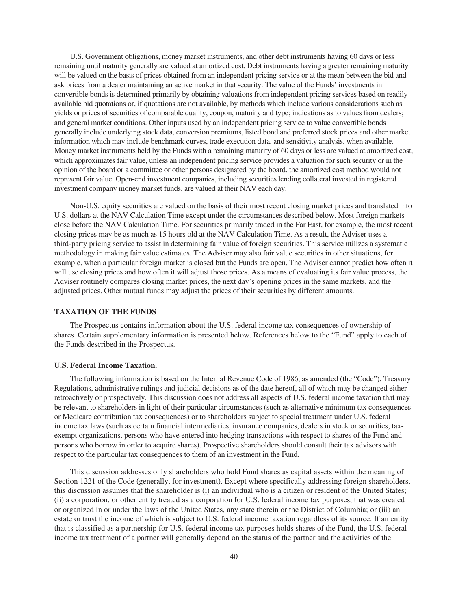U.S. Government obligations, money market instruments, and other debt instruments having 60 days or less remaining until maturity generally are valued at amortized cost. Debt instruments having a greater remaining maturity will be valued on the basis of prices obtained from an independent pricing service or at the mean between the bid and ask prices from a dealer maintaining an active market in that security. The value of the Funds' investments in convertible bonds is determined primarily by obtaining valuations from independent pricing services based on readily available bid quotations or, if quotations are not available, by methods which include various considerations such as yields or prices of securities of comparable quality, coupon, maturity and type; indications as to values from dealers; and general market conditions. Other inputs used by an independent pricing service to value convertible bonds generally include underlying stock data, conversion premiums, listed bond and preferred stock prices and other market information which may include benchmark curves, trade execution data, and sensitivity analysis, when available. Money market instruments held by the Funds with a remaining maturity of 60 days or less are valued at amortized cost, which approximates fair value, unless an independent pricing service provides a valuation for such security or in the opinion of the board or a committee or other persons designated by the board, the amortized cost method would not represent fair value. Open-end investment companies, including securities lending collateral invested in registered investment company money market funds, are valued at their NAV each day.

Non-U.S. equity securities are valued on the basis of their most recent closing market prices and translated into U.S. dollars at the NAV Calculation Time except under the circumstances described below. Most foreign markets close before the NAV Calculation Time. For securities primarily traded in the Far East, for example, the most recent closing prices may be as much as 15 hours old at the NAV Calculation Time. As a result, the Adviser uses a third-party pricing service to assist in determining fair value of foreign securities. This service utilizes a systematic methodology in making fair value estimates. The Adviser may also fair value securities in other situations, for example, when a particular foreign market is closed but the Funds are open. The Adviser cannot predict how often it will use closing prices and how often it will adjust those prices. As a means of evaluating its fair value process, the Adviser routinely compares closing market prices, the next day's opening prices in the same markets, and the adjusted prices. Other mutual funds may adjust the prices of their securities by different amounts.

# <span id="page-39-0"></span>**TAXATION OF THE FUNDS**

The Prospectus contains information about the U.S. federal income tax consequences of ownership of shares. Certain supplementary information is presented below. References below to the "Fund" apply to each of the Funds described in the Prospectus.

# <span id="page-39-1"></span>**U.S. Federal Income Taxation.**

The following information is based on the Internal Revenue Code of 1986, as amended (the "Code"), Treasury Regulations, administrative rulings and judicial decisions as of the date hereof, all of which may be changed either retroactively or prospectively. This discussion does not address all aspects of U.S. federal income taxation that may be relevant to shareholders in light of their particular circumstances (such as alternative minimum tax consequences or Medicare contribution tax consequences) or to shareholders subject to special treatment under U.S. federal income tax laws (such as certain financial intermediaries, insurance companies, dealers in stock or securities, taxexempt organizations, persons who have entered into hedging transactions with respect to shares of the Fund and persons who borrow in order to acquire shares). Prospective shareholders should consult their tax advisors with respect to the particular tax consequences to them of an investment in the Fund.

This discussion addresses only shareholders who hold Fund shares as capital assets within the meaning of Section 1221 of the Code (generally, for investment). Except where specifically addressing foreign shareholders, this discussion assumes that the shareholder is (i) an individual who is a citizen or resident of the United States; (ii) a corporation, or other entity treated as a corporation for U.S. federal income tax purposes, that was created or organized in or under the laws of the United States, any state therein or the District of Columbia; or (iii) an estate or trust the income of which is subject to U.S. federal income taxation regardless of its source. If an entity that is classified as a partnership for U.S. federal income tax purposes holds shares of the Fund, the U.S. federal income tax treatment of a partner will generally depend on the status of the partner and the activities of the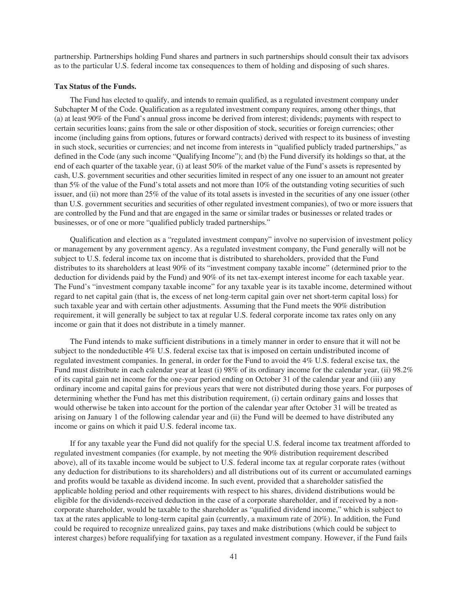partnership. Partnerships holding Fund shares and partners in such partnerships should consult their tax advisors as to the particular U.S. federal income tax consequences to them of holding and disposing of such shares.

### <span id="page-40-0"></span>**Tax Status of the Funds.**

The Fund has elected to qualify, and intends to remain qualified, as a regulated investment company under Subchapter M of the Code. Qualification as a regulated investment company requires, among other things, that (a) at least 90% of the Fund's annual gross income be derived from interest; dividends; payments with respect to certain securities loans; gains from the sale or other disposition of stock, securities or foreign currencies; other income (including gains from options, futures or forward contracts) derived with respect to its business of investing in such stock, securities or currencies; and net income from interests in "qualified publicly traded partnerships," as defined in the Code (any such income "Qualifying Income"); and (b) the Fund diversify its holdings so that, at the end of each quarter of the taxable year, (i) at least 50% of the market value of the Fund's assets is represented by cash, U.S. government securities and other securities limited in respect of any one issuer to an amount not greater than 5% of the value of the Fund's total assets and not more than 10% of the outstanding voting securities of such issuer, and (ii) not more than 25% of the value of its total assets is invested in the securities of any one issuer (other than U.S. government securities and securities of other regulated investment companies), of two or more issuers that are controlled by the Fund and that are engaged in the same or similar trades or businesses or related trades or businesses, or of one or more "qualified publicly traded partnerships."

Qualification and election as a "regulated investment company" involve no supervision of investment policy or management by any government agency. As a regulated investment company, the Fund generally will not be subject to U.S. federal income tax on income that is distributed to shareholders, provided that the Fund distributes to its shareholders at least 90% of its "investment company taxable income" (determined prior to the deduction for dividends paid by the Fund) and 90% of its net tax-exempt interest income for each taxable year. The Fund's "investment company taxable income" for any taxable year is its taxable income, determined without regard to net capital gain (that is, the excess of net long-term capital gain over net short-term capital loss) for such taxable year and with certain other adjustments. Assuming that the Fund meets the 90% distribution requirement, it will generally be subject to tax at regular U.S. federal corporate income tax rates only on any income or gain that it does not distribute in a timely manner.

The Fund intends to make sufficient distributions in a timely manner in order to ensure that it will not be subject to the nondeductible 4% U.S. federal excise tax that is imposed on certain undistributed income of regulated investment companies. In general, in order for the Fund to avoid the 4% U.S. federal excise tax, the Fund must distribute in each calendar year at least (i) 98% of its ordinary income for the calendar year, (ii) 98.2% of its capital gain net income for the one-year period ending on October 31 of the calendar year and (iii) any ordinary income and capital gains for previous years that were not distributed during those years. For purposes of determining whether the Fund has met this distribution requirement, (i) certain ordinary gains and losses that would otherwise be taken into account for the portion of the calendar year after October 31 will be treated as arising on January 1 of the following calendar year and (ii) the Fund will be deemed to have distributed any income or gains on which it paid U.S. federal income tax.

If for any taxable year the Fund did not qualify for the special U.S. federal income tax treatment afforded to regulated investment companies (for example, by not meeting the 90% distribution requirement described above), all of its taxable income would be subject to U.S. federal income tax at regular corporate rates (without any deduction for distributions to its shareholders) and all distributions out of its current or accumulated earnings and profits would be taxable as dividend income. In such event, provided that a shareholder satisfied the applicable holding period and other requirements with respect to his shares, dividend distributions would be eligible for the dividends-received deduction in the case of a corporate shareholder, and if received by a noncorporate shareholder, would be taxable to the shareholder as "qualified dividend income," which is subject to tax at the rates applicable to long-term capital gain (currently, a maximum rate of 20%). In addition, the Fund could be required to recognize unrealized gains, pay taxes and make distributions (which could be subject to interest charges) before requalifying for taxation as a regulated investment company. However, if the Fund fails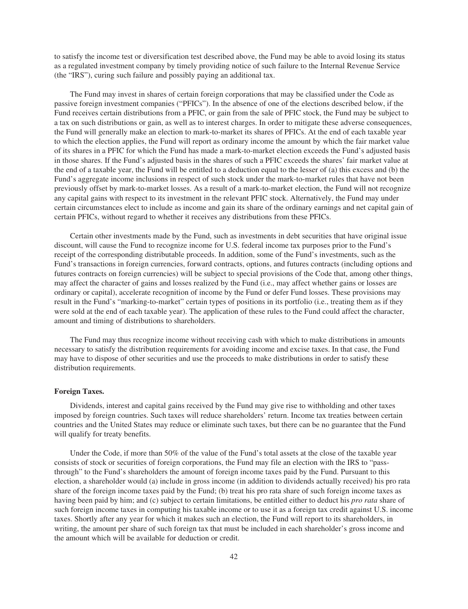to satisfy the income test or diversification test described above, the Fund may be able to avoid losing its status as a regulated investment company by timely providing notice of such failure to the Internal Revenue Service (the "IRS"), curing such failure and possibly paying an additional tax.

The Fund may invest in shares of certain foreign corporations that may be classified under the Code as passive foreign investment companies ("PFICs"). In the absence of one of the elections described below, if the Fund receives certain distributions from a PFIC, or gain from the sale of PFIC stock, the Fund may be subject to a tax on such distributions or gain, as well as to interest charges. In order to mitigate these adverse consequences, the Fund will generally make an election to mark-to-market its shares of PFICs. At the end of each taxable year to which the election applies, the Fund will report as ordinary income the amount by which the fair market value of its shares in a PFIC for which the Fund has made a mark-to-market election exceeds the Fund's adjusted basis in those shares. If the Fund's adjusted basis in the shares of such a PFIC exceeds the shares' fair market value at the end of a taxable year, the Fund will be entitled to a deduction equal to the lesser of (a) this excess and (b) the Fund's aggregate income inclusions in respect of such stock under the mark-to-market rules that have not been previously offset by mark-to-market losses. As a result of a mark-to-market election, the Fund will not recognize any capital gains with respect to its investment in the relevant PFIC stock. Alternatively, the Fund may under certain circumstances elect to include as income and gain its share of the ordinary earnings and net capital gain of certain PFICs, without regard to whether it receives any distributions from these PFICs.

Certain other investments made by the Fund, such as investments in debt securities that have original issue discount, will cause the Fund to recognize income for U.S. federal income tax purposes prior to the Fund's receipt of the corresponding distributable proceeds. In addition, some of the Fund's investments, such as the Fund's transactions in foreign currencies, forward contracts, options, and futures contracts (including options and futures contracts on foreign currencies) will be subject to special provisions of the Code that, among other things, may affect the character of gains and losses realized by the Fund (i.e., may affect whether gains or losses are ordinary or capital), accelerate recognition of income by the Fund or defer Fund losses. These provisions may result in the Fund's "marking-to-market" certain types of positions in its portfolio (i.e., treating them as if they were sold at the end of each taxable year). The application of these rules to the Fund could affect the character, amount and timing of distributions to shareholders.

The Fund may thus recognize income without receiving cash with which to make distributions in amounts necessary to satisfy the distribution requirements for avoiding income and excise taxes. In that case, the Fund may have to dispose of other securities and use the proceeds to make distributions in order to satisfy these distribution requirements.

# <span id="page-41-0"></span>**Foreign Taxes.**

Dividends, interest and capital gains received by the Fund may give rise to withholding and other taxes imposed by foreign countries. Such taxes will reduce shareholders' return. Income tax treaties between certain countries and the United States may reduce or eliminate such taxes, but there can be no guarantee that the Fund will qualify for treaty benefits.

Under the Code, if more than 50% of the value of the Fund's total assets at the close of the taxable year consists of stock or securities of foreign corporations, the Fund may file an election with the IRS to "passthrough" to the Fund's shareholders the amount of foreign income taxes paid by the Fund. Pursuant to this election, a shareholder would (a) include in gross income (in addition to dividends actually received) his pro rata share of the foreign income taxes paid by the Fund; (b) treat his pro rata share of such foreign income taxes as having been paid by him; and (c) subject to certain limitations, be entitled either to deduct his *pro rata* share of such foreign income taxes in computing his taxable income or to use it as a foreign tax credit against U.S. income taxes. Shortly after any year for which it makes such an election, the Fund will report to its shareholders, in writing, the amount per share of such foreign tax that must be included in each shareholder's gross income and the amount which will be available for deduction or credit.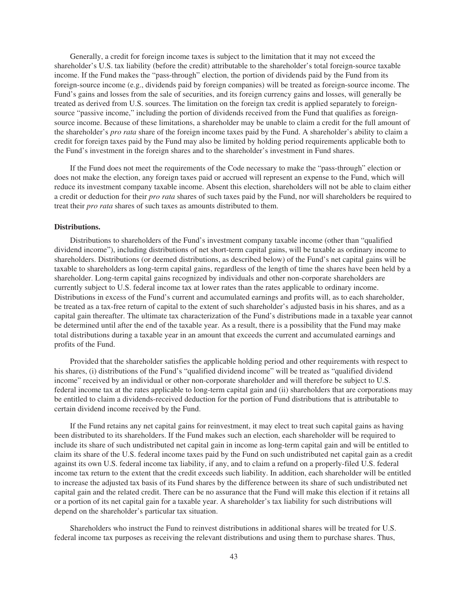Generally, a credit for foreign income taxes is subject to the limitation that it may not exceed the shareholder's U.S. tax liability (before the credit) attributable to the shareholder's total foreign-source taxable income. If the Fund makes the "pass-through" election, the portion of dividends paid by the Fund from its foreign-source income (e.g., dividends paid by foreign companies) will be treated as foreign-source income. The Fund's gains and losses from the sale of securities, and its foreign currency gains and losses, will generally be treated as derived from U.S. sources. The limitation on the foreign tax credit is applied separately to foreignsource "passive income," including the portion of dividends received from the Fund that qualifies as foreignsource income. Because of these limitations, a shareholder may be unable to claim a credit for the full amount of the shareholder's *pro rata* share of the foreign income taxes paid by the Fund. A shareholder's ability to claim a credit for foreign taxes paid by the Fund may also be limited by holding period requirements applicable both to the Fund's investment in the foreign shares and to the shareholder's investment in Fund shares.

If the Fund does not meet the requirements of the Code necessary to make the "pass-through" election or does not make the election, any foreign taxes paid or accrued will represent an expense to the Fund, which will reduce its investment company taxable income. Absent this election, shareholders will not be able to claim either a credit or deduction for their *pro rata* shares of such taxes paid by the Fund, nor will shareholders be required to treat their *pro rata* shares of such taxes as amounts distributed to them.

#### <span id="page-42-0"></span>**Distributions.**

Distributions to shareholders of the Fund's investment company taxable income (other than "qualified dividend income"), including distributions of net short-term capital gains, will be taxable as ordinary income to shareholders. Distributions (or deemed distributions, as described below) of the Fund's net capital gains will be taxable to shareholders as long-term capital gains, regardless of the length of time the shares have been held by a shareholder. Long-term capital gains recognized by individuals and other non-corporate shareholders are currently subject to U.S. federal income tax at lower rates than the rates applicable to ordinary income. Distributions in excess of the Fund's current and accumulated earnings and profits will, as to each shareholder, be treated as a tax-free return of capital to the extent of such shareholder's adjusted basis in his shares, and as a capital gain thereafter. The ultimate tax characterization of the Fund's distributions made in a taxable year cannot be determined until after the end of the taxable year. As a result, there is a possibility that the Fund may make total distributions during a taxable year in an amount that exceeds the current and accumulated earnings and profits of the Fund.

Provided that the shareholder satisfies the applicable holding period and other requirements with respect to his shares, (i) distributions of the Fund's "qualified dividend income" will be treated as "qualified dividend income" received by an individual or other non-corporate shareholder and will therefore be subject to U.S. federal income tax at the rates applicable to long-term capital gain and (ii) shareholders that are corporations may be entitled to claim a dividends-received deduction for the portion of Fund distributions that is attributable to certain dividend income received by the Fund.

If the Fund retains any net capital gains for reinvestment, it may elect to treat such capital gains as having been distributed to its shareholders. If the Fund makes such an election, each shareholder will be required to include its share of such undistributed net capital gain in income as long-term capital gain and will be entitled to claim its share of the U.S. federal income taxes paid by the Fund on such undistributed net capital gain as a credit against its own U.S. federal income tax liability, if any, and to claim a refund on a properly-filed U.S. federal income tax return to the extent that the credit exceeds such liability. In addition, each shareholder will be entitled to increase the adjusted tax basis of its Fund shares by the difference between its share of such undistributed net capital gain and the related credit. There can be no assurance that the Fund will make this election if it retains all or a portion of its net capital gain for a taxable year. A shareholder's tax liability for such distributions will depend on the shareholder's particular tax situation.

Shareholders who instruct the Fund to reinvest distributions in additional shares will be treated for U.S. federal income tax purposes as receiving the relevant distributions and using them to purchase shares. Thus,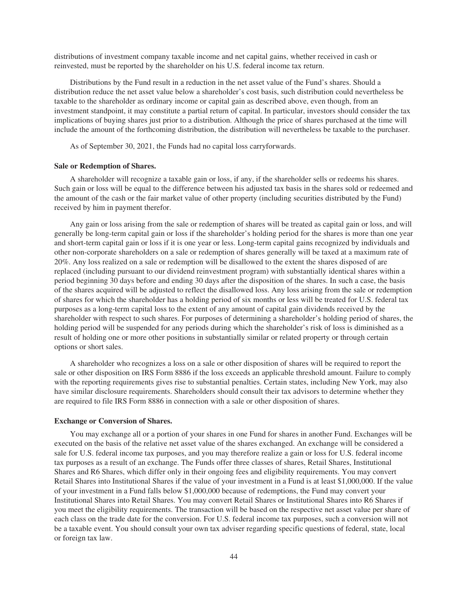distributions of investment company taxable income and net capital gains, whether received in cash or reinvested, must be reported by the shareholder on his U.S. federal income tax return.

Distributions by the Fund result in a reduction in the net asset value of the Fund's shares. Should a distribution reduce the net asset value below a shareholder's cost basis, such distribution could nevertheless be taxable to the shareholder as ordinary income or capital gain as described above, even though, from an investment standpoint, it may constitute a partial return of capital. In particular, investors should consider the tax implications of buying shares just prior to a distribution. Although the price of shares purchased at the time will include the amount of the forthcoming distribution, the distribution will nevertheless be taxable to the purchaser.

As of September 30, 2021, the Funds had no capital loss carryforwards.

# <span id="page-43-0"></span>**Sale or Redemption of Shares.**

A shareholder will recognize a taxable gain or loss, if any, if the shareholder sells or redeems his shares. Such gain or loss will be equal to the difference between his adjusted tax basis in the shares sold or redeemed and the amount of the cash or the fair market value of other property (including securities distributed by the Fund) received by him in payment therefor.

Any gain or loss arising from the sale or redemption of shares will be treated as capital gain or loss, and will generally be long-term capital gain or loss if the shareholder's holding period for the shares is more than one year and short-term capital gain or loss if it is one year or less. Long-term capital gains recognized by individuals and other non-corporate shareholders on a sale or redemption of shares generally will be taxed at a maximum rate of 20%. Any loss realized on a sale or redemption will be disallowed to the extent the shares disposed of are replaced (including pursuant to our dividend reinvestment program) with substantially identical shares within a period beginning 30 days before and ending 30 days after the disposition of the shares. In such a case, the basis of the shares acquired will be adjusted to reflect the disallowed loss. Any loss arising from the sale or redemption of shares for which the shareholder has a holding period of six months or less will be treated for U.S. federal tax purposes as a long-term capital loss to the extent of any amount of capital gain dividends received by the shareholder with respect to such shares. For purposes of determining a shareholder's holding period of shares, the holding period will be suspended for any periods during which the shareholder's risk of loss is diminished as a result of holding one or more other positions in substantially similar or related property or through certain options or short sales.

A shareholder who recognizes a loss on a sale or other disposition of shares will be required to report the sale or other disposition on IRS Form 8886 if the loss exceeds an applicable threshold amount. Failure to comply with the reporting requirements gives rise to substantial penalties. Certain states, including New York, may also have similar disclosure requirements. Shareholders should consult their tax advisors to determine whether they are required to file IRS Form 8886 in connection with a sale or other disposition of shares.

#### <span id="page-43-1"></span>**Exchange or Conversion of Shares.**

You may exchange all or a portion of your shares in one Fund for shares in another Fund. Exchanges will be executed on the basis of the relative net asset value of the shares exchanged. An exchange will be considered a sale for U.S. federal income tax purposes, and you may therefore realize a gain or loss for U.S. federal income tax purposes as a result of an exchange. The Funds offer three classes of shares, Retail Shares, Institutional Shares and R6 Shares, which differ only in their ongoing fees and eligibility requirements. You may convert Retail Shares into Institutional Shares if the value of your investment in a Fund is at least \$1,000,000. If the value of your investment in a Fund falls below \$1,000,000 because of redemptions, the Fund may convert your Institutional Shares into Retail Shares. You may convert Retail Shares or Institutional Shares into R6 Shares if you meet the eligibility requirements. The transaction will be based on the respective net asset value per share of each class on the trade date for the conversion. For U.S. federal income tax purposes, such a conversion will not be a taxable event. You should consult your own tax adviser regarding specific questions of federal, state, local or foreign tax law.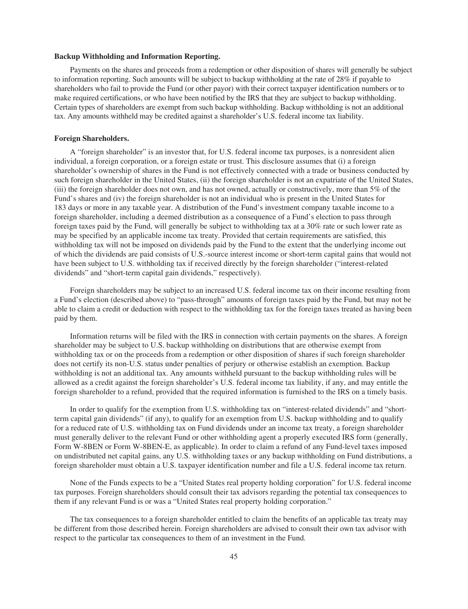# <span id="page-44-0"></span>**Backup Withholding and Information Reporting.**

Payments on the shares and proceeds from a redemption or other disposition of shares will generally be subject to information reporting. Such amounts will be subject to backup withholding at the rate of 28% if payable to shareholders who fail to provide the Fund (or other payor) with their correct taxpayer identification numbers or to make required certifications, or who have been notified by the IRS that they are subject to backup withholding. Certain types of shareholders are exempt from such backup withholding. Backup withholding is not an additional tax. Any amounts withheld may be credited against a shareholder's U.S. federal income tax liability.

# <span id="page-44-1"></span>**Foreign Shareholders.**

A "foreign shareholder" is an investor that, for U.S. federal income tax purposes, is a nonresident alien individual, a foreign corporation, or a foreign estate or trust. This disclosure assumes that (i) a foreign shareholder's ownership of shares in the Fund is not effectively connected with a trade or business conducted by such foreign shareholder in the United States, (ii) the foreign shareholder is not an expatriate of the United States, (iii) the foreign shareholder does not own, and has not owned, actually or constructively, more than 5% of the Fund's shares and (iv) the foreign shareholder is not an individual who is present in the United States for 183 days or more in any taxable year. A distribution of the Fund's investment company taxable income to a foreign shareholder, including a deemed distribution as a consequence of a Fund's election to pass through foreign taxes paid by the Fund, will generally be subject to withholding tax at a 30% rate or such lower rate as may be specified by an applicable income tax treaty. Provided that certain requirements are satisfied, this withholding tax will not be imposed on dividends paid by the Fund to the extent that the underlying income out of which the dividends are paid consists of U.S.-source interest income or short-term capital gains that would not have been subject to U.S. withholding tax if received directly by the foreign shareholder ("interest-related dividends" and "short-term capital gain dividends," respectively).

Foreign shareholders may be subject to an increased U.S. federal income tax on their income resulting from a Fund's election (described above) to "pass-through" amounts of foreign taxes paid by the Fund, but may not be able to claim a credit or deduction with respect to the withholding tax for the foreign taxes treated as having been paid by them.

Information returns will be filed with the IRS in connection with certain payments on the shares. A foreign shareholder may be subject to U.S. backup withholding on distributions that are otherwise exempt from withholding tax or on the proceeds from a redemption or other disposition of shares if such foreign shareholder does not certify its non-U.S. status under penalties of perjury or otherwise establish an exemption. Backup withholding is not an additional tax. Any amounts withheld pursuant to the backup withholding rules will be allowed as a credit against the foreign shareholder's U.S. federal income tax liability, if any, and may entitle the foreign shareholder to a refund, provided that the required information is furnished to the IRS on a timely basis.

In order to qualify for the exemption from U.S. withholding tax on "interest-related dividends" and "shortterm capital gain dividends" (if any), to qualify for an exemption from U.S. backup withholding and to qualify for a reduced rate of U.S. withholding tax on Fund dividends under an income tax treaty, a foreign shareholder must generally deliver to the relevant Fund or other withholding agent a properly executed IRS form (generally, Form W-8BEN or Form W-8BEN-E, as applicable). In order to claim a refund of any Fund-level taxes imposed on undistributed net capital gains, any U.S. withholding taxes or any backup withholding on Fund distributions, a foreign shareholder must obtain a U.S. taxpayer identification number and file a U.S. federal income tax return.

None of the Funds expects to be a "United States real property holding corporation" for U.S. federal income tax purposes. Foreign shareholders should consult their tax advisors regarding the potential tax consequences to them if any relevant Fund is or was a "United States real property holding corporation."

The tax consequences to a foreign shareholder entitled to claim the benefits of an applicable tax treaty may be different from those described herein. Foreign shareholders are advised to consult their own tax advisor with respect to the particular tax consequences to them of an investment in the Fund.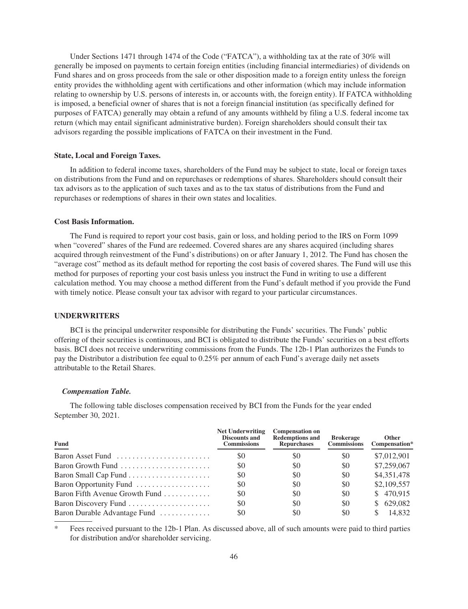Under Sections 1471 through 1474 of the Code ("FATCA"), a withholding tax at the rate of 30% will generally be imposed on payments to certain foreign entities (including financial intermediaries) of dividends on Fund shares and on gross proceeds from the sale or other disposition made to a foreign entity unless the foreign entity provides the withholding agent with certifications and other information (which may include information relating to ownership by U.S. persons of interests in, or accounts with, the foreign entity). If FATCA withholding is imposed, a beneficial owner of shares that is not a foreign financial institution (as specifically defined for purposes of FATCA) generally may obtain a refund of any amounts withheld by filing a U.S. federal income tax return (which may entail significant administrative burden). Foreign shareholders should consult their tax advisors regarding the possible implications of FATCA on their investment in the Fund.

# <span id="page-45-0"></span>**State, Local and Foreign Taxes.**

In addition to federal income taxes, shareholders of the Fund may be subject to state, local or foreign taxes on distributions from the Fund and on repurchases or redemptions of shares. Shareholders should consult their tax advisors as to the application of such taxes and as to the tax status of distributions from the Fund and repurchases or redemptions of shares in their own states and localities.

# <span id="page-45-1"></span>**Cost Basis Information.**

The Fund is required to report your cost basis, gain or loss, and holding period to the IRS on Form 1099 when "covered" shares of the Fund are redeemed. Covered shares are any shares acquired (including shares acquired through reinvestment of the Fund's distributions) on or after January 1, 2012. The Fund has chosen the "average cost" method as its default method for reporting the cost basis of covered shares. The Fund will use this method for purposes of reporting your cost basis unless you instruct the Fund in writing to use a different calculation method. You may choose a method different from the Fund's default method if you provide the Fund with timely notice. Please consult your tax advisor with regard to your particular circumstances.

# <span id="page-45-2"></span>**UNDERWRITERS**

BCI is the principal underwriter responsible for distributing the Funds' securities. The Funds' public offering of their securities is continuous, and BCI is obligated to distribute the Funds' securities on a best efforts basis. BCI does not receive underwriting commissions from the Funds. The 12b-1 Plan authorizes the Funds to pay the Distributor a distribution fee equal to 0.25% per annum of each Fund's average daily net assets attributable to the Retail Shares.

### *Compensation Table.*

The following table discloses compensation received by BCI from the Funds for the year ended September 30, 2021.

| Fund                                                        | <b>Net Underwriting</b><br><b>Discounts and</b><br><b>Commissions</b> | <b>Compensation on</b><br><b>Redemptions and</b><br><b>Repurchases</b> | <b>Brokerage</b><br><b>Commissions</b> | <b>Other</b><br>Compensation* |
|-------------------------------------------------------------|-----------------------------------------------------------------------|------------------------------------------------------------------------|----------------------------------------|-------------------------------|
| Baron Asset Fund                                            | \$0                                                                   | \$0                                                                    | \$0                                    | \$7,012,901                   |
| Baron Growth Fund $\ldots$ , $\ldots$ , $\ldots$ , $\ldots$ | \$0                                                                   | \$0                                                                    | \$0                                    | \$7,259,067                   |
|                                                             | \$0                                                                   | \$0                                                                    | \$0                                    | \$4,351,478                   |
| Baron Opportunity Fund                                      | \$0                                                                   | \$0                                                                    | \$0                                    | \$2,109,557                   |
| Baron Fifth Avenue Growth Fund $\ldots$                     | \$0                                                                   | \$0                                                                    | \$0                                    | \$470,915                     |
| Baron Discovery Fund                                        | \$0                                                                   | \$0                                                                    | \$0                                    | 629,082<br>S.                 |
| Baron Durable Advantage Fund                                | \$0                                                                   | \$0                                                                    | \$0                                    | 14.832                        |

\* Fees received pursuant to the 12b-1 Plan. As discussed above, all of such amounts were paid to third parties for distribution and/or shareholder servicing.